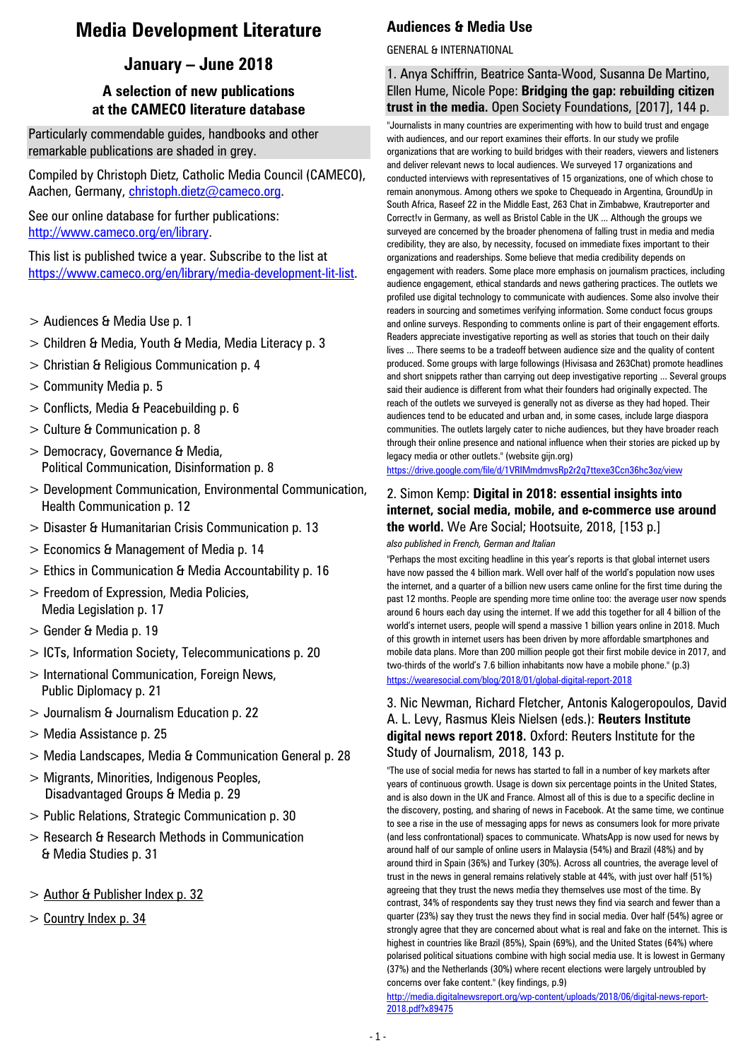# **Media Development Literature**

# **January – June 2018**

# **A selection of new publications at the CAMECO literature database**

Particularly commendable guides, handbooks and other remarkable publications are shaded in grey.

Compiled by Christoph Dietz, Catholic Media Council (CAMECO), Aachen, Germany, christoph.dietz@cameco.org.

See our online database for further publications: [http://www.cameco.org/en/library.](http://www.cameco.org/en/library)

This list is published twice a year. Subscribe to the list at [https://www.cameco.org/en/library/media-development-lit-list.](https://www.cameco.org/en/library/media-development-lit-list)

- > Audiences & Media Use p. 1
- > Children & Media, Youth & Media, Media Literacy p. 3
- > Christian & Religious Communication p. 4
- > Community Media p. 5
- > Conflicts, Media & Peacebuilding p. 6
- > Culture & Communication p. 8
- > Democracy, Governance & Media, Political Communication, Disinformation p. 8
- > Development Communication, Environmental Communication, Health Communication p. 12
- > Disaster & Humanitarian Crisis Communication p. 13
- > Economics & Management of Media p. 14
- > Ethics in Communication & Media Accountability p. 16
- > Freedom of Expression, Media Policies, Media Legislation p. 17
- > Gender & Media p. 19
- > ICTs, Information Society, Telecommunications p. 20
- > International Communication, Foreign News, Public Diplomacy p. 21
- > Journalism & Journalism Education p. 22
- > Media Assistance p. 25
- > Media Landscapes, Media & Communication General p. 28
- > Migrants, Minorities, Indigenous Peoples, Disadvantaged Groups & Media p. 29
- > Public Relations, Strategic Communication p. 30
- > Research & Research Methods in Communication & Media Studies p. 31
- > Author & Publisher Index p. 32
- > Country Index p. 34

# **Audiences & Media Use**

### GENERAL & INTERNATIONAL

1. Anya Schiffrin, Beatrice Santa-Wood, Susanna De Martino, Ellen Hume, Nicole Pope: **Bridging the gap: rebuilding citizen trust in the media.** Open Society Foundations, [2017], 144 p.

"Journalists in many countries are experimenting with how to build trust and engage with audiences, and our report examines their efforts. In our study we profile organizations that are working to build bridges with their readers, viewers and listeners and deliver relevant news to local audiences. We surveyed 17 organizations and conducted interviews with representatives of 15 organizations, one of which chose to remain anonymous. Among others we spoke to Chequeado in Argentina, GroundUp in South Africa, Raseef 22 in the Middle East, 263 Chat in Zimbabwe, Krautreporter and Correct!v in Germany, as well as Bristol Cable in the UK ... Although the groups we surveyed are concerned by the broader phenomena of falling trust in media and media credibility, they are also, by necessity, focused on immediate fixes important to their organizations and readerships. Some believe that media credibility depends on engagement with readers. Some place more emphasis on journalism practices, including audience engagement, ethical standards and news gathering practices. The outlets we profiled use digital technology to communicate with audiences. Some also involve their readers in sourcing and sometimes verifying information. Some conduct focus groups and online surveys. Responding to comments online is part of their engagement efforts. Readers appreciate investigative reporting as well as stories that touch on their daily lives ... There seems to be a tradeoff between audience size and the quality of content produced. Some groups with large followings (Hivisasa and 263Chat) promote headlines and short snippets rather than carrying out deep investigative reporting ... Several groups said their audience is different from what their founders had originally expected. The reach of the outlets we surveyed is generally not as diverse as they had hoped. Their audiences tend to be educated and urban and, in some cases, include large diaspora communities. The outlets largely cater to niche audiences, but they have broader reach through their online presence and national influence when their stories are picked up by legacy media or other outlets." (website gijn.org)

<https://drive.google.com/file/d/1VRIMmdmvsRp2r2q7ttexe3Ccn36hc3oz/view>

#### 2. Simon Kemp: **Digital in 2018: essential insights into internet, social media, mobile, and e-commerce use around the world.** We Are Social; Hootsuite, 2018, [153 p.]

*also published in French, German and Italian*

"Perhaps the most exciting headline in this year's reports is that global internet users have now passed the 4 billion mark. Well over half of the world's population now uses the internet, and a quarter of a billion new users came online for the first time during the past 12 months. People are spending more time online too: the average user now spends around 6 hours each day using the internet. If we add this together for all 4 billion of the world's internet users, people will spend a massive 1 billion years online in 2018. Much of this growth in internet users has been driven by more affordable smartphones and mobile data plans. More than 200 million people got their first mobile device in 2017, and two-thirds of the world's 7.6 billion inhabitants now have a mobile phone." (p.3) <https://wearesocial.com/blog/2018/01/global-digital-report-2018>

#### 3. Nic Newman, Richard Fletcher, Antonis Kalogeropoulos, David A. L. Levy, Rasmus Kleis Nielsen (eds.): **Reuters Institute digital news report 2018.** Oxford: Reuters Institute for the Study of Journalism, 2018, 143 p.

"The use of social media for news has started to fall in a number of key markets after years of continuous growth. Usage is down six percentage points in the United States, and is also down in the UK and France. Almost all of this is due to a specific decline in the discovery, posting, and sharing of news in Facebook. At the same time, we continue to see a rise in the use of messaging apps for news as consumers look for more private (and less confrontational) spaces to communicate. WhatsApp is now used for news by around half of our sample of online users in Malaysia (54%) and Brazil (48%) and by around third in Spain (36%) and Turkey (30%). Across all countries, the average level of trust in the news in general remains relatively stable at 44%, with just over half (51%) agreeing that they trust the news media they themselves use most of the time. By contrast, 34% of respondents say they trust news they find via search and fewer than a quarter (23%) say they trust the news they find in social media. Over half (54%) agree or strongly agree that they are concerned about what is real and fake on the internet. This is highest in countries like Brazil (85%), Spain (69%), and the United States (64%) where polarised political situations combine with high social media use. It is lowest in Germany (37%) and the Netherlands (30%) where recent elections were largely untroubled by concerns over fake content." (key findings, p.9)

[http://media.digitalnewsreport.org/wp-content/uploads/2018/06/digital-news-report-](http://media.digitalnewsreport.org/wp-content/uploads/2018/06/digital-news-report-2018.pdf?x89475)[2018.pdf?x89475](http://media.digitalnewsreport.org/wp-content/uploads/2018/06/digital-news-report-2018.pdf?x89475)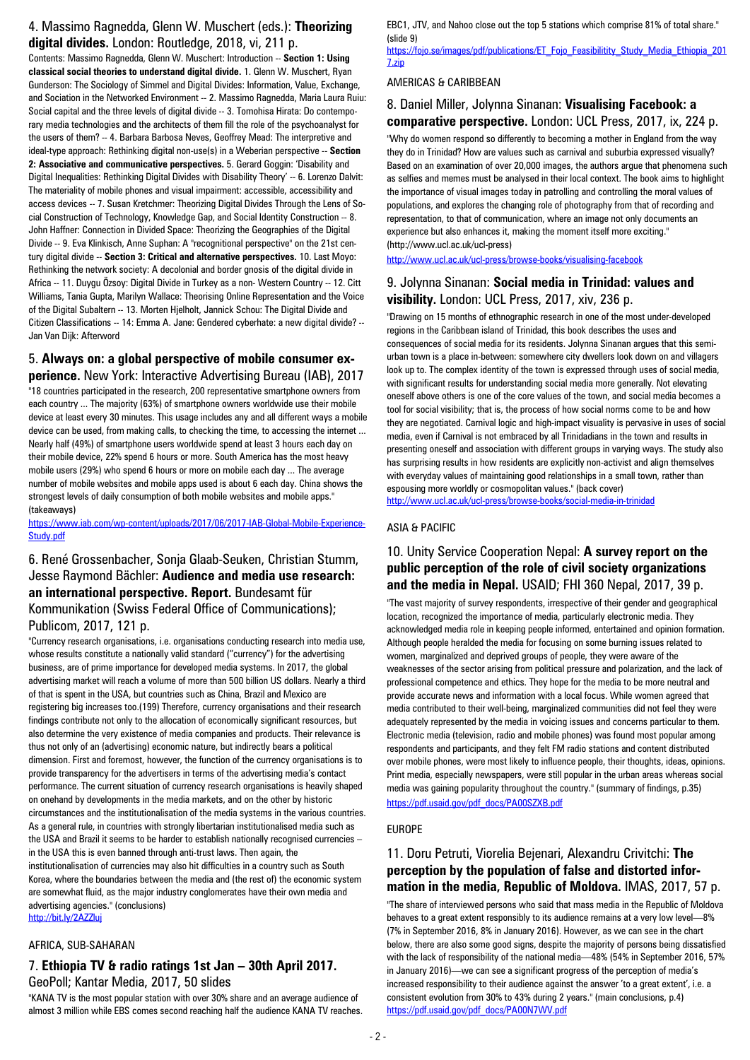#### 4. Massimo Ragnedda, Glenn W. Muschert (eds.): **Theorizing digital divides.** London: Routledge, 2018, vi, 211 p.

Contents: Massimo Ragnedda, Glenn W. Muschert: Introduction -- **Section 1: Using classical social theories to understand digital divide.** 1. Glenn W. Muschert, Ryan Gunderson: The Sociology of Simmel and Digital Divides: Information, Value, Exchange, and Sociation in the Networked Environment -- 2. Massimo Ragnedda, Maria Laura Ruiu: Social capital and the three levels of digital divide -- 3. Tomohisa Hirata: Do contemporary media technologies and the architects of them fill the role of the psychoanalyst for the users of them? -- 4. Barbara Barbosa Neves, Geoffrey Mead: The interpretive and ideal-type approach: Rethinking digital non-use(s) in a Weberian perspective -- **Section 2: Associative and communicative perspectives.** 5. Gerard Goggin: 'Disability and Digital Inequalities: Rethinking Digital Divides with Disability Theory' -- 6. Lorenzo Dalvit: The materiality of mobile phones and visual impairment: accessible, accessibility and access devices -- 7. Susan Kretchmer: Theorizing Digital Divides Through the Lens of Social Construction of Technology, Knowledge Gap, and Social Identity Construction -- 8. John Haffner: Connection in Divided Space: Theorizing the Geographies of the Digital Divide -- 9. Eva Klinkisch, Anne Suphan: A "recognitional perspective" on the 21st century digital divide -- **Section 3: Critical and alternative perspectives.** 10. Last Moyo: Rethinking the network society: A decolonial and border gnosis of the digital divide in Africa -- 11. Duygu Özsoy: Digital Divide in Turkey as a non- Western Country -- 12. Citt Williams, Tania Gupta, Marilyn Wallace: Theorising Online Representation and the Voice of the Digital Subaltern -- 13. Morten Hjelholt, Jannick Schou: The Digital Divide and Citizen Classifications -- 14: Emma A. Jane: Gendered cyberhate: a new digital divide? -- Jan Van Dijk: Afterword

#### 5. **Always on: a global perspective of mobile consumer ex-**

**perience.** New York: Interactive Advertising Bureau (IAB), 2017 "18 countries participated in the research, 200 representative smartphone owners from each country ... The majority (63%) of smartphone owners worldwide use their mobile device at least every 30 minutes. This usage includes any and all different ways a mobile device can be used, from making calls, to checking the time, to accessing the internet ... Nearly half (49%) of smartphone users worldwide spend at least 3 hours each day on their mobile device, 22% spend 6 hours or more. South America has the most heavy mobile users (29%) who spend 6 hours or more on mobile each day ... The average number of mobile websites and mobile apps used is about 6 each day. China shows the strongest levels of daily consumption of both mobile websites and mobile apps." (takeaways)

[https://www.iab.com/wp-content/uploads/2017/06/2017-IAB-Global-Mobile-Experience-](https://www.iab.com/wp-content/uploads/2017/06/2017-IAB-Global-Mobile-Experience-Study.pdf)[Study.pdf](https://www.iab.com/wp-content/uploads/2017/06/2017-IAB-Global-Mobile-Experience-Study.pdf)

#### 6. René Grossenbacher, Sonja Glaab-Seuken, Christian Stumm, Jesse Raymond Bächler: **Audience and media use research: an international perspective. Report.** Bundesamt für Kommunikation (Swiss Federal Office of Communications); Publicom, 2017, 121 p.

"Currency research organisations, i.e. organisations conducting research into media use, whose results constitute a nationally valid standard ("currency") for the advertising business, are of prime importance for developed media systems. In 2017, the global advertising market will reach a volume of more than 500 billion US dollars. Nearly a third of that is spent in the USA, but countries such as China, Brazil and Mexico are registering big increases too.(199) Therefore, currency organisations and their research findings contribute not only to the allocation of economically significant resources, but also determine the very existence of media companies and products. Their relevance is thus not only of an (advertising) economic nature, but indirectly bears a political dimension. First and foremost, however, the function of the currency organisations is to provide transparency for the advertisers in terms of the advertising media's contact performance. The current situation of currency research organisations is heavily shaped on onehand by developments in the media markets, and on the other by historic circumstances and the institutionalisation of the media systems in the various countries. As a general rule, in countries with strongly libertarian institutionalised media such as the USA and Brazil it seems to be harder to establish nationally recognised currencies – in the USA this is even banned through anti-trust laws. Then again, the institutionalisation of currencies may also hit difficulties in a country such as South Korea, where the boundaries between the media and (the rest of) the economic system are somewhat fluid, as the major industry conglomerates have their own media and advertising agencies." (conclusions) <http://bit.ly/2AZZluj>

#### AFRICA, SUB-SAHARAN

#### 7. **Ethiopia TV & radio ratings 1st Jan – 30th April 2017.**  GeoPoll; Kantar Media, 2017, 50 slides

"KANA TV is the most popular station with over 30% share and an average audience of almost 3 million while EBS comes second reaching half the audience KANA TV reaches. EBC1, JTV, and Nahoo close out the top 5 stations which comprise 81% of total share." (slide 9)

[https://fojo.se/images/pdf/publications/ET\\_Fojo\\_Feasibilitity\\_Study\\_Media\\_Ethiopia\\_201](https://fojo.se/images/pdf/publications/ET_Fojo_Feasibilitity_Study_Media_Ethiopia_2017.zip) [7.zip](https://fojo.se/images/pdf/publications/ET_Fojo_Feasibilitity_Study_Media_Ethiopia_2017.zip)

#### AMERICAS & CARIBBEAN

### 8. Daniel Miller, Jolynna Sinanan: **Visualising Facebook: a comparative perspective.** London: UCL Press, 2017, ix, 224 p.

"Why do women respond so differently to becoming a mother in England from the way they do in Trinidad? How are values such as carnival and suburbia expressed visually? Based on an examination of over 20,000 images, the authors argue that phenomena such as selfies and memes must be analysed in their local context. The book aims to highlight the importance of visual images today in patrolling and controlling the moral values of populations, and explores the changing role of photography from that of recording and representation, to that of communication, where an image not only documents an experience but also enhances it, making the moment itself more exciting." (http://www.ucl.ac.uk/ucl-press)

<http://www.ucl.ac.uk/ucl-press/browse-books/visualising-facebook>

### 9. Jolynna Sinanan: **Social media in Trinidad: values and visibility.** London: UCL Press, 2017, xiv, 236 p.

"Drawing on 15 months of ethnographic research in one of the most under-developed regions in the Caribbean island of Trinidad, this book describes the uses and consequences of social media for its residents. Jolynna Sinanan argues that this semiurban town is a place in-between: somewhere city dwellers look down on and villagers look up to. The complex identity of the town is expressed through uses of social media, with significant results for understanding social media more generally. Not elevating oneself above others is one of the core values of the town, and social media becomes a tool for social visibility; that is, the process of how social norms come to be and how they are negotiated. Carnival logic and high-impact visuality is pervasive in uses of social media, even if Carnival is not embraced by all Trinidadians in the town and results in presenting oneself and association with different groups in varying ways. The study also has surprising results in how residents are explicitly non-activist and align themselves with everyday values of maintaining good relationships in a small town, rather than espousing more worldly or cosmopolitan values." (back cover) <http://www.ucl.ac.uk/ucl-press/browse-books/social-media-in-trinidad>

#### ASIA & PACIFIC

#### 10. Unity Service Cooperation Nepal: **A survey report on the public perception of the role of civil society organizations and the media in Nepal.** USAID; FHI 360 Nepal, 2017, 39 p.

"The vast majority of survey respondents, irrespective of their gender and geographical location, recognized the importance of media, particularly electronic media. They acknowledged media role in keeping people informed, entertained and opinion formation. Although people heralded the media for focusing on some burning issues related to women, marginalized and deprived groups of people, they were aware of the weaknesses of the sector arising from political pressure and polarization, and the lack of professional competence and ethics. They hope for the media to be more neutral and provide accurate news and information with a local focus. While women agreed that media contributed to their well-being, marginalized communities did not feel they were adequately represented by the media in voicing issues and concerns particular to them. Electronic media (television, radio and mobile phones) was found most popular among respondents and participants, and they felt FM radio stations and content distributed over mobile phones, were most likely to influence people, their thoughts, ideas, opinions. Print media, especially newspapers, were still popular in the urban areas whereas social media was gaining popularity throughout the country." (summary of findings, p.35) [https://pdf.usaid.gov/pdf\\_docs/PA00SZXB.pdf](https://pdf.usaid.gov/pdf_docs/PA00SZXB.pdf)

#### EUROPE

### 11. Doru Petruti, Viorelia Bejenari, Alexandru Crivitchi: **The perception by the population of false and distorted information in the media, Republic of Moldova.** IMAS, 2017, 57 p.

"The share of interviewed persons who said that mass media in the Republic of Moldova behaves to a great extent responsibly to its audience remains at a very low level—8% (7% in September 2016, 8% in January 2016). However, as we can see in the chart below, there are also some good signs, despite the majority of persons being dissatisfied with the lack of responsibility of the national media—48% (54% in September 2016, 57% in January 2016)—we can see a significant progress of the perception of media's increased responsibility to their audience against the answer 'to a great extent', i.e. a consistent evolution from 30% to 43% during 2 years." (main conclusions, p.4) [https://pdf.usaid.gov/pdf\\_docs/PA00N7WV.pdf](https://pdf.usaid.gov/pdf_docs/PA00N7WV.pdf)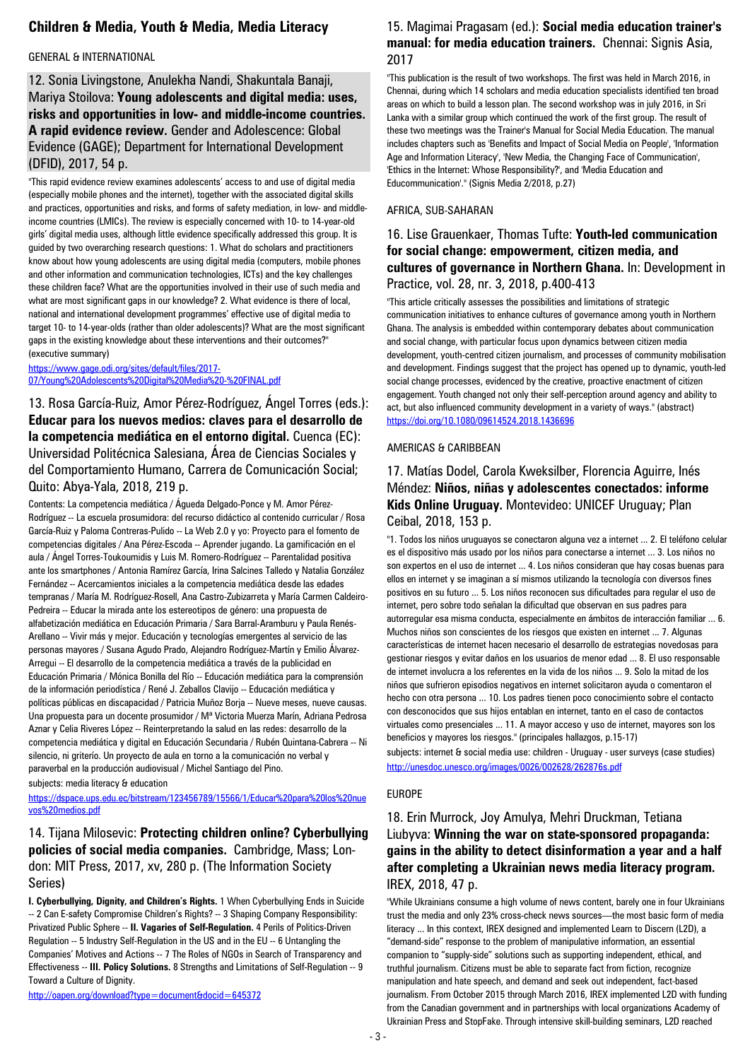### **Children & Media, Youth & Media, Media Literacy**

#### GENERAL & INTERNATIONAL

12. Sonia Livingstone, Anulekha Nandi, Shakuntala Banaji, Mariya Stoilova: **Young adolescents and digital media: uses, risks and opportunities in low- and middle-income countries. A rapid evidence review.** Gender and Adolescence: Global Evidence (GAGE); Department for International Development (DFID), 2017, 54 p.

"This rapid evidence review examines adolescents' access to and use of digital media (especially mobile phones and the internet), together with the associated digital skills and practices, opportunities and risks, and forms of safety mediation, in low- and middleincome countries (LMICs). The review is especially concerned with 10- to 14-year-old girls' digital media uses, although little evidence specifically addressed this group. It is guided by two overarching research questions: 1. What do scholars and practitioners know about how young adolescents are using digital media (computers, mobile phones and other information and communication technologies, ICTs) and the key challenges these children face? What are the opportunities involved in their use of such media and what are most significant gaps in our knowledge? 2. What evidence is there of local, national and international development programmes' effective use of digital media to target 10- to 14-year-olds (rather than older adolescents)? What are the most significant gaps in the existing knowledge about these interventions and their outcomes?" (executive summary)

[https://www.gage.odi.org/sites/default/files/2017-](https://www.gage.odi.org/sites/default/files/2017-07/Young%20Adolescents%20Digital%20Media%20-%20FINAL.pdf) [07/Young%20Adolescents%20Digital%20Media%20-%20FINAL.pdf](https://www.gage.odi.org/sites/default/files/2017-07/Young%20Adolescents%20Digital%20Media%20-%20FINAL.pdf)

13. Rosa García-Ruiz, Amor Pérez-Rodríguez, Ángel Torres (eds.): **Educar para los nuevos medios: claves para el desarrollo de la competencia mediática en el entorno digital.** Cuenca (EC): Universidad Politécnica Salesiana, Área de Ciencias Sociales y del Comportamiento Humano, Carrera de Comunicación Social; Quito: Abya-Yala, 2018, 219 p.

Contents: La competencia mediática / Águeda Delgado-Ponce y M. Amor Pérez-Rodríguez -- La escuela prosumidora: del recurso didáctico al contenido curricular / Rosa García-Ruiz y Paloma Contreras-Pulido -- La Web 2.0 y yo: Proyecto para el fomento de competencias digitales / Ana Pérez-Escoda -- Aprender jugando. La gamificación en el aula / Ángel Torres-Toukoumidis y Luis M. Romero-Rodríguez -- Parentalidad positiva ante los smartphones / Antonia Ramírez García, Irina Salcines Talledo y Natalia González Fernández -- Acercamientos iniciales a la competencia mediática desde las edades tempranas / María M. Rodríguez-Rosell, Ana Castro-Zubizarreta y María Carmen Caldeiro-Pedreira -- Educar la mirada ante los estereotipos de género: una propuesta de alfabetización mediática en Educación Primaria / Sara Barral-Aramburu y Paula Renés-Arellano -- Vivir más y mejor. Educación y tecnologías emergentes al servicio de las personas mayores / Susana Agudo Prado, Alejandro Rodríguez-Martín y Emilio Álvarez-Arregui -- El desarrollo de la competencia mediática a través de la publicidad en Educación Primaria / Mónica Bonilla del Río -- Educación mediática para la comprensión de la información periodística / René J. Zeballos Clavijo -- Educación mediática y políticas públicas en discapacidad / Patricia Muñoz Borja -- Nueve meses, nueve causas. Una propuesta para un docente prosumidor / Mª Victoria Muerza Marín, Adriana Pedrosa Aznar y Celia Riveres López -- Reinterpretando la salud en las redes: desarrollo de la competencia mediática y digital en Educación Secundaria / Rubén Quintana-Cabrera -- Ni silencio, ni griterío. Un proyecto de aula en torno a la comunicación no verbal y paraverbal en la producción audiovisual / Michel Santiago del Pino.

subjects: media literacy & education

[https://dspace.ups.edu.ec/bitstream/123456789/15566/1/Educar%20para%20los%20nue](https://dspace.ups.edu.ec/bitstream/123456789/15566/1/Educar%20para%20los%20nuevos%20medios.pdf) [vos%20medios.pdf](https://dspace.ups.edu.ec/bitstream/123456789/15566/1/Educar%20para%20los%20nuevos%20medios.pdf)

### 14. Tijana Milosevic: **Protecting children online? Cyberbullying policies of social media companies.** Cambridge, Mass; London: MIT Press, 2017, xv, 280 p. (The Information Society Series)

**I. Cyberbullying, Dignity, and Children's Rights.** 1 When Cyberbullying Ends in Suicide -- 2 Can E-safety Compromise Children's Rights? -- 3 Shaping Company Responsibility: Privatized Public Sphere -- **II. Vagaries of Self-Regulation.** 4 Perils of Politics-Driven Regulation -- 5 Industry Self-Regulation in the US and in the EU -- 6 Untangling the Companies' Motives and Actions -- 7 The Roles of NGOs in Search of Transparency and Effectiveness -- **III. Policy Solutions.** 8 Strengths and Limitations of Self-Regulation -- 9 Toward a Culture of Dignity.

<http://oapen.org/download?type=document&docid=645372>

#### 15. Magimai Pragasam (ed.): **Social media education trainer's manual: for media education trainers.** Chennai: Signis Asia, 2017

"This publication is the result of two workshops. The first was held in March 2016, in Chennai, during which 14 scholars and media education specialists identified ten broad areas on which to build a lesson plan. The second workshop was in july 2016, in Sri Lanka with a similar group which continued the work of the first group. The result of these two meetings was the Trainer's Manual for Social Media Education. The manual includes chapters such as 'Benefits and Impact of Social Media on People', 'Information Age and Information Literacy', 'New Media, the Changing Face of Communication', 'Ethics in the Internet: Whose Responsibility?', and 'Media Education and Educommunication'." (Signis Media 2/2018, p.27)

#### AFRICA, SUB-SAHARAN

#### 16. Lise Grauenkaer, Thomas Tufte: **Youth-led communication for social change: empowerment, citizen media, and cultures of governance in Northern Ghana.** In: Development in Practice, vol. 28, nr. 3, 2018, p.400-413

"This article critically assesses the possibilities and limitations of strategic communication initiatives to enhance cultures of governance among youth in Northern Ghana. The analysis is embedded within contemporary debates about communication and social change, with particular focus upon dynamics between citizen media development, youth-centred citizen journalism, and processes of community mobilisation and development. Findings suggest that the project has opened up to dynamic, youth-led social change processes, evidenced by the creative, proactive enactment of citizen engagement. Youth changed not only their self-perception around agency and ability to act, but also influenced community development in a variety of ways." (abstract) <https://doi.org/10.1080/09614524.2018.1436696>

#### AMERICAS & CARIBBEAN

#### 17. Matías Dodel, Carola Kweksilber, Florencia Aguirre, Inés Méndez: **Niños, niñas y adolescentes conectados: informe Kids Online Uruguay.** Montevideo: UNICEF Uruguay; Plan Ceibal, 2018, 153 p.

"1. Todos los niños uruguayos se conectaron alguna vez a internet ... 2. El teléfono celular es el dispositivo más usado por los niños para conectarse a internet ... 3. Los niños no son expertos en el uso de internet ... 4. Los niños consideran que hay cosas buenas para ellos en internet y se imaginan a sí mismos utilizando la tecnología con diversos fines positivos en su futuro ... 5. Los niños reconocen sus dificultades para regular el uso de internet, pero sobre todo señalan la dificultad que observan en sus padres para autorregular esa misma conducta, especialmente en ámbitos de interacción familiar ... 6. Muchos niños son conscientes de los riesgos que existen en internet ... 7. Algunas características de internet hacen necesario el desarrollo de estrategias novedosas para gestionar riesgos y evitar daños en los usuarios de menor edad ... 8. El uso responsable de internet involucra a los referentes en la vida de los niños ... 9. Solo la mitad de los niños que sufrieron episodios negativos en internet solicitaron ayuda o comentaron el hecho con otra persona ... 10. Los padres tienen poco conocimiento sobre el contacto con desconocidos que sus hijos entablan en internet, tanto en el caso de contactos virtuales como presenciales ... 11. A mayor acceso y uso de internet, mayores son los beneficios y mayores los riesgos." (principales hallazgos, p.15-17)

subjects: internet & social media use: children - Uruguay - user surveys (case studies) <http://unesdoc.unesco.org/images/0026/002628/262876s.pdf>

#### EUROPE

### 18. Erin Murrock, Joy Amulya, Mehri Druckman, Tetiana Liubyva: **Winning the war on state-sponsored propaganda: gains in the ability to detect disinformation a year and a half after completing a Ukrainian news media literacy program.**  IREX, 2018, 47 p.

"While Ukrainians consume a high volume of news content, barely one in four Ukrainians trust the media and only 23% cross-check news sources—the most basic form of media literacy ... In this context, IREX designed and implemented Learn to Discern (L2D), a "demand-side" response to the problem of manipulative information, an essential companion to "supply-side" solutions such as supporting independent, ethical, and truthful journalism. Citizens must be able to separate fact from fiction, recognize manipulation and hate speech, and demand and seek out independent, fact-based journalism. From October 2015 through March 2016, IREX implemented L2D with funding from the Canadian government and in partnerships with local organizations Academy of Ukrainian Press and StopFake. Through intensive skill-building seminars, L2D reached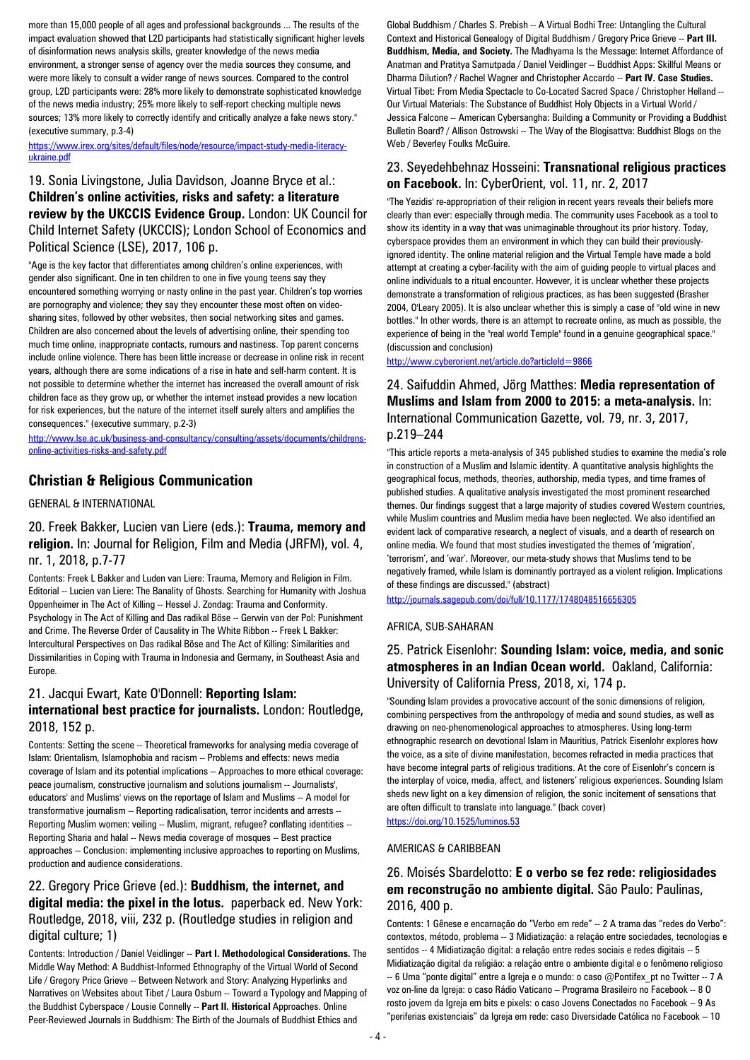more than 15,000 people of all ages and professional backgrounds ... The results of the impact evaluation showed that L2D participants had statistically significant higher levels of disinformation news analysis skills, greater knowledge of the news media environment, a stronger sense of agency over the media sources they consume, and were more likely to consult a wider range of news sources. Compared to the control group, L2D participants were: 28% more likely to demonstrate sophisticated knowledge of the news media industry; 25% more likely to self-report checking multiple news sources; 13% more likely to correctly identify and critically analyze a fake news story." (executive summary, p.3-4)

[https://www.irex.org/sites/default/files/node/resource/impact-study-media-literacy](https://www.irex.org/sites/default/files/node/resource/impact-study-media-literacy-ukraine.pdf)[ukraine.pdf](https://www.irex.org/sites/default/files/node/resource/impact-study-media-literacy-ukraine.pdf)

### 19. Sonia Livingstone, Julia Davidson, Joanne Bryce et al.: **Children's online activities, risks and safety: a literature review by the UKCCIS Evidence Group.** London: UK Council for Child Internet Safety (UKCCIS); London School of Economics and Political Science (LSE), 2017, 106 p.

"Age is the key factor that differentiates among children's online experiences, with gender also significant. One in ten children to one in five young teens say they encountered something worrying or nasty online in the past year. Children's top worries are pornography and violence; they say they encounter these most often on videosharing sites, followed by other websites, then social networking sites and games. Children are also concerned about the levels of advertising online, their spending too much time online, inappropriate contacts, rumours and nastiness. Top parent concerns include online violence. There has been little increase or decrease in online risk in recent years, although there are some indications of a rise in hate and self-harm content. It is not possible to determine whether the internet has increased the overall amount of risk children face as they grow up, or whether the internet instead provides a new location for risk experiences, but the nature of the internet itself surely alters and amplifies the consequences." (executive summary, p.2-3)

[http://www.lse.ac.uk/business-and-consultancy/consulting/assets/documents/childrens](http://www.lse.ac.uk/business-and-consultancy/consulting/assets/documents/childrens-online-activities-risks-and-safety.pdf)[online-activities-risks-and-safety.pdf](http://www.lse.ac.uk/business-and-consultancy/consulting/assets/documents/childrens-online-activities-risks-and-safety.pdf)

#### **Christian & Religious Communication**

GENERAL & INTERNATIONAL

#### 20. Freek Bakker, Lucien van Liere (eds.): **Trauma, memory and religion.** In: Journal for Religion, Film and Media (JRFM), vol. 4, nr. 1, 2018, p.7-77

Contents: Freek L Bakker and Luden van Liere: Trauma, Memory and Religion in Film. Editorial -- Lucien van Liere: The Banality of Ghosts. Searching for Humanity with Joshua Oppenheimer in The Act of Killing -- Hessel J. Zondag: Trauma and Conformity. Psychology in The Act of Killing and Das radikal Böse -- Gerwin van der Pol: Punishment and Crime. The Reverse Order of Causality in The White Ribbon -- Freek L Bakker: Intercultural Perspectives on Das radikal Böse and The Act of Killing: Similarities and Dissimilarities in Coping with Trauma in Indonesia and Germany, in Southeast Asia and Europe.

#### 21. Jacqui Ewart, Kate O'Donnell: **Reporting Islam: international best practice for journalists.** London: Routledge, 2018, 152 p.

Contents: Setting the scene -- Theoretical frameworks for analysing media coverage of Islam: Orientalism, Islamophobia and racism -- Problems and effects: news media coverage of Islam and its potential implications -- Approaches to more ethical coverage: peace journalism, constructive journalism and solutions journalism -- Journalists', educators' and Muslims' views on the reportage of Islam and Muslims -- A model for transformative journalism -- Reporting radicalisation, terror incidents and arrests -- Reporting Muslim women: veiling -- Muslim, migrant, refugee? conflating identities -- Reporting Sharia and halal -- News media coverage of mosques -- Best practice approaches -- Conclusion: implementing inclusive approaches to reporting on Muslims, production and audience considerations.

### 22. Gregory Price Grieve (ed.): **Buddhism, the internet, and digital media: the pixel in the lotus.** paperback ed. New York: Routledge, 2018, viii, 232 p. (Routledge studies in religion and digital culture; 1)

Contents: Introduction / Daniel Veidlinger -- **Part I. Methodological Considerations.** The Middle Way Method: A Buddhist-Informed Ethnography of the Virtual World of Second Life / Gregory Price Grieve -- Between Network and Story: Analyzing Hyperlinks and Narratives on Websites about Tibet / Laura Osburn -- Toward a Typology and Mapping of the Buddhist Cyberspace / Lousie Connelly -- **Part II. Historical** Approaches. Online Peer-Reviewed Journals in Buddhism: The Birth of the Journals of Buddhist Ethics and

Global Buddhism / Charles S. Prebish -- A Virtual Bodhi Tree: Untangling the Cultural Context and Historical Genealogy of Digital Buddhism / Gregory Price Grieve -- **Part III. Buddhism, Media, and Society.** The Madhyama Is the Message: Internet Affordance of Anatman and Pratitya Samutpada / Daniel Veidlinger -- Buddhist Apps: Skillful Means or Dharma Dilution? / Rachel Wagner and Christopher Accardo -- **Part IV. Case Studies.** Virtual Tibet: From Media Spectacle to Co-Located Sacred Space / Christopher Helland -- Our Virtual Materials: The Substance of Buddhist Holy Objects in a Virtual World / Jessica Falcone -- American Cybersangha: Building a Community or Providing a Buddhist Bulletin Board? / Allison Ostrowski -- The Way of the Blogisattva: Buddhist Blogs on the Web / Beverley Foulks McGuire.

#### 23. Seyedehbehnaz Hosseini: **Transnational religious practices on Facebook.** In: CyberOrient, vol. 11, nr. 2, 2017

"The Yezidis' re-appropriation of their religion in recent years reveals their beliefs more clearly than ever: especially through media. The community uses Facebook as a tool to show its identity in a way that was unimaginable throughout its prior history. Today, cyberspace provides them an environment in which they can build their previouslyignored identity. The online material religion and the Virtual Temple have made a bold attempt at creating a cyber-facility with the aim of guiding people to virtual places and online individuals to a ritual encounter. However, it is unclear whether these projects demonstrate a transformation of religious practices, as has been suggested (Brasher 2004, O'Leary 2005). It is also unclear whether this is simply a case of "old wine in new bottles." In other words, there is an attempt to recreate online, as much as possible, the experience of being in the "real world Temple" found in a genuine geographical space." (discussion and conclusion)

<http://www.cyberorient.net/article.do?articleId=9866>

### 24. Saifuddin Ahmed, Jörg Matthes: **Media representation of Muslims and Islam from 2000 to 2015: a meta-analysis.** In: International Communication Gazette, vol. 79, nr. 3, 2017, p.219–244

"This article reports a meta-analysis of 345 published studies to examine the media's role in construction of a Muslim and Islamic identity. A quantitative analysis highlights the geographical focus, methods, theories, authorship, media types, and time frames of published studies. A qualitative analysis investigated the most prominent researched themes. Our findings suggest that a large majority of studies covered Western countries, while Muslim countries and Muslim media have been neglected. We also identified an evident lack of comparative research, a neglect of visuals, and a dearth of research on online media. We found that most studies investigated the themes of 'migration', 'terrorism', and 'war'. Moreover, our meta-study shows that Muslims tend to be negatively framed, while Islam is dominantly portrayed as a violent religion. Implications of these findings are discussed." (abstract)

<http://journals.sagepub.com/doi/full/10.1177/1748048516656305>

#### AFRICA, SUB-SAHARAN

#### 25. Patrick Eisenlohr: **Sounding Islam: voice, media, and sonic atmospheres in an Indian Ocean world.** Oakland, California: University of California Press, 2018, xi, 174 p.

"Sounding Islam provides a provocative account of the sonic dimensions of religion, combining perspectives from the anthropology of media and sound studies, as well as drawing on neo-phenomenological approaches to atmospheres. Using long-term ethnographic research on devotional Islam in Mauritius, Patrick Eisenlohr explores how the voice, as a site of divine manifestation, becomes refracted in media practices that

have become integral parts of religious traditions. At the core of Eisenlohr's concern is the interplay of voice, media, affect, and listeners' religious experiences. Sounding Islam sheds new light on a key dimension of religion, the sonic incitement of sensations that are often difficult to translate into language." (back cover)

<https://doi.org/10.1525/luminos.53>

#### AMERICAS & CARIBBEAN

#### 26. Moisés Sbardelotto: **E o verbo se fez rede: religiosidades em reconstrução no ambiente digital.** São Paulo: Paulinas, 2016, 400 p.

Contents: 1 Gênese e encarnação do "Verbo em rede" -- 2 A trama das "redes do Verbo": contextos, método, problema -- 3 Midiatização: a relação entre sociedades, tecnologias e sentidos -- 4 Midiatização digital: a relação entre redes sociais e redes digitais -- 5 Midiatização digital da religião: a relação entre o ambiente digital e o fenômeno religioso -- 6 Uma "ponte digital" entre a Igreja e o mundo: o caso @Pontifex\_pt no Twitter -- 7 A voz on-line da Igreja: o caso Rádio Vaticano – Programa Brasileiro no Facebook -- 8 O rosto jovem da Igreja em bits e pixels: o caso Jovens Conectados no Facebook -- 9 As "periferias existenciais" da Igreja em rede: caso Diversidade Católica no Facebook -- 10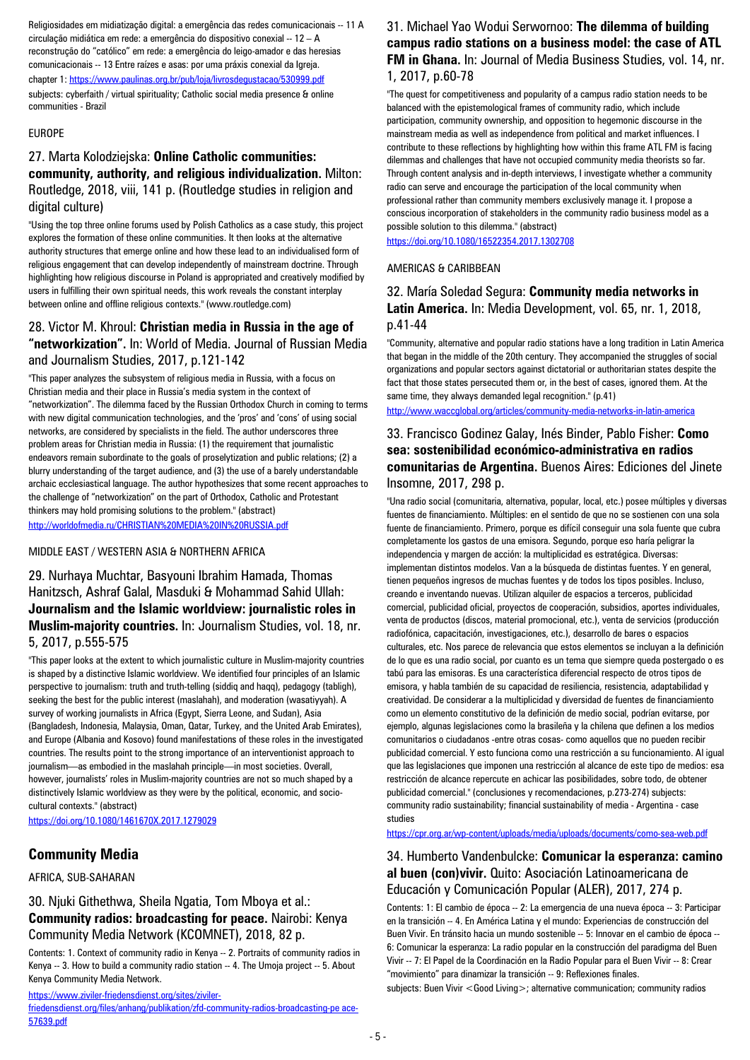Religiosidades em midiatização digital: a emergência das redes comunicacionais -- 11 A circulação midiática em rede: a emergência do dispositivo conexial -- 12 – A reconstrução do "católico" em rede: a emergência do leigo-amador e das heresias comunicacionais -- 13 Entre raízes e asas: por uma práxis conexial da Igreja. chapter 1[: https://www.paulinas.org.br/pub/loja/livrosdegustacao/530999.pdf](https://www.paulinas.org.br/pub/loja/livrosdegustacao/530999.pdf) subjects: cyberfaith / virtual spirituality; Catholic social media presence & online communities - Brazil

#### EUROPE

### 27. Marta Kolodziejska: **Online Catholic communities: community, authority, and religious individualization.** Milton: Routledge, 2018, viii, 141 p. (Routledge studies in religion and digital culture)

"Using the top three online forums used by Polish Catholics as a case study, this project explores the formation of these online communities. It then looks at the alternative authority structures that emerge online and how these lead to an individualised form of religious engagement that can develop independently of mainstream doctrine. Through highlighting how religious discourse in Poland is appropriated and creatively modified by users in fulfilling their own spiritual needs, this work reveals the constant interplay between online and offline religious contexts." (www.routledge.com)

#### 28. Victor M. Khroul: **Christian media in Russia in the age of "networkization".** In: World of Media. Journal of Russian Media and Journalism Studies, 2017, p.121-142

"This paper analyzes the subsystem of religious media in Russia, with a focus on Christian media and their place in Russia's media system in the context of "networkization". The dilemma faced by the Russian Orthodox Church in coming to terms with new digital communication technologies, and the 'pros' and 'cons' of using social networks, are considered by specialists in the field. The author underscores three problem areas for Christian media in Russia: (1) the requirement that journalistic endeavors remain subordinate to the goals of proselytization and public relations; (2) a blurry understanding of the target audience, and (3) the use of a barely understandable archaic ecclesiastical language. The author hypothesizes that some recent approaches to the challenge of "networkization" on the part of Orthodox, Catholic and Protestant thinkers may hold promising solutions to the problem." (abstract) <http://worldofmedia.ru/CHRISTIAN%20MEDIA%20IN%20RUSSIA.pdf>

MIDDLE EAST / WESTERN ASIA & NORTHERN AFRICA

29. Nurhaya Muchtar, Basyouni Ibrahim Hamada, Thomas Hanitzsch, Ashraf Galal, Masduki & Mohammad Sahid Ullah: **Journalism and the Islamic worldview: journalistic roles in Muslim-majority countries.** In: Journalism Studies, vol. 18, nr. 5, 2017, p.555-575

"This paper looks at the extent to which journalistic culture in Muslim-majority countries is shaped by a distinctive Islamic worldview. We identified four principles of an Islamic perspective to journalism: truth and truth-telling (siddiq and haqq), pedagogy (tabligh), seeking the best for the public interest (maslahah), and moderation (wasatiyyah). A survey of working journalists in Africa (Egypt, Sierra Leone, and Sudan), Asia (Bangladesh, Indonesia, Malaysia, Oman, Qatar, Turkey, and the United Arab Emirates), and Europe (Albania and Kosovo) found manifestations of these roles in the investigated countries. The results point to the strong importance of an interventionist approach to journalism—as embodied in the maslahah principle—in most societies. Overall, however, journalists' roles in Muslim-majority countries are not so much shaped by a distinctively Islamic worldview as they were by the political, economic, and sociocultural contexts." (abstract)

<https://doi.org/10.1080/1461670X.2017.1279029>

### **Community Media**

AFRICA, SUB-SAHARAN

### 30. Njuki Githethwa, Sheila Ngatia, Tom Mboya et al.: **Community radios: broadcasting for peace.** Nairobi: Kenya Community Media Network (KCOMNET), 2018, 82 p.

Contents: 1. Context of community radio in Kenya -- 2. Portraits of community radios in Kenya -- 3. How to build a community radio station -- 4. The Umoja project -- 5. About Kenya Community Media Network.

[https://www.ziviler-friedensdienst.org/sites/ziviler-](https://www.ziviler-friedensdienst.org/sites/ziviler-friedensdienst.org/files/anhang/publikation/zfd-community-radios-broadcasting-pe%20ace-57639.pdf)

[friedensdienst.org/files/anhang/publikation/zfd-community-radios-broadcasting-pe ace-](https://www.ziviler-friedensdienst.org/sites/ziviler-friedensdienst.org/files/anhang/publikation/zfd-community-radios-broadcasting-pe%20ace-57639.pdf)[57639.pdf](https://www.ziviler-friedensdienst.org/sites/ziviler-friedensdienst.org/files/anhang/publikation/zfd-community-radios-broadcasting-pe%20ace-57639.pdf)

#### 31. Michael Yao Wodui Serwornoo: **The dilemma of building campus radio stations on a business model: the case of ATL FM in Ghana.** In: Journal of Media Business Studies, vol. 14, nr. 1, 2017, p.60-78

"The quest for competitiveness and popularity of a campus radio station needs to be balanced with the epistemological frames of community radio, which include participation, community ownership, and opposition to hegemonic discourse in the mainstream media as well as independence from political and market influences. I contribute to these reflections by highlighting how within this frame ATL FM is facing dilemmas and challenges that have not occupied community media theorists so far. Through content analysis and in-depth interviews, I investigate whether a community radio can serve and encourage the participation of the local community when professional rather than community members exclusively manage it. I propose a conscious incorporation of stakeholders in the community radio business model as a possible solution to this dilemma." (abstract)

<https://doi.org/10.1080/16522354.2017.1302708>

#### AMERICAS & CARIBBEAN

#### 32. María Soledad Segura: **Community media networks in Latin America.** In: Media Development, vol. 65, nr. 1, 2018, p.41-44

"Community, alternative and popular radio stations have a long tradition in Latin America that began in the middle of the 20th century. They accompanied the struggles of social organizations and popular sectors against dictatorial or authoritarian states despite the fact that those states persecuted them or, in the best of cases, ignored them. At the same time, they always demanded legal recognition." (p.41)

<http://www.waccglobal.org/articles/community-media-networks-in-latin-america>

#### 33. Francisco Godinez Galay, Inés Binder, Pablo Fisher: **Como sea: sostenibilidad económico-administrativa en radios comunitarias de Argentina.** Buenos Aires: Ediciones del Jinete Insomne, 2017, 298 p.

"Una radio social (comunitaria, alternativa, popular, local, etc.) posee múltiples y diversas fuentes de financiamiento. Múltiples: en el sentido de que no se sostienen con una sola fuente de financiamiento. Primero, porque es difícil conseguir una sola fuente que cubra completamente los gastos de una emisora. Segundo, porque eso haría peligrar la independencia y margen de acción: la multiplicidad es estratégica. Diversas: implementan distintos modelos. Van a la búsqueda de distintas fuentes. Y en general, tienen pequeños ingresos de muchas fuentes y de todos los tipos posibles. Incluso, creando e inventando nuevas. Utilizan alquiler de espacios a terceros, publicidad comercial, publicidad oficial, proyectos de cooperación, subsidios, aportes individuales, venta de productos (discos, material promocional, etc.), venta de servicios (producción radiofónica, capacitación, investigaciones, etc.), desarrollo de bares o espacios culturales, etc. Nos parece de relevancia que estos elementos se incluyan a la definición de lo que es una radio social, por cuanto es un tema que siempre queda postergado o es tabú para las emisoras. Es una característica diferencial respecto de otros tipos de emisora, y habla también de su capacidad de resiliencia, resistencia, adaptabilidad y creatividad. De considerar a la multiplicidad y diversidad de fuentes de financiamiento como un elemento constitutivo de la definición de medio social, podrían evitarse, por ejemplo, algunas legislaciones como la brasileña y la chilena que definen a los medios comunitarios o ciudadanos -entre otras cosas- como aquellos que no pueden recibir publicidad comercial. Y esto funciona como una restricción a su funcionamiento. Al igual que las legislaciones que imponen una restricción al alcance de este tipo de medios: esa restricción de alcance repercute en achicar las posibilidades, sobre todo, de obtener publicidad comercial." (conclusiones y recomendaciones, p.273-274) subjects: community radio sustainability; financial sustainability of media - Argentina - case studies

<https://cpr.org.ar/wp-content/uploads/media/uploads/documents/como-sea-web.pdf>

#### 34. Humberto Vandenbulcke: **Comunicar la esperanza: camino al buen (con)vivir.** Quito: Asociación Latinoamericana de Educación y Comunicación Popular (ALER), 2017, 274 p.

Contents: 1: El cambio de época -- 2: La emergencia de una nueva época -- 3: Participar en la transición -- 4. En América Latina y el mundo: Experiencias de construcción del Buen Vivir. En tránsito hacia un mundo sostenible -- 5: Innovar en el cambio de época -- 6: Comunicar la esperanza: La radio popular en la construcción del paradigma del Buen Vivir -- 7: El Papel de la Coordinación en la Radio Popular para el Buen Vivir -- 8: Crear "movimiento" para dinamizar la transición -- 9: Reflexiones finales.

subjects: Buen Vivir < Good Living>; alternative communication; community radios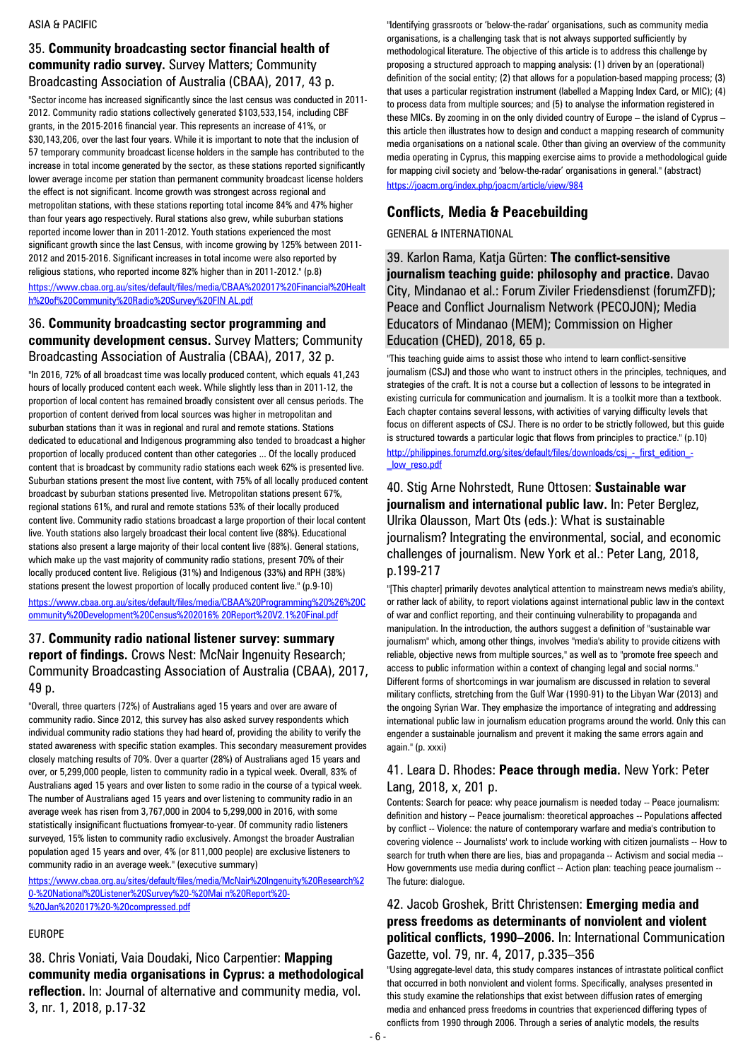#### ASIA & PACIFIC

#### 35. **Community broadcasting sector financial health of community radio survey.** Survey Matters; Community Broadcasting Association of Australia (CBAA), 2017, 43 p.

"Sector income has increased significantly since the last census was conducted in 2011- 2012. Community radio stations collectively generated \$103,533,154, including CBF grants, in the 2015-2016 financial year. This represents an increase of 41%, or \$30,143,206, over the last four years. While it is important to note that the inclusion of 57 temporary community broadcast license holders in the sample has contributed to the increase in total income generated by the sector, as these stations reported significantly lower average income per station than permanent community broadcast license holders the effect is not significant. Income growth was strongest across regional and metropolitan stations, with these stations reporting total income 84% and 47% higher than four years ago respectively. Rural stations also grew, while suburban stations reported income lower than in 2011-2012. Youth stations experienced the most significant growth since the last Census, with income growing by 125% between 2011- 2012 and 2015-2016. Significant increases in total income were also reported by religious stations, who reported income 82% higher than in 2011-2012." (p.8) [https://www.cbaa.org.au/sites/default/files/media/CBAA%202017%20Financial%20Healt](https://www.cbaa.org.au/sites/default/files/media/CBAA%202017%20Financial%20Health%20of%20Community%20Radio%20Survey%20FIN%20AL.pdf) [h%20of%20Community%20Radio%20Survey%20FIN AL.pdf](https://www.cbaa.org.au/sites/default/files/media/CBAA%202017%20Financial%20Health%20of%20Community%20Radio%20Survey%20FIN%20AL.pdf)

#### 36. **Community broadcasting sector programming and community development census.** Survey Matters; Community Broadcasting Association of Australia (CBAA), 2017, 32 p.

"In 2016, 72% of all broadcast time was locally produced content, which equals 41,243 hours of locally produced content each week. While slightly less than in 2011-12, the proportion of local content has remained broadly consistent over all census periods. The proportion of content derived from local sources was higher in metropolitan and suburban stations than it was in regional and rural and remote stations. Stations dedicated to educational and Indigenous programming also tended to broadcast a higher proportion of locally produced content than other categories ... Of the locally produced content that is broadcast by community radio stations each week 62% is presented live. Suburban stations present the most live content, with 75% of all locally produced content broadcast by suburban stations presented live. Metropolitan stations present 67%, regional stations 61%, and rural and remote stations 53% of their locally produced content live. Community radio stations broadcast a large proportion of their local content live. Youth stations also largely broadcast their local content live (88%). Educational stations also present a large majority of their local content live (88%). General stations, which make up the vast majority of community radio stations, present 70% of their locally produced content live. Religious (31%) and Indigenous (33%) and RPH (38%) stations present the lowest proportion of locally produced content live." (p.9-10) [https://www.cbaa.org.au/sites/default/files/media/CBAA%20Programming%20%26%20C](https://www.cbaa.org.au/sites/default/files/media/CBAA%20Programming%20%26%20Community%20Development%20Census%202016%25%2020Report%20V2.1%20Final.pdf)

[ommunity%20Development%20Census%202016% 20Report%20V2.1%20Final.pdf](https://www.cbaa.org.au/sites/default/files/media/CBAA%20Programming%20%26%20Community%20Development%20Census%202016%25%2020Report%20V2.1%20Final.pdf)

#### 37. **Community radio national listener survey: summary report of findings.** Crows Nest: McNair Ingenuity Research; Community Broadcasting Association of Australia (CBAA), 2017, 49 p.

"Overall, three quarters (72%) of Australians aged 15 years and over are aware of community radio. Since 2012, this survey has also asked survey respondents which individual community radio stations they had heard of, providing the ability to verify the stated awareness with specific station examples. This secondary measurement provides closely matching results of 70%. Over a quarter (28%) of Australians aged 15 years and over, or 5,299,000 people, listen to community radio in a typical week. Overall, 83% of Australians aged 15 years and over listen to some radio in the course of a typical week. The number of Australians aged 15 years and over listening to community radio in an average week has risen from 3,767,000 in 2004 to 5,299,000 in 2016, with some statistically insignificant fluctuations fromyear-to-year. Of community radio listeners surveyed, 15% listen to community radio exclusively. Amongst the broader Australian population aged 15 years and over, 4% (or 811,000 people) are exclusive listeners to community radio in an average week." (executive summary)

[https://www.cbaa.org.au/sites/default/files/media/McNair%20Ingenuity%20Research%2](https://www.cbaa.org.au/sites/default/files/media/McNair%20Ingenuity%20Research%20-%20National%20Listener%20Survey%20-%20Mai%20n%20Report%20-%20Jan%202017%20-%20compressed.pdf) [0-%20National%20Listener%20Survey%20-%20Mai n%20Report%20-](https://www.cbaa.org.au/sites/default/files/media/McNair%20Ingenuity%20Research%20-%20National%20Listener%20Survey%20-%20Mai%20n%20Report%20-%20Jan%202017%20-%20compressed.pdf) [%20Jan%202017%20-%20compressed.pdf](https://www.cbaa.org.au/sites/default/files/media/McNair%20Ingenuity%20Research%20-%20National%20Listener%20Survey%20-%20Mai%20n%20Report%20-%20Jan%202017%20-%20compressed.pdf)

#### EUROPE

38. Chris Voniati, Vaia Doudaki, Nico Carpentier: **Mapping community media organisations in Cyprus: a methodological reflection.** In: Journal of alternative and community media, vol. 3, nr. 1, 2018, p.17-32

"Identifying grassroots or 'below-the-radar' organisations, such as community media organisations, is a challenging task that is not always supported sufficiently by methodological literature. The objective of this article is to address this challenge by proposing a structured approach to mapping analysis: (1) driven by an (operational) definition of the social entity; (2) that allows for a population-based mapping process; (3) that uses a particular registration instrument (labelled a Mapping Index Card, or MIC); (4) to process data from multiple sources; and (5) to analyse the information registered in these MICs. By zooming in on the only divided country of Europe – the island of Cyprus – this article then illustrates how to design and conduct a mapping research of community media organisations on a national scale. Other than giving an overview of the community media operating in Cyprus, this mapping exercise aims to provide a methodological guide for mapping civil society and 'below-the-radar' organisations in general." (abstract) <https://joacm.org/index.php/joacm/article/view/984>

# **Conflicts, Media & Peacebuilding**

GENERAL & INTERNATIONAL

39. Karlon Rama, Katja Gürten: **The conflict-sensitive journalism teaching guide: philosophy and practice.** Davao City, Mindanao et al.: Forum Ziviler Friedensdienst (forumZFD); Peace and Conflict Journalism Network (PECOJON); Media Educators of Mindanao (MEM); Commission on Higher Education (CHED), 2018, 65 p.

"This teaching guide aims to assist those who intend to learn conflict-sensitive journalism (CSJ) and those who want to instruct others in the principles, techniques, and strategies of the craft. It is not a course but a collection of lessons to be integrated in existing curricula for communication and journalism. It is a toolkit more than a textbook. Each chapter contains several lessons, with activities of varying difficulty levels that focus on different aspects of CSJ. There is no order to be strictly followed, but this guide is structured towards a particular logic that flows from principles to practice." (p.10) http://philippines.forumzfd.org/sites/default/files/downloads/csi - first\_edition\_-[\\_low\\_reso.pdf](http://philippines.forumzfd.org/sites/default/files/downloads/csj_-_first_edition_-_low_reso.pdf)

### 40. Stig Arne Nohrstedt, Rune Ottosen: **Sustainable war journalism and international public law.** In: Peter Berglez, Ulrika Olausson, Mart Ots (eds.): What is sustainable journalism? Integrating the environmental, social, and economic challenges of journalism. New York et al.: Peter Lang, 2018, p.199-217

"[This chapter] primarily devotes analytical attention to mainstream news media's ability, or rather lack of ability, to report violations against international public law in the context of war and conflict reporting, and their continuing vulnerability to propaganda and manipulation. In the introduction, the authors suggest a definition of "sustainable war journalism" which, among other things, involves "media's ability to provide citizens with reliable, objective news from multiple sources," as well as to "promote free speech and access to public information within a context of changing legal and social norms." Different forms of shortcomings in war journalism are discussed in relation to several military conflicts, stretching from the Gulf War (1990-91) to the Libyan War (2013) and the ongoing Syrian War. They emphasize the importance of integrating and addressing international public law in journalism education programs around the world. Only this can engender a sustainable journalism and prevent it making the same errors again and again." (p. xxxi)

#### 41. Leara D. Rhodes: **Peace through media.** New York: Peter Lang, 2018, x, 201 p.

Contents: Search for peace: why peace journalism is needed today -- Peace journalism: definition and history -- Peace journalism: theoretical approaches -- Populations affected by conflict -- Violence: the nature of contemporary warfare and media's contribution to covering violence -- Journalists' work to include working with citizen journalists -- How to search for truth when there are lies, bias and propaganda -- Activism and social media -- How governments use media during conflict -- Action plan: teaching peace journalism --The future: dialogue.

### 42. Jacob Groshek, Britt Christensen: **Emerging media and press freedoms as determinants of nonviolent and violent political conflicts, 1990–2006.** In: International Communication Gazette, vol. 79, nr. 4, 2017, p.335–356

"Using aggregate-level data, this study compares instances of intrastate political conflict that occurred in both nonviolent and violent forms. Specifically, analyses presented in this study examine the relationships that exist between diffusion rates of emerging media and enhanced press freedoms in countries that experienced differing types of conflicts from 1990 through 2006. Through a series of analytic models, the results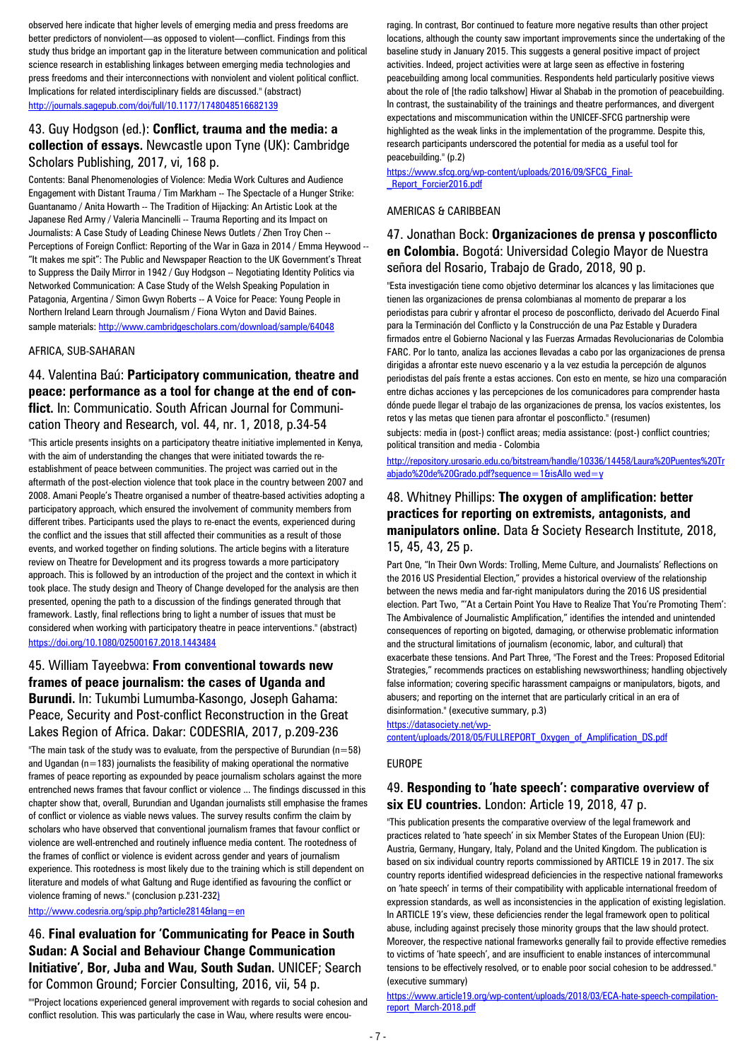observed here indicate that higher levels of emerging media and press freedoms are better predictors of nonviolent—as opposed to violent—conflict. Findings from this study thus bridge an important gap in the literature between communication and political science research in establishing linkages between emerging media technologies and press freedoms and their interconnections with nonviolent and violent political conflict. Implications for related interdisciplinary fields are discussed." (abstract) <http://journals.sagepub.com/doi/full/10.1177/1748048516682139>

### 43. Guy Hodgson (ed.): **Conflict, trauma and the media: a collection of essays.** Newcastle upon Tyne (UK): Cambridge Scholars Publishing, 2017, vi, 168 p.

Contents: Banal Phenomenologies of Violence: Media Work Cultures and Audience Engagement with Distant Trauma / Tim Markham -- The Spectacle of a Hunger Strike: Guantanamo / Anita Howarth -- The Tradition of Hijacking: An Artistic Look at the Japanese Red Army / Valeria Mancinelli -- Trauma Reporting and its Impact on Journalists: A Case Study of Leading Chinese News Outlets / Zhen Troy Chen -- Perceptions of Foreign Conflict: Reporting of the War in Gaza in 2014 / Emma Heywood --"It makes me spit": The Public and Newspaper Reaction to the UK Government's Threat to Suppress the Daily Mirror in 1942 / Guy Hodgson -- Negotiating Identity Politics via Networked Communication: A Case Study of the Welsh Speaking Population in Patagonia, Argentina / Simon Gwyn Roberts -- A Voice for Peace: Young People in Northern Ireland Learn through Journalism / Fiona Wyton and David Baines. sample materials: <http://www.cambridgescholars.com/download/sample/64048>

#### AFRICA, SUB-SAHARAN

#### 44. Valentina Baú: **Participatory communication, theatre and peace: performance as a tool for change at the end of conflict.** In: Communicatio. South African Journal for Communication Theory and Research, vol. 44, nr. 1, 2018, p.34-54

"This article presents insights on a participatory theatre initiative implemented in Kenya, with the aim of understanding the changes that were initiated towards the reestablishment of peace between communities. The project was carried out in the aftermath of the post-election violence that took place in the country between 2007 and 2008. Amani People's Theatre organised a number of theatre-based activities adopting a participatory approach, which ensured the involvement of community members from different tribes. Participants used the plays to re-enact the events, experienced during the conflict and the issues that still affected their communities as a result of those events, and worked together on finding solutions. The article begins with a literature review on Theatre for Development and its progress towards a more participatory approach. This is followed by an introduction of the project and the context in which it took place. The study design and Theory of Change developed for the analysis are then presented, opening the path to a discussion of the findings generated through that framework. Lastly, final reflections bring to light a number of issues that must be considered when working with participatory theatre in peace interventions." (abstract) <https://doi.org/10.1080/02500167.2018.1443484>

#### 45. William Tayeebwa: **From conventional towards new frames of peace journalism: the cases of Uganda and Burundi.** In: Tukumbi Lumumba-Kasongo, Joseph Gahama: Peace, Security and Post-conflict Reconstruction in the Great Lakes Region of Africa. Dakar: CODESRIA, 2017, p.209-236

"The main task of the study was to evaluate, from the perspective of Burundian ( $n=58$ ) and Ugandan ( $n=183$ ) journalists the feasibility of making operational the normative frames of peace reporting as expounded by peace journalism scholars against the more entrenched news frames that favour conflict or violence ... The findings discussed in this chapter show that, overall, Burundian and Ugandan journalists still emphasise the frames of conflict or violence as viable news values. The survey results confirm the claim by scholars who have observed that conventional journalism frames that favour conflict or violence are well-entrenched and routinely influence media content. The rootedness of the frames of conflict or violence is evident across gender and years of journalism experience. This rootedness is most likely due to the training which is still dependent on literature and models of what Galtung and Ruge identified as favouring the conflict or violence framing of news." (conclusion p.231-232)

#### http://www.codesria.org/spip.php?article2814&lang=en

46. **Final evaluation for 'Communicating for Peace in South Sudan: A Social and Behaviour Change Communication Initiative', Bor, Juba and Wau, South Sudan.** UNICEF; Search for Common Ground; Forcier Consulting, 2016, vii, 54 p.

""Project locations experienced general improvement with regards to social cohesion and conflict resolution. This was particularly the case in Wau, where results were encouraging. In contrast, Bor continued to feature more negative results than other project locations, although the county saw important improvements since the undertaking of the baseline study in January 2015. This suggests a general positive impact of project activities. Indeed, project activities were at large seen as effective in fostering peacebuilding among local communities. Respondents held particularly positive views about the role of [the radio talkshow] Hiwar al Shabab in the promotion of peacebuilding. In contrast, the sustainability of the trainings and theatre performances, and divergent expectations and miscommunication within the UNICEF-SFCG partnership were highlighted as the weak links in the implementation of the programme. Despite this, research participants underscored the potential for media as a useful tool for peacebuilding." (p.2)

#### [https://www.sfcg.org/wp-content/uploads/2016/09/SFCG\\_Final-](https://www.sfcg.org/wp-content/uploads/2016/09/SFCG_Final-_Report_Forcier2016.pdf) Report\_Forcier2016.pdf

#### AMERICAS & CARIBBEAN

#### 47. Jonathan Bock: **Organizaciones de prensa y posconflicto en Colombia.** Bogotá: Universidad Colegio Mayor de Nuestra señora del Rosario, Trabajo de Grado, 2018, 90 p.

"Esta investigación tiene como objetivo determinar los alcances y las limitaciones que tienen las organizaciones de prensa colombianas al momento de preparar a los periodistas para cubrir y afrontar el proceso de posconflicto, derivado del Acuerdo Final para la Terminación del Conflicto y la Construcción de una Paz Estable y Duradera firmados entre el Gobierno Nacional y las Fuerzas Armadas Revolucionarias de Colombia FARC. Por lo tanto, analiza las acciones llevadas a cabo por las organizaciones de prensa dirigidas a afrontar este nuevo escenario y a la vez estudia la percepción de algunos periodistas del país frente a estas acciones. Con esto en mente, se hizo una comparación entre dichas acciones y las percepciones de los comunicadores para comprender hasta dónde puede llegar el trabajo de las organizaciones de prensa, los vacíos existentes, los retos y las metas que tienen para afrontar el posconflicto." (resumen)

subjects: media in (post-) conflict areas; media assistance: (post-) conflict countries; political transition and media - Colombia

[http://repository.urosario.edu.co/bitstream/handle/10336/14458/Laura%20Puentes%20Tr](http://repository.urosario.edu.co/bitstream/handle/10336/14458/Laura%20Puentes%20Trabjado%20de%20Grado.pdf?sequence=1&isAllo%20wed=y) [abjado%20de%20Grado.pdf?sequence=1&isAllo wed=y](http://repository.urosario.edu.co/bitstream/handle/10336/14458/Laura%20Puentes%20Trabjado%20de%20Grado.pdf?sequence=1&isAllo%20wed=y)

#### 48. Whitney Phillips: **The oxygen of amplification: better practices for reporting on extremists, antagonists, and manipulators online.** Data & Society Research Institute, 2018, 15, 45, 43, 25 p.

Part One, "In Their Own Words: Trolling, Meme Culture, and Journalists' Reflections on the 2016 US Presidential Election," provides a historical overview of the relationship between the news media and far-right manipulators during the 2016 US presidential election. Part Two, "'At a Certain Point You Have to Realize That You're Promoting Them': The Ambivalence of Journalistic Amplification," identifies the intended and unintended consequences of reporting on bigoted, damaging, or otherwise problematic information and the structural limitations of journalism (economic, labor, and cultural) that exacerbate these tensions. And Part Three, "The Forest and the Trees: Proposed Editorial Strategies," recommends practices on establishing newsworthiness; handling objectively false information; covering specific harassment campaigns or manipulators, bigots, and abusers; and reporting on the internet that are particularly critical in an era of disinformation." (executive summary, p.3)

[https://datasociety.net/wp-](https://datasociety.net/wp-content/uploads/2018/05/FULLREPORT_Oxygen_of_Amplification_DS.pdf)

[content/uploads/2018/05/FULLREPORT\\_Oxygen\\_of\\_Amplification\\_DS.pdf](https://datasociety.net/wp-content/uploads/2018/05/FULLREPORT_Oxygen_of_Amplification_DS.pdf)

#### EUROPE

#### 49. **Responding to 'hate speech': comparative overview of six EU countries.** London: Article 19, 2018, 47 p.

"This publication presents the comparative overview of the legal framework and practices related to 'hate speech' in six Member States of the European Union (EU): Austria, Germany, Hungary, Italy, Poland and the United Kingdom. The publication is based on six individual country reports commissioned by ARTICLE 19 in 2017. The six country reports identified widespread deficiencies in the respective national frameworks on 'hate speech' in terms of their compatibility with applicable international freedom of expression standards, as well as inconsistencies in the application of existing legislation. In ARTICLE 19's view, these deficiencies render the legal framework open to political abuse, including against precisely those minority groups that the law should protect. Moreover, the respective national frameworks generally fail to provide effective remedies to victims of 'hate speech', and are insufficient to enable instances of intercommunal tensions to be effectively resolved, or to enable poor social cohesion to be addressed." (executive summary)

[https://www.article19.org/wp-content/uploads/2018/03/ECA-hate-speech-compilation](https://www.article19.org/wp-content/uploads/2018/03/ECA-hate-speech-compilation-report_March-2018.pdf)[report\\_March-2018.pdf](https://www.article19.org/wp-content/uploads/2018/03/ECA-hate-speech-compilation-report_March-2018.pdf)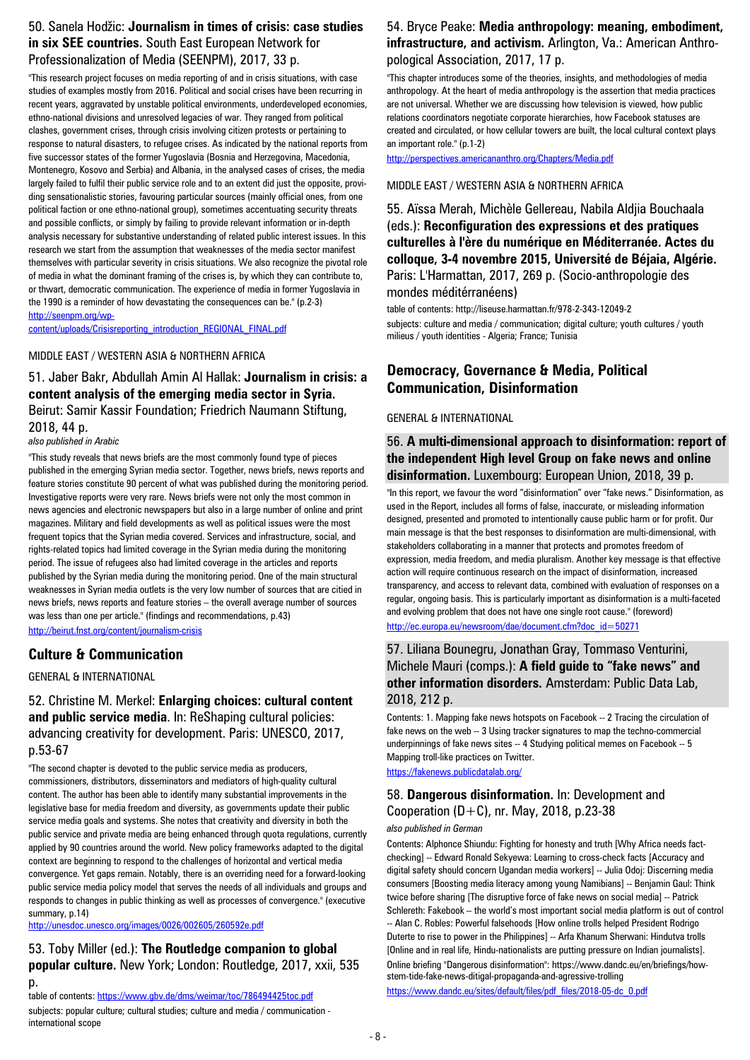#### 50. Sanela Hodžic: **Journalism in times of crisis: case studies in six SEE countries.** South East European Network for Professionalization of Media (SEENPM), 2017, 33 p.

"This research project focuses on media reporting of and in crisis situations, with case studies of examples mostly from 2016. Political and social crises have been recurring in recent years, aggravated by unstable political environments, underdeveloped economies, ethno-national divisions and unresolved legacies of war. They ranged from political clashes, government crises, through crisis involving citizen protests or pertaining to response to natural disasters, to refugee crises. As indicated by the national reports from five successor states of the former Yugoslavia (Bosnia and Herzegovina, Macedonia, Montenegro, Kosovo and Serbia) and Albania, in the analysed cases of crises, the media largely failed to fulfil their public service role and to an extent did just the opposite, providing sensationalistic stories, favouring particular sources (mainly official ones, from one political faction or one ethno-national group), sometimes accentuating security threats and possible conflicts, or simply by failing to provide relevant information or in-depth analysis necessary for substantive understanding of related public interest issues. In this research we start from the assumption that weaknesses of the media sector manifest themselves with particular severity in crisis situations. We also recognize the pivotal role of media in what the dominant framing of the crises is, by which they can contribute to, or thwart, democratic communication. The experience of media in former Yugoslavia in the 1990 is a reminder of how devastating the consequences can be." (p.2-3) [http://seenpm.org/wp-](http://seenpm.org/wp-content/uploads/Crisisreporting_introduction_REGIONAL_FINAL.pdf)

[content/uploads/Crisisreporting\\_introduction\\_REGIONAL\\_FINAL.pdf](http://seenpm.org/wp-content/uploads/Crisisreporting_introduction_REGIONAL_FINAL.pdf)

#### MIDDLE EAST / WESTERN ASIA & NORTHERN AFRICA

51. Jaber Bakr, Abdullah Amin Al Hallak: **Journalism in crisis: a content analysis of the emerging media sector in Syria.**  Beirut: Samir Kassir Foundation; Friedrich Naumann Stiftung, 2018, 44 p.

*also published in Arabic*

"This study reveals that news briefs are the most commonly found type of pieces published in the emerging Syrian media sector. Together, news briefs, news reports and feature stories constitute 90 percent of what was published during the monitoring period. Investigative reports were very rare. News briefs were not only the most common in news agencies and electronic newspapers but also in a large number of online and print magazines. Military and field developments as well as political issues were the most frequent topics that the Syrian media covered. Services and infrastructure, social, and rights-related topics had limited coverage in the Syrian media during the monitoring period. The issue of refugees also had limited coverage in the articles and reports published by the Syrian media during the monitoring period. One of the main structural weaknesses in Syrian media outlets is the very low number of sources that are citied in news briefs, news reports and feature stories – the overall average number of sources was less than one per article." (findings and recommendations, p.43) <http://beirut.fnst.org/content/journalism-crisis>

### **Culture & Communication**

GENERAL & INTERNATIONAL

52. Christine M. Merkel: **Enlarging choices: cultural content and public service media**. In: ReShaping cultural policies: advancing creativity for development. Paris: UNESCO, 2017, p.53-67

"The second chapter is devoted to the public service media as producers, commissioners, distributors, disseminators and mediators of high-quality cultural content. The author has been able to identify many substantial improvements in the legislative base for media freedom and diversity, as governments update their public service media goals and systems. She notes that creativity and diversity in both the public service and private media are being enhanced through quota regulations, currently applied by 90 countries around the world. New policy frameworks adapted to the digital context are beginning to respond to the challenges of horizontal and vertical media convergence. Yet gaps remain. Notably, there is an overriding need for a forward-looking public service media policy model that serves the needs of all individuals and groups and responds to changes in public thinking as well as processes of convergence." (executive summary, p.14)

<http://unesdoc.unesco.org/images/0026/002605/260592e.pdf>

53. Toby Miller (ed.): **The Routledge companion to global popular culture.** New York; London: Routledge, 2017, xxii, 535 p.

table of contents[: https://www.gbv.de/dms/weimar/toc/786494425toc.pdf](https://www.gbv.de/dms/weimar/toc/786494425toc.pdf)

subjects: popular culture; cultural studies; culture and media / communication international scope

#### 54. Bryce Peake: **Media anthropology: meaning, embodiment, infrastructure, and activism.** Arlington, Va.: American Anthropological Association, 2017, 17 p.

"This chapter introduces some of the theories, insights, and methodologies of media anthropology. At the heart of media anthropology is the assertion that media practices are not universal. Whether we are discussing how television is viewed, how public relations coordinators negotiate corporate hierarchies, how Facebook statuses are created and circulated, or how cellular towers are built, the local cultural context plays an important role." (p.1-2)

<http://perspectives.americananthro.org/Chapters/Media.pdf>

#### MIDDLE EAST / WESTERN ASIA & NORTHERN AFRICA

55. Aïssa Merah, Michèle Gellereau, Nabila Aldjia Bouchaala (eds.): **Reconfiguration des expressions et des pratiques culturelles à l'ère du numérique en Méditerranée. Actes du colloque, 3-4 novembre 2015, Université de Béjaia, Algérie.**  Paris: L'Harmattan, 2017, 269 p. (Socio-anthropologie des mondes méditérranéens)

table of contents: http://liseuse.harmattan.fr/978-2-343-12049-2 subjects: culture and media / communication; digital culture; youth cultures / youth milieus / youth identities - Algeria; France; Tunisia

### **Democracy, Governance & Media, Political Communication, Disinformation**

#### GENERAL & INTERNATIONAL

#### 56. **A multi-dimensional approach to disinformation: report of the independent High level Group on fake news and online disinformation.** Luxembourg: European Union, 2018, 39 p.

"In this report, we favour the word "disinformation" over "fake news." Disinformation, as used in the Report, includes all forms of false, inaccurate, or misleading information designed, presented and promoted to intentionally cause public harm or for profit. Our main message is that the best responses to disinformation are multi-dimensional, with stakeholders collaborating in a manner that protects and promotes freedom of expression, media freedom, and media pluralism. Another key message is that effective action will require continuous research on the impact of disinformation, increased transparency, and access to relevant data, combined with evaluation of responses on a regular, ongoing basis. This is particularly important as disinformation is a multi-faceted and evolving problem that does not have one single root cause." (foreword) [http://ec.europa.eu/newsroom/dae/document.cfm?doc\\_id=50271](http://ec.europa.eu/newsroom/dae/document.cfm?doc_id=50271)

### 57. Liliana Bounegru, Jonathan Gray, Tommaso Venturini, Michele Mauri (comps.): **A field guide to "fake news" and other information disorders.** Amsterdam: Public Data Lab, 2018, 212 p.

Contents: 1. Mapping fake news hotspots on Facebook -- 2 Tracing the circulation of fake news on the web -- 3 Using tracker signatures to map the techno-commercial underpinnings of fake news sites -- 4 Studying political memes on Facebook -- 5 Mapping troll-like practices on Twitter. <https://fakenews.publicdatalab.org/>

### 58. **Dangerous disinformation.** In: Development and Cooperation  $(D+C)$ , nr. May, 2018, p.23-38 *also published in German*

Contents: Alphonce Shiundu: Fighting for honesty and truth [Why Africa needs factchecking] -- Edward Ronald Sekyewa: Learning to cross-check facts [Accuracy and digital safety should concern Ugandan media workers] -- Julia Odoj: Discerning media consumers [Boosting media literacy among young Namibians] -- Benjamin Gaul: Think twice before sharing [The disruptive force of fake news on social media] -- Patrick Schlereth: Fakebook – the world's most important social media platform is out of control -- Alan C. Robles: Powerful falsehoods [How online trolls helped President Rodrigo Duterte to rise to power in the Philippines] -- Arfa Khanum Sherwani: Hindutva trolls [Online and in real life, Hindu-nationalists are putting pressure on Indian journalists]. Online briefing "Dangerous disinformation": https://www.dandc.eu/en/briefings/howstem-tide-fake-news-ditigal-propaganda-and-agressive-trolling [https://www.dandc.eu/sites/default/files/pdf\\_files/2018-05-dc\\_0.pdf](https://www.dandc.eu/sites/default/files/pdf_files/2018-05-dc_0.pdf)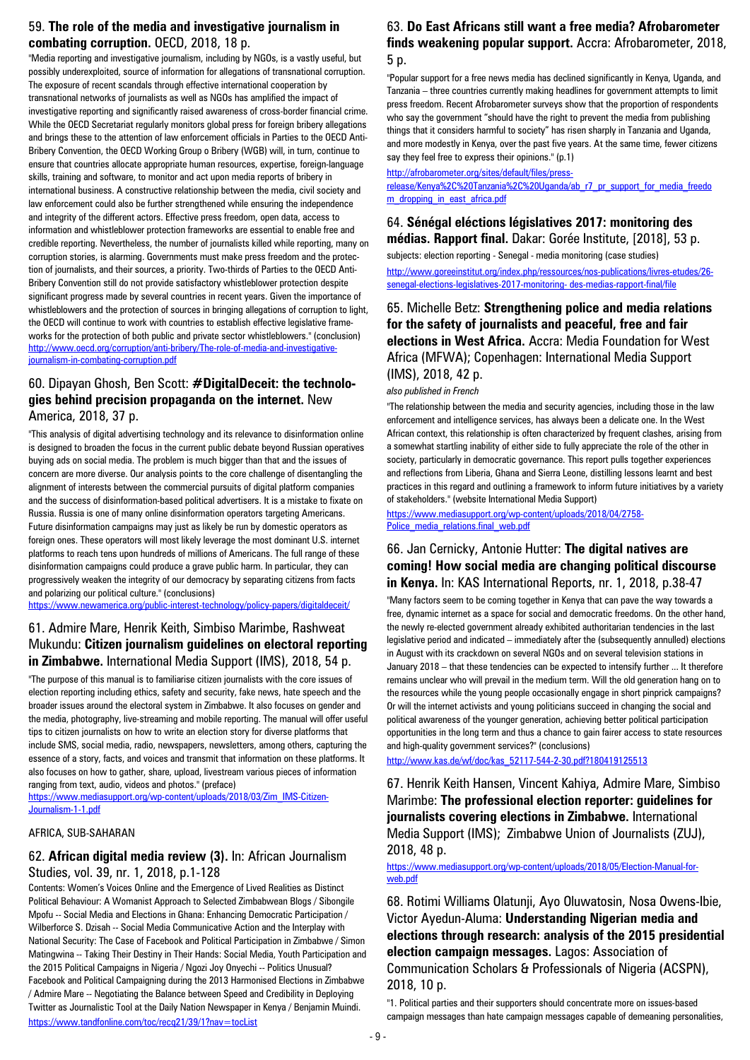### 59. **The role of the media and investigative journalism in combating corruption.** OECD, 2018, 18 p.

"Media reporting and investigative journalism, including by NGOs, is a vastly useful, but possibly underexploited, source of information for allegations of transnational corruption. The exposure of recent scandals through effective international cooperation by transnational networks of journalists as well as NGOs has amplified the impact of investigative reporting and significantly raised awareness of cross-border financial crime. While the OECD Secretariat regularly monitors global press for foreign bribery allegations and brings these to the attention of law enforcement officials in Parties to the OECD Anti-Bribery Convention, the OECD Working Group o Bribery (WGB) will, in turn, continue to ensure that countries allocate appropriate human resources, expertise, foreign-language skills, training and software, to monitor and act upon media reports of bribery in international business. A constructive relationship between the media, civil society and law enforcement could also be further strengthened while ensuring the independence and integrity of the different actors. Effective press freedom, open data, access to information and whistleblower protection frameworks are essential to enable free and credible reporting. Nevertheless, the number of journalists killed while reporting, many on corruption stories, is alarming. Governments must make press freedom and the protection of journalists, and their sources, a priority. Two-thirds of Parties to the OECD Anti-Bribery Convention still do not provide satisfactory whistleblower protection despite significant progress made by several countries in recent years. Given the importance of whistleblowers and the protection of sources in bringing allegations of corruption to light, the OECD will continue to work with countries to establish effective legislative frameworks for the protection of both public and private sector whistleblowers." (conclusion) [http://www.oecd.org/corruption/anti-bribery/The-role-of-media-and-investigative](http://www.oecd.org/corruption/anti-bribery/The-role-of-media-and-investigative-journalism-in-combating-corruption.pdf)[journalism-in-combating-corruption.pdf](http://www.oecd.org/corruption/anti-bribery/The-role-of-media-and-investigative-journalism-in-combating-corruption.pdf)

#### 60. Dipayan Ghosh, Ben Scott: **#DigitalDeceit: the technologies behind precision propaganda on the internet.** New America, 2018, 37 p.

"This analysis of digital advertising technology and its relevance to disinformation online is designed to broaden the focus in the current public debate beyond Russian operatives buying ads on social media. The problem is much bigger than that and the issues of concern are more diverse. Our analysis points to the core challenge of disentangling the alignment of interests between the commercial pursuits of digital platform companies and the success of disinformation-based political advertisers. It is a mistake to fixate on Russia. Russia is one of many online disinformation operators targeting Americans. Future disinformation campaigns may just as likely be run by domestic operators as foreign ones. These operators will most likely leverage the most dominant U.S. internet platforms to reach tens upon hundreds of millions of Americans. The full range of these disinformation campaigns could produce a grave public harm. In particular, they can progressively weaken the integrity of our democracy by separating citizens from facts and polarizing our political culture." (conclusions)

<https://www.newamerica.org/public-interest-technology/policy-papers/digitaldeceit/>

### 61. Admire Mare, Henrik Keith, Simbiso Marimbe, Rashweat Mukundu: **Citizen journalism guidelines on electoral reporting in Zimbabwe.** International Media Support (IMS), 2018, 54 p.

"The purpose of this manual is to familiarise citizen journalists with the core issues of election reporting including ethics, safety and security, fake news, hate speech and the broader issues around the electoral system in Zimbabwe. It also focuses on gender and the media, photography, live-streaming and mobile reporting. The manual will offer useful tips to citizen journalists on how to write an election story for diverse platforms that include SMS, social media, radio, newspapers, newsletters, among others, capturing the essence of a story, facts, and voices and transmit that information on these platforms. It also focuses on how to gather, share, upload, livestream various pieces of information ranging from text, audio, videos and photos." (preface)

[https://www.mediasupport.org/wp-content/uploads/2018/03/Zim\\_IMS-Citizen-](https://www.mediasupport.org/wp-content/uploads/2018/03/Zim_IMS-Citizen-Journalism-1-1.pdf)[Journalism-1-1.pdf](https://www.mediasupport.org/wp-content/uploads/2018/03/Zim_IMS-Citizen-Journalism-1-1.pdf)

#### AFRICA, SUB-SAHARAN

#### 62. **African digital media review (3).** In: African Journalism Studies, vol. 39, nr. 1, 2018, p.1-128

Contents: Women's Voices Online and the Emergence of Lived Realities as Distinct Political Behaviour: A Womanist Approach to Selected Zimbabwean Blogs / Sibongile Mpofu -- Social Media and Elections in Ghana: Enhancing Democratic Participation / Wilberforce S. Dzisah -- Social Media Communicative Action and the Interplay with National Security: The Case of Facebook and Political Participation in Zimbabwe / Simon Matingwina -- Taking Their Destiny in Their Hands: Social Media, Youth Participation and the 2015 Political Campaigns in Nigeria / Ngozi Joy Onyechi -- Politics Unusual? Facebook and Political Campaigning during the 2013 Harmonised Elections in Zimbabwe / Admire Mare -- Negotiating the Balance between Speed and Credibility in Deploying Twitter as Journalistic Tool at the Daily Nation Newspaper in Kenya / Benjamin Muindi. <https://www.tandfonline.com/toc/recq21/39/1?nav=tocList>

#### 63. **Do East Africans still want a free media? Afrobarometer finds weakening popular support.** Accra: Afrobarometer, 2018, 5 p.

"Popular support for a free news media has declined significantly in Kenya, Uganda, and Tanzania – three countries currently making headlines for government attempts to limit press freedom. Recent Afrobarometer surveys show that the proportion of respondents who say the government "should have the right to prevent the media from publishing things that it considers harmful to society" has risen sharply in Tanzania and Uganda, and more modestly in Kenya, over the past five years. At the same time, fewer citizens say they feel free to express their opinions." (p.1)

[http://afrobarometer.org/sites/default/files/press-](http://afrobarometer.org/sites/default/files/press-release/Kenya%2C%20Tanzania%2C%20Uganda/ab_r7_pr_support_for_media_freedo%20m_dropping_in_east_africa.pdf)

[release/Kenya%2C%20Tanzania%2C%20Uganda/ab\\_r7\\_pr\\_support\\_for\\_media\\_freedo](http://afrobarometer.org/sites/default/files/press-release/Kenya%2C%20Tanzania%2C%20Uganda/ab_r7_pr_support_for_media_freedo%20m_dropping_in_east_africa.pdf)  [m\\_dropping\\_in\\_east\\_africa.pdf](http://afrobarometer.org/sites/default/files/press-release/Kenya%2C%20Tanzania%2C%20Uganda/ab_r7_pr_support_for_media_freedo%20m_dropping_in_east_africa.pdf)

### 64. **Sénégal eléctions législatives 2017: monitoring des médias. Rapport final.** Dakar: Gorée Institute, [2018], 53 p.

subjects: election reporting - Senegal - media monitoring (case studies) [http://www.goreeinstitut.org/index.php/ressources/nos-publications/livres-etudes/26](http://www.goreeinstitut.org/index.php/ressources/nos-publications/livres-etudes/26-senegal-elections-legislatives-2017-monitoring-%20des-medias-rapport-final/file) [senegal-elections-legislatives-2017-monitoring-](http://www.goreeinstitut.org/index.php/ressources/nos-publications/livres-etudes/26-senegal-elections-legislatives-2017-monitoring-%20des-medias-rapport-final/file) des-medias-rapport-final/file

### 65. Michelle Betz: **Strengthening police and media relations for the safety of journalists and peaceful, free and fair elections in West Africa.** Accra: Media Foundation for West Africa (MFWA); Copenhagen: International Media Support (IMS), 2018, 42 p.

#### *also published in French*

"The relationship between the media and security agencies, including those in the law enforcement and intelligence services, has always been a delicate one. In the West African context, this relationship is often characterized by frequent clashes, arising from a somewhat startling inability of either side to fully appreciate the role of the other in society, particularly in democratic governance. This report pulls together experiences and reflections from Liberia, Ghana and Sierra Leone, distilling lessons learnt and best practices in this regard and outlining a framework to inform future initiatives by a variety of stakeholders." (website International Media Support)

[https://www.mediasupport.org/wp-content/uploads/2018/04/2758-](https://www.mediasupport.org/wp-content/uploads/2018/04/2758-Police_media_relations.final_web.pdf) [Police\\_media\\_relations.final\\_web.pdf](https://www.mediasupport.org/wp-content/uploads/2018/04/2758-Police_media_relations.final_web.pdf)

#### 66. Jan Cernicky, Antonie Hutter: **The digital natives are coming! How social media are changing political discourse in Kenya.** In: KAS International Reports, nr. 1, 2018, p.38-47

"Many factors seem to be coming together in Kenya that can pave the way towards a free, dynamic internet as a space for social and democratic freedoms. On the other hand, the newly re-elected government already exhibited authoritarian tendencies in the last legislative period and indicated – immediately after the (subsequently annulled) elections in August with its crackdown on several NGOs and on several television stations in January 2018 – that these tendencies can be expected to intensify further ... It therefore remains unclear who will prevail in the medium term. Will the old generation hang on to the resources while the young people occasionally engage in short pinprick campaigns? Or will the internet activists and young politicians succeed in changing the social and political awareness of the younger generation, achieving better political participation opportunities in the long term and thus a chance to gain fairer access to state resources and high-quality government services?" (conclusions)

[http://www.kas.de/wf/doc/kas\\_52117-544-2-30.pdf?180419125513](http://www.kas.de/wf/doc/kas_52117-544-2-30.pdf?180419125513)

67. Henrik Keith Hansen, Vincent Kahiya, Admire Mare, Simbiso Marimbe: **The professional election reporter: guidelines for journalists covering elections in Zimbabwe.** International Media Support (IMS); Zimbabwe Union of Journalists (ZUJ), 2018, 48 p.

[https://www.mediasupport.org/wp-content/uploads/2018/05/Election-Manual-for](https://www.mediasupport.org/wp-content/uploads/2018/05/Election-Manual-for-web.pdf)[web.pdf](https://www.mediasupport.org/wp-content/uploads/2018/05/Election-Manual-for-web.pdf)

68. Rotimi Williams Olatunji, Ayo Oluwatosin, Nosa Owens-Ibie, Victor Ayedun-Aluma: **Understanding Nigerian media and elections through research: analysis of the 2015 presidential election campaign messages.** Lagos: Association of Communication Scholars & Professionals of Nigeria (ACSPN), 2018, 10 p.

"1. Political parties and their supporters should concentrate more on issues-based campaign messages than hate campaign messages capable of demeaning personalities,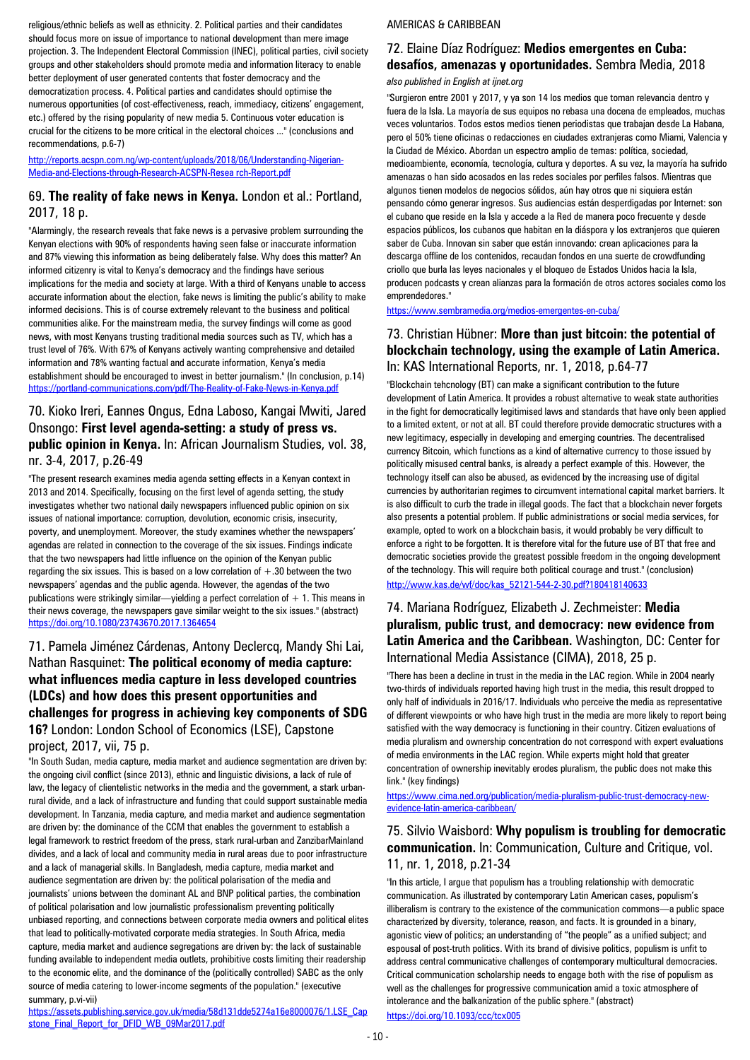religious/ethnic beliefs as well as ethnicity. 2. Political parties and their candidates should focus more on issue of importance to national development than mere image projection. 3. The Independent Electoral Commission (INEC), political parties, civil society groups and other stakeholders should promote media and information literacy to enable better deployment of user generated contents that foster democracy and the democratization process. 4. Political parties and candidates should optimise the numerous opportunities (of cost-effectiveness, reach, immediacy, citizens' engagement, etc.) offered by the rising popularity of new media 5. Continuous voter education is crucial for the citizens to be more critical in the electoral choices ..." (conclusions and recommendations, p.6-7)

[http://reports.acspn.com.ng/wp-content/uploads/2018/06/Understanding-Nigerian-](http://reports.acspn.com.ng/wp-content/uploads/2018/06/Understanding-Nigerian-Media-and-Elections-through-Research-ACSPN-Resea%20rch-Report.pdf)[Media-and-Elections-through-Research-ACSPN-Resea rch-Report.pdf](http://reports.acspn.com.ng/wp-content/uploads/2018/06/Understanding-Nigerian-Media-and-Elections-through-Research-ACSPN-Resea%20rch-Report.pdf)

#### 69. **The reality of fake news in Kenya.** London et al.: Portland, 2017, 18 p.

"Alarmingly, the research reveals that fake news is a pervasive problem surrounding the Kenyan elections with 90% of respondents having seen false or inaccurate information and 87% viewing this information as being deliberately false. Why does this matter? An informed citizenry is vital to Kenya's democracy and the findings have serious implications for the media and society at large. With a third of Kenyans unable to access accurate information about the election, fake news is limiting the public's ability to make informed decisions. This is of course extremely relevant to the business and political communities alike. For the mainstream media, the survey findings will come as good news, with most Kenyans trusting traditional media sources such as TV, which has a trust level of 76%. With 67% of Kenyans actively wanting comprehensive and detailed information and 78% wanting factual and accurate information, Kenya's media establishment should be encouraged to invest in better journalism." (In conclusion, p.14) <https://portland-communications.com/pdf/The-Reality-of-Fake-News-in-Kenya.pdf>

#### 70. Kioko Ireri, Eannes Ongus, Edna Laboso, Kangai Mwiti, Jared Onsongo: **First level agenda-setting: a study of press vs. public opinion in Kenya.** In: African Journalism Studies, vol. 38, nr. 3-4, 2017, p.26-49

"The present research examines media agenda setting effects in a Kenyan context in 2013 and 2014. Specifically, focusing on the first level of agenda setting, the study investigates whether two national daily newspapers influenced public opinion on six issues of national importance: corruption, devolution, economic crisis, insecurity, poverty, and unemployment. Moreover, the study examines whether the newspapers' agendas are related in connection to the coverage of the six issues. Findings indicate that the two newspapers had little influence on the opinion of the Kenyan public regarding the six issues. This is based on a low correlation of  $+.30$  between the two newspapers' agendas and the public agenda. However, the agendas of the two publications were strikingly similar—yielding a perfect correlation of  $+1$ . This means in their news coverage, the newspapers gave similar weight to the six issues." (abstract) <https://doi.org/10.1080/23743670.2017.1364654>

### 71. Pamela Jiménez Cárdenas, Antony Declercq, Mandy Shi Lai, Nathan Rasquinet: **The political economy of media capture: what influences media capture in less developed countries (LDCs) and how does this present opportunities and challenges for progress in achieving key components of SDG 16?** London: London School of Economics (LSE), Capstone project, 2017, vii, 75 p.

"In South Sudan, media capture, media market and audience segmentation are driven by: the ongoing civil conflict (since 2013), ethnic and linguistic divisions, a lack of rule of law, the legacy of clientelistic networks in the media and the government, a stark urbanrural divide, and a lack of infrastructure and funding that could support sustainable media development. In Tanzania, media capture, and media market and audience segmentation are driven by: the dominance of the CCM that enables the government to establish a legal framework to restrict freedom of the press, stark rural-urban and ZanzibarMainland divides, and a lack of local and community media in rural areas due to poor infrastructure and a lack of managerial skills. In Bangladesh, media capture, media market and audience segmentation are driven by: the political polarisation of the media and journalists' unions between the dominant AL and BNP political parties, the combination of political polarisation and low journalistic professionalism preventing politically unbiased reporting, and connections between corporate media owners and political elites that lead to politically-motivated corporate media strategies. In South Africa, media capture, media market and audience segregations are driven by: the lack of sustainable funding available to independent media outlets, prohibitive costs limiting their readership to the economic elite, and the dominance of the (politically controlled) SABC as the only source of media catering to lower-income segments of the population." (executive summary, p.vi-vii)

[https://assets.publishing.service.gov.uk/media/58d131dde5274a16e8000076/1.LSE\\_Cap](https://assets.publishing.service.gov.uk/media/58d131dde5274a16e8000076/1.LSE_Capstone_Final_Report_for_DFID_WB_09Mar2017.pdf) [stone\\_Final\\_Report\\_for\\_DFID\\_WB\\_09Mar2017.pdf](https://assets.publishing.service.gov.uk/media/58d131dde5274a16e8000076/1.LSE_Capstone_Final_Report_for_DFID_WB_09Mar2017.pdf)

#### AMERICAS & CARIBBEAN

# 72. Elaine Díaz Rodríguez: **Medios emergentes en Cuba: desafíos, amenazas y oportunidades.** Sembra Media, 2018

*also published in English at ijnet.org*

"Surgieron entre 2001 y 2017, y ya son 14 los medios que toman relevancia dentro y fuera de la Isla. La mayoría de sus equipos no rebasa una docena de empleados, muchas veces voluntarios. Todos estos medios tienen periodistas que trabajan desde La Habana, pero el 50% tiene oficinas o redacciones en ciudades extranjeras como Miami, Valencia y la Ciudad de México. Abordan un espectro amplio de temas: política, sociedad, medioambiente, economía, tecnología, cultura y deportes. A su vez, la mayoría ha sufrido amenazas o han sido acosados en las redes sociales por perfiles falsos. Mientras que algunos tienen modelos de negocios sólidos, aún hay otros que ni siquiera están pensando cómo generar ingresos. Sus audiencias están desperdigadas por Internet: son el cubano que reside en la Isla y accede a la Red de manera poco frecuente y desde espacios públicos, los cubanos que habitan en la diáspora y los extranjeros que quieren saber de Cuba. Innovan sin saber que están innovando: crean aplicaciones para la descarga offline de los contenidos, recaudan fondos en una suerte de crowdfunding criollo que burla las leyes nacionales y el bloqueo de Estados Unidos hacia la Isla, producen podcasts y crean alianzas para la formación de otros actores sociales como los emprendedores."

<https://www.sembramedia.org/medios-emergentes-en-cuba/>

#### 73. Christian Hübner: **More than just bitcoin: the potential of blockchain technology, using the example of Latin America.**  In: KAS International Reports, nr. 1, 2018, p.64-77

"Blockchain tehcnology (BT) can make a significant contribution to the future development of Latin America. It provides a robust alternative to weak state authorities in the fight for democratically legitimised laws and standards that have only been applied to a limited extent, or not at all. BT could therefore provide democratic structures with a new legitimacy, especially in developing and emerging countries. The decentralised currency Bitcoin, which functions as a kind of alternative currency to those issued by politically misused central banks, is already a perfect example of this. However, the technology itself can also be abused, as evidenced by the increasing use of digital currencies by authoritarian regimes to circumvent international capital market barriers. It is also difficult to curb the trade in illegal goods. The fact that a blockchain never forgets also presents a potential problem. If public administrations or social media services, for example, opted to work on a blockchain basis, it would probably be very difficult to enforce a right to be forgotten. It is therefore vital for the future use of BT that free and democratic societies provide the greatest possible freedom in the ongoing development of the technology. This will require both political courage and trust." (conclusion) [http://www.kas.de/wf/doc/kas\\_52121-544-2-30.pdf?180418140633](http://www.kas.de/wf/doc/kas_52121-544-2-30.pdf?180418140633)

### 74. Mariana Rodríguez, Elizabeth J. Zechmeister: **Media pluralism, public trust, and democracy: new evidence from Latin America and the Caribbean.** Washington, DC: Center for International Media Assistance (CIMA), 2018, 25 p.

"There has been a decline in trust in the media in the LAC region. While in 2004 nearly two-thirds of individuals reported having high trust in the media, this result dropped to only half of individuals in 2016/17. Individuals who perceive the media as representative of different viewpoints or who have high trust in the media are more likely to report being satisfied with the way democracy is functioning in their country. Citizen evaluations of media pluralism and ownership concentration do not correspond with expert evaluations of media environments in the LAC region. While experts might hold that greater concentration of ownership inevitably erodes pluralism, the public does not make this link." (key findings)

[https://www.cima.ned.org/publication/media-pluralism-public-trust-democracy-new](https://www.cima.ned.org/publication/media-pluralism-public-trust-democracy-new-evidence-latin-america-caribbean/)[evidence-latin-america-caribbean/](https://www.cima.ned.org/publication/media-pluralism-public-trust-democracy-new-evidence-latin-america-caribbean/)

### 75. Silvio Waisbord: **Why populism is troubling for democratic communication.** In: Communication, Culture and Critique, vol. 11, nr. 1, 2018, p.21-34

"In this article, I argue that populism has a troubling relationship with democratic communication. As illustrated by contemporary Latin American cases, populism's illiberalism is contrary to the existence of the communication commons—a public space characterized by diversity, tolerance, reason, and facts. It is grounded in a binary, agonistic view of politics; an understanding of "the people" as a unified subject; and espousal of post-truth politics. With its brand of divisive politics, populism is unfit to address central communicative challenges of contemporary multicultural democracies. Critical communication scholarship needs to engage both with the rise of populism as well as the challenges for progressive communication amid a toxic atmosphere of intolerance and the balkanization of the public sphere." (abstract) <https://doi.org/10.1093/ccc/tcx005>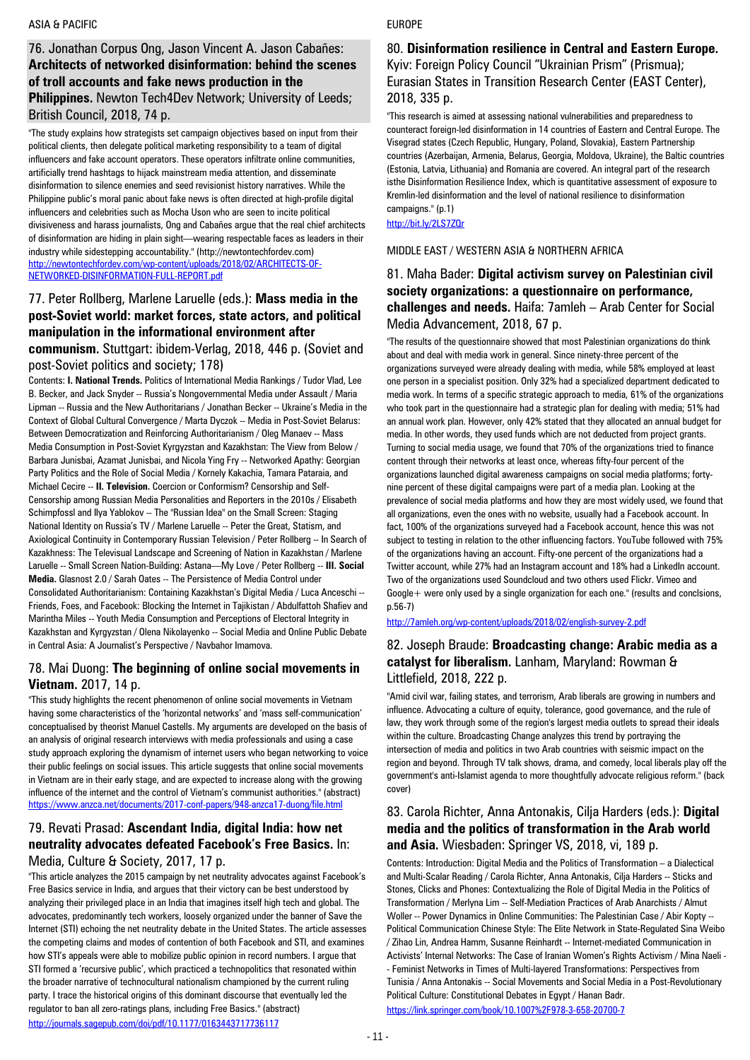#### ASIA & PACIFIC

### 76. Jonathan Corpus Ong, Jason Vincent A. Jason Cabañes: **Architects of networked disinformation: behind the scenes of troll accounts and fake news production in the Philippines.** Newton Tech4Dev Network; University of Leeds; British Council, 2018, 74 p.

"The study explains how strategists set campaign objectives based on input from their political clients, then delegate political marketing responsibility to a team of digital influencers and fake account operators. These operators infiltrate online communities, artificially trend hashtags to hijack mainstream media attention, and disseminate disinformation to silence enemies and seed revisionist history narratives. While the Philippine public's moral panic about fake news is often directed at high-profile digital influencers and celebrities such as Mocha Uson who are seen to incite political divisiveness and harass journalists, Ong and Cabañes argue that the real chief architects of disinformation are hiding in plain sight—wearing respectable faces as leaders in their industry while sidestepping accountability." (http://newtontechfordev.com) [http://newtontechfordev.com/wp-content/uploads/2018/02/ARCHITECTS-OF-](http://newtontechfordev.com/wp-content/uploads/2018/02/ARCHITECTS-OF-NETWORKED-DISINFORMATION-FULL-REPORT.pdf)[NETWORKED-DISINFORMATION-FULL-REPORT.pdf](http://newtontechfordev.com/wp-content/uploads/2018/02/ARCHITECTS-OF-NETWORKED-DISINFORMATION-FULL-REPORT.pdf)

# 77. Peter Rollberg, Marlene Laruelle (eds.): **Mass media in the post-Soviet world: market forces, state actors, and political manipulation in the informational environment after**

**communism.** Stuttgart: ibidem-Verlag, 2018, 446 p. (Soviet and post-Soviet politics and society; 178)

Contents: **I. National Trends.** Politics of International Media Rankings / Tudor Vlad, Lee B. Becker, and Jack Snyder -- Russia's Nongovernmental Media under Assault / Maria Lipman -- Russia and the New Authoritarians / Jonathan Becker -- Ukraine's Media in the Context of Global Cultural Convergence / Marta Dyczok -- Media in Post-Soviet Belarus: Between Democratization and Reinforcing Authoritarianism / Oleg Manaev -- Mass Media Consumption in Post-Soviet Kyrgyzstan and Kazakhstan: The View from Below / Barbara Junisbai, Azamat Junisbai, and Nicola Ying Fry -- Networked Apathy: Georgian Party Politics and the Role of Social Media / Kornely Kakachia, Tamara Pataraia, and Michael Cecire -- **II. Television.** Coercion or Conformism? Censorship and Self-Censorship among Russian Media Personalities and Reporters in the 2010s / Elisabeth Schimpfossl and Ilya Yablokov -- The "Russian Idea" on the Small Screen: Staging National Identity on Russia's TV / Marlene Laruelle -- Peter the Great, Statism, and Axiological Continuity in Contemporary Russian Television / Peter Rollberg -- In Search of Kazakhness: The Televisual Landscape and Screening of Nation in Kazakhstan / Marlene Laruelle -- Small Screen Nation-Building: Astana—My Love / Peter Rollberg -- **III. Social Media.** Glasnost 2.0 / Sarah Oates -- The Persistence of Media Control under Consolidated Authoritarianism: Containing Kazakhstan's Digital Media / Luca Anceschi -- Friends, Foes, and Facebook: Blocking the Internet in Tajikistan / Abdulfattoh Shafiev and Marintha Miles -- Youth Media Consumption and Perceptions of Electoral Integrity in Kazakhstan and Kyrgyzstan / Olena Nikolayenko -- Social Media and Online Public Debate in Central Asia: A Journalist's Perspective / Navbahor Imamova.

#### 78. Mai Duong: **The beginning of online social movements in Vietnam.** 2017, 14 p.

"This study highlights the recent phenomenon of online social movements in Vietnam having some characteristics of the 'horizontal networks' and 'mass self-communication' conceptualised by theorist Manuel Castells. My arguments are developed on the basis of an analysis of original research interviews with media professionals and using a case study approach exploring the dynamism of internet users who began networking to voice their public feelings on social issues. This article suggests that online social movements in Vietnam are in their early stage, and are expected to increase along with the growing influence of the internet and the control of Vietnam's communist authorities." (abstract) <https://www.anzca.net/documents/2017-conf-papers/948-anzca17-duong/file.html>

#### 79. Revati Prasad: **Ascendant India, digital India: how net neutrality advocates defeated Facebook's Free Basics.** In: Media, Culture & Society, 2017, 17 p.

"This article analyzes the 2015 campaign by net neutrality advocates against Facebook's Free Basics service in India, and argues that their victory can be best understood by analyzing their privileged place in an India that imagines itself high tech and global. The advocates, predominantly tech workers, loosely organized under the banner of Save the Internet (STI) echoing the net neutrality debate in the United States. The article assesses the competing claims and modes of contention of both Facebook and STI, and examines how STI's appeals were able to mobilize public opinion in record numbers. I argue that STI formed a 'recursive public', which practiced a technopolitics that resonated within the broader narrative of technocultural nationalism championed by the current ruling party. I trace the historical origins of this dominant discourse that eventually led the regulator to ban all zero-ratings plans, including Free Basics." (abstract) <http://journals.sagepub.com/doi/pdf/10.1177/0163443717736117>

#### EUROPE

#### 80. **Disinformation resilience in Central and Eastern Europe.**  Kyiv: Foreign Policy Council "Ukrainian Prism" (Prismua); Eurasian States in Transition Research Center (EAST Center), 2018, 335 p.

"This research is aimed at assessing national vulnerabilities and preparedness to counteract foreign-led disinformation in 14 countries of Eastern and Central Europe. The Visegrad states (Czech Republic, Hungary, Poland, Slovakia), Eastern Partnership countries (Azerbaijan, Armenia, Belarus, Georgia, Moldova, Ukraine), the Baltic countries (Estonia, Latvia, Lithuania) and Romania are covered. An integral part of the research isthe Disinformation Resilience Index, which is quantitative assessment of exposure to Kremlin-led disinformation and the level of national resilience to disinformation campaigns." (p.1)

<http://bit.ly/2LS7ZQr>

#### MIDDLE EAST / WESTERN ASIA & NORTHERN AFRICA

### 81. Maha Bader: **Digital activism survey on Palestinian civil society organizations: a questionnaire on performance, challenges and needs.** Haifa: 7amleh – Arab Center for Social Media Advancement, 2018, 67 p.

"The results of the questionnaire showed that most Palestinian organizations do think about and deal with media work in general. Since ninety-three percent of the organizations surveyed were already dealing with media, while 58% employed at least one person in a specialist position. Only 32% had a specialized department dedicated to media work. In terms of a specific strategic approach to media, 61% of the organizations who took part in the questionnaire had a strategic plan for dealing with media; 51% had an annual work plan. However, only 42% stated that they allocated an annual budget for media. In other words, they used funds which are not deducted from project grants. Turning to social media usage, we found that 70% of the organizations tried to finance content through their networks at least once, whereas fifty-four percent of the organizations launched digital awareness campaigns on social media platforms; fortynine percent of these digital campaigns were part of a media plan. Looking at the prevalence of social media platforms and how they are most widely used, we found that all organizations, even the ones with no website, usually had a Facebook account. In fact, 100% of the organizations surveyed had a Facebook account, hence this was not subject to testing in relation to the other influencing factors. YouTube followed with 75% of the organizations having an account. Fifty-one percent of the organizations had a Twitter account, while 27% had an Instagram account and 18% had a LinkedIn account. Two of the organizations used Soundcloud and two others used Flickr. Vimeo and Google+ were only used by a single organization for each one." (results and conclsions, p.56-7)

<http://7amleh.org/wp-content/uploads/2018/02/english-survey-2.pdf>

### 82. Joseph Braude: **Broadcasting change: Arabic media as a catalyst for liberalism.** Lanham, Maryland: Rowman & Littlefield, 2018, 222 p.

"Amid civil war, failing states, and terrorism, Arab liberals are growing in numbers and influence. Advocating a culture of equity, tolerance, good governance, and the rule of law, they work through some of the region's largest media outlets to spread their ideals within the culture. Broadcasting Change analyzes this trend by portraying the intersection of media and politics in two Arab countries with seismic impact on the region and beyond. Through TV talk shows, drama, and comedy, local liberals play off the government's anti-Islamist agenda to more thoughtfully advocate religious reform." (back cover)

### 83. Carola Richter, Anna Antonakis, Cilja Harders (eds.): **Digital media and the politics of transformation in the Arab world and Asia.** Wiesbaden: Springer VS, 2018, vi, 189 p.

Contents: Introduction: Digital Media and the Politics of Transformation – a Dialectical and Multi-Scalar Reading / Carola Richter, Anna Antonakis, Cilja Harders -- Sticks and Stones, Clicks and Phones: Contextualizing the Role of Digital Media in the Politics of Transformation / Merlyna Lim -- Self-Mediation Practices of Arab Anarchists / Almut Woller -- Power Dynamics in Online Communities: The Palestinian Case / Abir Kopty -- Political Communication Chinese Style: The Elite Network in State-Regulated Sina Weibo / Zihao Lin, Andrea Hamm, Susanne Reinhardt -- Internet-mediated Communication in Activists' Internal Networks: The Case of Iranian Women's Rights Activism / Mina Naeli - - Feminist Networks in Times of Multi-layered Transformations: Perspectives from Tunisia / Anna Antonakis -- Social Movements and Social Media in a Post-Revolutionary Political Culture: Constitutional Debates in Egypt / Hanan Badr. <https://link.springer.com/book/10.1007%2F978-3-658-20700-7>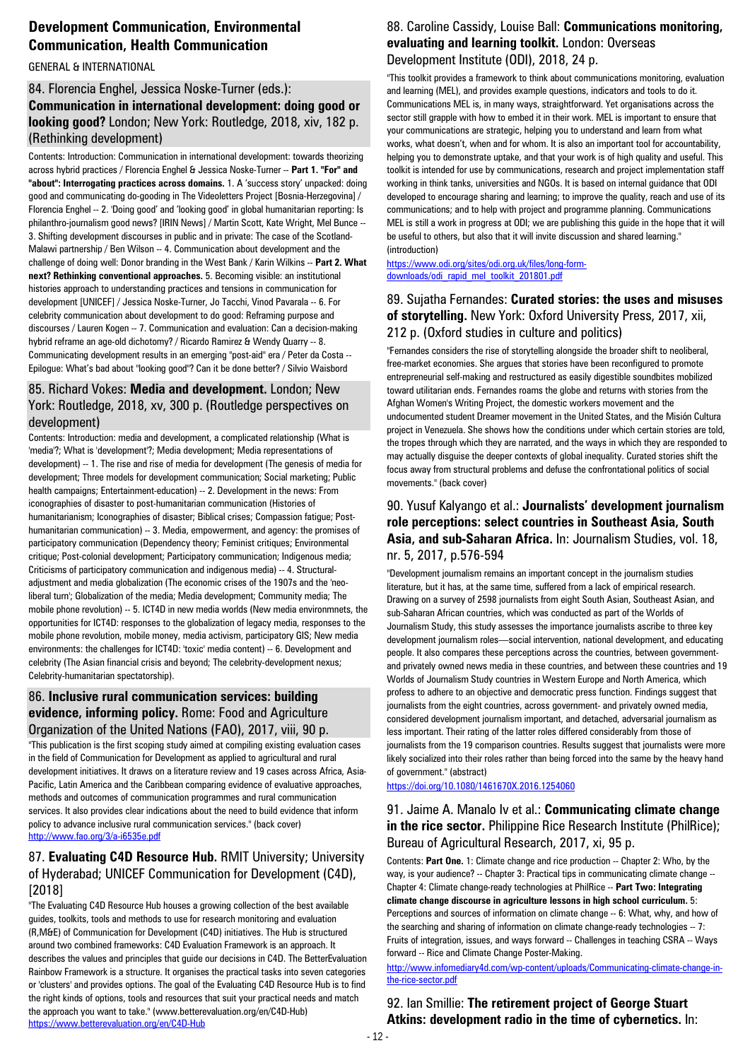# **Development Communication, Environmental Communication, Health Communication**

GENERAL & INTERNATIONAL

### 84. Florencia Enghel, Jessica Noske-Turner (eds.): **Communication in international development: doing good or looking good?** London; New York: Routledge, 2018, xiv, 182 p. (Rethinking development)

Contents: Introduction: Communication in international development: towards theorizing across hybrid practices / Florencia Enghel & Jessica Noske-Turner -- **Part 1. "For" and "about": Interrogating practices across domains.** 1. A 'success story' unpacked: doing good and communicating do-gooding in The Videoletters Project [Bosnia-Herzegovina] / Florencia Enghel -- 2. 'Doing good' and 'looking good' in global humanitarian reporting: Is philanthro-journalism good news? [IRIN News] / Martin Scott, Kate Wright, Mel Bunce -- 3. Shifting development discourses in public and in private: The case of the Scotland-Malawi partnership / Ben Wilson -- 4. Communication about development and the challenge of doing well: Donor branding in the West Bank / Karin Wilkins -- **Part 2. What next? Rethinking conventional approaches.** 5. Becoming visible: an institutional histories approach to understanding practices and tensions in communication for development [UNICEF] / Jessica Noske-Turner, Jo Tacchi, Vinod Pavarala -- 6. For celebrity communication about development to do good: Reframing purpose and discourses / Lauren Kogen -- 7. Communication and evaluation: Can a decision-making hybrid reframe an age-old dichotomy? / Ricardo Ramirez & Wendy Quarry -- 8. Communicating development results in an emerging "post-aid" era / Peter da Costa -- Epilogue: What's bad about "looking good"? Can it be done better? / Silvio Waisbord

### 85. Richard Vokes: **Media and development.** London; New York: Routledge, 2018, xv, 300 p. (Routledge perspectives on development)

Contents: Introduction: media and development, a complicated relationship (What is 'media'?; What is 'development'?; Media development; Media representations of development) -- 1. The rise and rise of media for development (The genesis of media for development; Three models for development communication; Social marketing; Public health campaigns; Entertainment-education) -- 2. Development in the news: From iconographies of disaster to post-humanitarian communication (Histories of humanitarianism; Iconographies of disaster; Biblical crises; Compassion fatigue; Posthumanitarian communication) -- 3. Media, empowerment, and agency: the promises of participatory communication (Dependency theory; Feminist critiques; Environmental critique; Post-colonial development; Participatory communication; Indigenous media; Criticisms of participatory communication and indigenous media) -- 4. Structuraladjustment and media globalization (The economic crises of the 1907s and the 'neoliberal turn'; Globalization of the media; Media development; Community media; The mobile phone revolution) -- 5. ICT4D in new media worlds (New media environmnets, the opportunities for ICT4D: responses to the globalization of legacy media, responses to the mobile phone revolution, mobile money, media activism, participatory GIS; New media environments: the challenges for ICT4D: 'toxic' media content) -- 6. Development and celebrity (The Asian financial crisis and beyond; The celebrity-development nexus; Celebrity-humanitarian spectatorship).

#### 86. **Inclusive rural communication services: building evidence, informing policy.** Rome: Food and Agriculture Organization of the United Nations (FAO), 2017, viii, 90 p.

"This publication is the first scoping study aimed at compiling existing evaluation cases in the field of Communication for Development as applied to agricultural and rural development initiatives. It draws on a literature review and 19 cases across Africa, Asia-Pacific, Latin America and the Caribbean comparing evidence of evaluative approaches, methods and outcomes of communication programmes and rural communication services. It also provides clear indications about the need to build evidence that inform policy to advance inclusive rural communication services." (back cover) <http://www.fao.org/3/a-i6535e.pdf>

#### 87. **Evaluating C4D Resource Hub.** RMIT University; University of Hyderabad; UNICEF Communication for Development (C4D), [2018]

"The Evaluating C4D Resource Hub houses a growing collection of the best available guides, toolkits, tools and methods to use for research monitoring and evaluation (R,M&E) of Communication for Development (C4D) initiatives. The Hub is structured around two combined frameworks: C4D Evaluation Framework is an approach. It describes the values and principles that guide our decisions in C4D. The BetterEvaluation Rainbow Framework is a structure. It organises the practical tasks into seven categories or 'clusters' and provides options. The goal of the Evaluating C4D Resource Hub is to find the right kinds of options, tools and resources that suit your practical needs and match the approach you want to take." (www.betterevaluation.org/en/C4D-Hub) <https://www.betterevaluation.org/en/C4D-Hub>

### 88. Caroline Cassidy, Louise Ball: **Communications monitoring, evaluating and learning toolkit.** London: Overseas Development Institute (ODI), 2018, 24 p.

"This toolkit provides a framework to think about communications monitoring, evaluation and learning (MEL), and provides example questions, indicators and tools to do it. Communications MEL is, in many ways, straightforward. Yet organisations across the sector still grapple with how to embed it in their work. MEL is important to ensure that your communications are strategic, helping you to understand and learn from what works, what doesn't, when and for whom. It is also an important tool for accountability, helping you to demonstrate uptake, and that your work is of high quality and useful. This toolkit is intended for use by communications, research and project implementation staff working in think tanks, universities and NGOs. It is based on internal guidance that ODI developed to encourage sharing and learning; to improve the quality, reach and use of its communications; and to help with project and programme planning. Communications MEL is still a work in progress at ODI; we are publishing this guide in the hope that it will be useful to others, but also that it will invite discussion and shared learning." (introduction)

[https://www.odi.org/sites/odi.org.uk/files/long-form](https://www.odi.org/sites/odi.org.uk/files/long-form-downloads/odi_rapid_mel_toolkit_201801.pdf)[downloads/odi\\_rapid\\_mel\\_toolkit\\_201801.pdf](https://www.odi.org/sites/odi.org.uk/files/long-form-downloads/odi_rapid_mel_toolkit_201801.pdf)

### 89. Sujatha Fernandes: **Curated stories: the uses and misuses of storytelling.** New York: Oxford University Press, 2017, xii, 212 p. (Oxford studies in culture and politics)

"Fernandes considers the rise of storytelling alongside the broader shift to neoliberal, free-market economies. She argues that stories have been reconfigured to promote entrepreneurial self-making and restructured as easily digestible soundbites mobilized toward utilitarian ends. Fernandes roams the globe and returns with stories from the Afghan Women's Writing Project, the domestic workers movement and the undocumented student Dreamer movement in the United States, and the Misión Cultura project in Venezuela. She shows how the conditions under which certain stories are told, the tropes through which they are narrated, and the ways in which they are responded to may actually disguise the deeper contexts of global inequality. Curated stories shift the focus away from structural problems and defuse the confrontational politics of social movements." (back cover)

### 90. Yusuf Kalyango et al.: **Journalists' development journalism role perceptions: select countries in Southeast Asia, South Asia, and sub-Saharan Africa.** In: Journalism Studies, vol. 18, nr. 5, 2017, p.576-594

"Development journalism remains an important concept in the journalism studies literature, but it has, at the same time, suffered from a lack of empirical research. Drawing on a survey of 2598 journalists from eight South Asian, Southeast Asian, and sub-Saharan African countries, which was conducted as part of the Worlds of Journalism Study, this study assesses the importance journalists ascribe to three key development journalism roles—social intervention, national development, and educating people. It also compares these perceptions across the countries, between governmentand privately owned news media in these countries, and between these countries and 19 Worlds of Journalism Study countries in Western Europe and North America, which profess to adhere to an objective and democratic press function. Findings suggest that journalists from the eight countries, across government- and privately owned media, considered development journalism important, and detached, adversarial journalism as less important. Their rating of the latter roles differed considerably from those of journalists from the 19 comparison countries. Results suggest that journalists were more likely socialized into their roles rather than being forced into the same by the heavy hand of government." (abstract)

<https://doi.org/10.1080/1461670X.2016.1254060>

### 91. Jaime A. Manalo Iv et al.: **Communicating climate change in the rice sector.** Philippine Rice Research Institute (PhilRice): Bureau of Agricultural Research, 2017, xi, 95 p.

Contents: **Part One.** 1: Climate change and rice production -- Chapter 2: Who, by the way, is your audience? -- Chapter 3: Practical tips in communicating climate change --Chapter 4: Climate change-ready technologies at PhilRice -- **Part Two: Integrating climate change discourse in agriculture lessons in high school curriculum.** 5: Perceptions and sources of information on climate change -- 6: What, why, and how of the searching and sharing of information on climate change-ready technologies -- 7: Fruits of integration, issues, and ways forward -- Challenges in teaching CSRA -- Ways forward -- Rice and Climate Change Poster-Making.

[http://www.infomediary4d.com/wp-content/uploads/Communicating-climate-change-in](http://www.infomediary4d.com/wp-content/uploads/Communicating-climate-change-in-the-rice-sector.pdf)[the-rice-sector.pdf](http://www.infomediary4d.com/wp-content/uploads/Communicating-climate-change-in-the-rice-sector.pdf)

92. Ian Smillie: **The retirement project of George Stuart Atkins: development radio in the time of cybernetics.** In: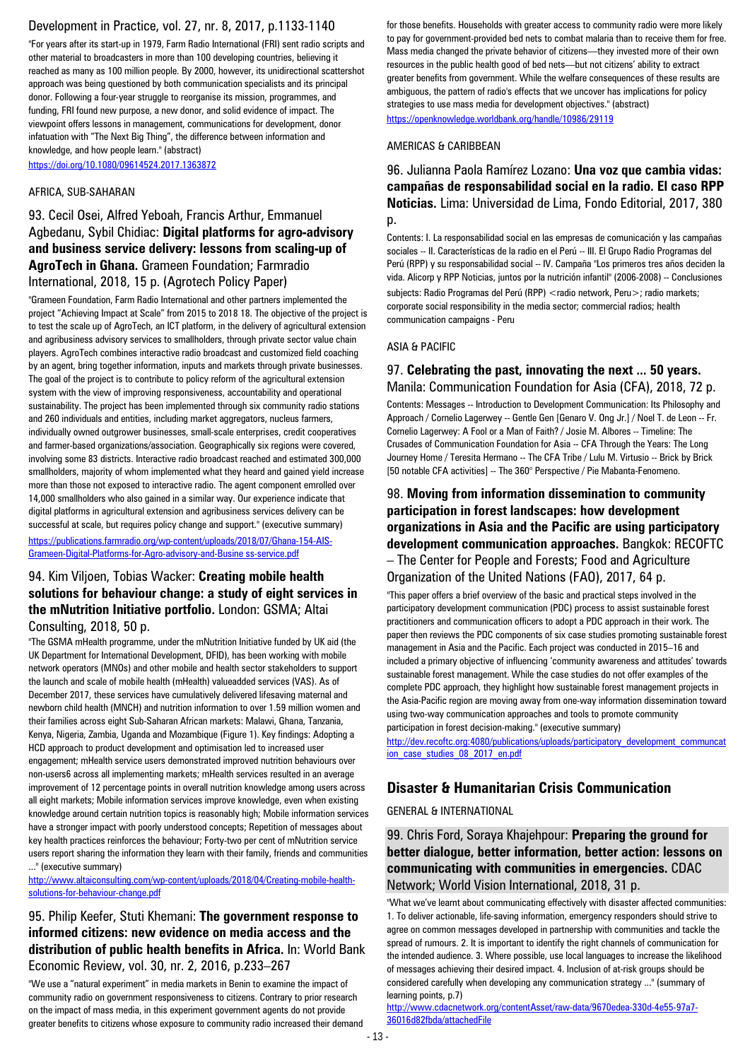# Development in Practice, vol. 27, nr. 8, 2017, p.1133-1140

"For years after its start-up in 1979, Farm Radio International (FRI) sent radio scripts and other material to broadcasters in more than 100 developing countries, believing it reached as many as 100 million people. By 2000, however, its unidirectional scattershot approach was being questioned by both communication specialists and its principal donor. Following a four-year struggle to reorganise its mission, programmes, and funding, FRI found new purpose, a new donor, and solid evidence of impact. The viewpoint offers lessons in management, communications for development, donor infatuation with "The Next Big Thing", the difference between information and knowledge, and how people learn." (abstract) <https://doi.org/10.1080/09614524.2017.1363872>

AFRICA, SUB-SAHARAN

93. Cecil Osei, Alfred Yeboah, Francis Arthur, Emmanuel Agbedanu, Sybil Chidiac: **Digital platforms for agro-advisory and business service delivery: lessons from scaling-up of AgroTech in Ghana.** Grameen Foundation; Farmradio International, 2018, 15 p. (Agrotech Policy Paper)

"Grameen Foundation, Farm Radio International and other partners implemented the project "Achieving Impact at Scale" from 2015 to 2018 18. The objective of the project is to test the scale up of AgroTech, an ICT platform, in the delivery of agricultural extension and agribusiness advisory services to smallholders, through private sector value chain players. AgroTech combines interactive radio broadcast and customized field coaching by an agent, bring together information, inputs and markets through private businesses. The goal of the project is to contribute to policy reform of the agricultural extension system with the view of improving responsiveness, accountability and operational sustainability. The project has been implemented through six community radio stations and 260 individuals and entities, including market aggregators, nucleus farmers, individually owned outgrower businesses, small-scale enterprises, credit cooperatives and farmer-based organizations/association. Geographically six regions were covered, involving some 83 districts. Interactive radio broadcast reached and estimated 300,000 smallholders, majority of whom implemented what they heard and gained yield increase more than those not exposed to interactive radio. The agent component emrolled over 14,000 smallholders who also gained in a similar way. Our experience indicate that digital platforms in agricultural extension and agribusiness services delivery can be successful at scale, but requires policy change and support." (executive summary)

[https://publications.farmradio.org/wp-content/uploads/2018/07/Ghana-154-AIS-](https://publications.farmradio.org/wp-content/uploads/2018/07/Ghana-154-AIS-Grameen-Digital-Platforms-for-Agro-advisory-and-Busine%20ss-service.pdf)[Grameen-Digital-Platforms-for-Agro-advisory-and-Busine ss-service.pdf](https://publications.farmradio.org/wp-content/uploads/2018/07/Ghana-154-AIS-Grameen-Digital-Platforms-for-Agro-advisory-and-Busine%20ss-service.pdf)

#### 94. Kim Viljoen, Tobias Wacker: **Creating mobile health solutions for behaviour change: a study of eight services in the mNutrition Initiative portfolio.** London: GSMA; Altai Consulting, 2018, 50 p.

"The GSMA mHealth programme, under the mNutrition Initiative funded by UK aid (the UK Department for International Development, DFID), has been working with mobile network operators (MNOs) and other mobile and health sector stakeholders to support the launch and scale of mobile health (mHealth) valueadded services (VAS). As of December 2017, these services have cumulatively delivered lifesaving maternal and newborn child health (MNCH) and nutrition information to over 1.59 million women and their families across eight Sub-Saharan African markets: Malawi, Ghana, Tanzania, Kenya, Nigeria, Zambia, Uganda and Mozambique (Figure 1). Key findings: Adopting a HCD approach to product development and optimisation led to increased user engagement; mHealth service users demonstrated improved nutrition behaviours over non-users6 across all implementing markets; mHealth services resulted in an average improvement of 12 percentage points in overall nutrition knowledge among users across all eight markets; Mobile information services improve knowledge, even when existing knowledge around certain nutrition topics is reasonably high; Mobile information services have a stronger impact with poorly understood concepts; Repetition of messages about key health practices reinforces the behaviour; Forty-two per cent of mNutrition service users report sharing the information they learn with their family, friends and communities ..." (executive summary)

[http://www.altaiconsulting.com/wp-content/uploads/2018/04/Creating-mobile-health](http://www.altaiconsulting.com/wp-content/uploads/2018/04/Creating-mobile-health-solutions-for-behaviour-change.pdf)[solutions-for-behaviour-change.pdf](http://www.altaiconsulting.com/wp-content/uploads/2018/04/Creating-mobile-health-solutions-for-behaviour-change.pdf)

#### 95. Philip Keefer, Stuti Khemani: **The government response to informed citizens: new evidence on media access and the distribution of public health benefits in Africa.** In: World Bank Economic Review, vol. 30, nr. 2, 2016, p.233–267

"We use a "natural experiment" in media markets in Benin to examine the impact of community radio on government responsiveness to citizens. Contrary to prior research on the impact of mass media, in this experiment government agents do not provide greater benefits to citizens whose exposure to community radio increased their demand for those benefits. Households with greater access to community radio were more likely to pay for government-provided bed nets to combat malaria than to receive them for free. Mass media changed the private behavior of citizens—they invested more of their own resources in the public health good of bed nets—but not citizens' ability to extract greater benefits from government. While the welfare consequences of these results are ambiguous, the pattern of radio's effects that we uncover has implications for policy strategies to use mass media for development objectives." (abstract) <https://openknowledge.worldbank.org/handle/10986/29119>

#### AMERICAS & CARIBBEAN

### 96. Julianna Paola Ramírez Lozano: **Una voz que cambia vidas: campañas de responsabilidad social en la radio. El caso RPP Noticias.** Lima: Universidad de Lima, Fondo Editorial, 2017, 380 p.

Contents: I. La responsabilidad social en las empresas de comunicación y las campañas sociales -- II. Características de la radio en el Perú -- III. El Grupo Radio Programas del Perú (RPP) y su responsabilidad social -- IV. Campaña "Los primeros tres años deciden la vida. Alicorp y RPP Noticias, juntos por la nutrición infantil" (2006-2008) -- Conclusiones subjects: Radio Programas del Perú (RPP) < radio network, Peru>; radio markets; corporate social responsibility in the media sector; commercial radios; health communication campaigns - Peru

#### ASIA & PACIFIC

#### 97. **Celebrating the past, innovating the next ... 50 years.**  Manila: Communication Foundation for Asia (CFA), 2018, 72 p.

Contents: Messages -- Introduction to Development Communication: Its Philosophy and Approach / Cornelio Lagerwey -- Gentle Gen [Genaro V. Ong Jr.] / Noel T. de Leon -- Fr. Cornelio Lagerwey: A Fool or a Man of Faith? / Josie M. Albores -- Timeline: The Crusades of Communication Foundation for Asia -- CFA Through the Years: The Long Journey Home / Teresita Hermano -- The CFA Tribe / Lulu M. Virtusio -- Brick by Brick [50 notable CFA activities] -- The 360° Perspective / Pie Mabanta-Fenomeno.

# 98. **Moving from information dissemination to community participation in forest landscapes: how development organizations in Asia and the Pacific are using participatory development communication approaches.** Bangkok: RECOFTC

– The Center for People and Forests; Food and Agriculture Organization of the United Nations (FAO), 2017, 64 p.

"This paper offers a brief overview of the basic and practical steps involved in the participatory development communication (PDC) process to assist sustainable forest practitioners and communication officers to adopt a PDC approach in their work. The paper then reviews the PDC components of six case studies promoting sustainable forest management in Asia and the Pacific. Each project was conducted in 2015–16 and included a primary objective of influencing 'community awareness and attitudes' towards sustainable forest management. While the case studies do not offer examples of the complete PDC approach, they highlight how sustainable forest management projects in the Asia-Pacific region are moving away from one-way information dissemination toward using two-way communication approaches and tools to promote community participation in forest decision-making." (executive summary)

[http://dev.recoftc.org:4080/publications/uploads/participatory\\_development\\_communcat](http://dev.recoftc.org:4080/publications/uploads/participatory_development_communcation_case_studies_08_2017_en.pdf) [ion\\_case\\_studies\\_08\\_2017\\_en.pdf](http://dev.recoftc.org:4080/publications/uploads/participatory_development_communcation_case_studies_08_2017_en.pdf)

### **Disaster & Humanitarian Crisis Communication**

GENERAL & INTERNATIONAL

99. Chris Ford, Soraya Khajehpour: **Preparing the ground for better dialogue, better information, better action: lessons on communicating with communities in emergencies.** CDAC Network; World Vision International, 2018, 31 p.

"What we've learnt about communicating effectively with disaster affected communities: 1. To deliver actionable, life-saving information, emergency responders should strive to agree on common messages developed in partnership with communities and tackle the spread of rumours. 2. It is important to identify the right channels of communication for the intended audience. 3. Where possible, use local languages to increase the likelihood of messages achieving their desired impact. 4. Inclusion of at-risk groups should be considered carefully when developing any communication strategy ..." (summary of learning points, p.7)

[http://www.cdacnetwork.org/contentAsset/raw-data/9670edea-330d-4e55-97a7-](http://www.cdacnetwork.org/contentAsset/raw-data/9670edea-330d-4e55-97a7-36016d82fbda/attachedFile) [36016d82fbda/attachedFile](http://www.cdacnetwork.org/contentAsset/raw-data/9670edea-330d-4e55-97a7-36016d82fbda/attachedFile)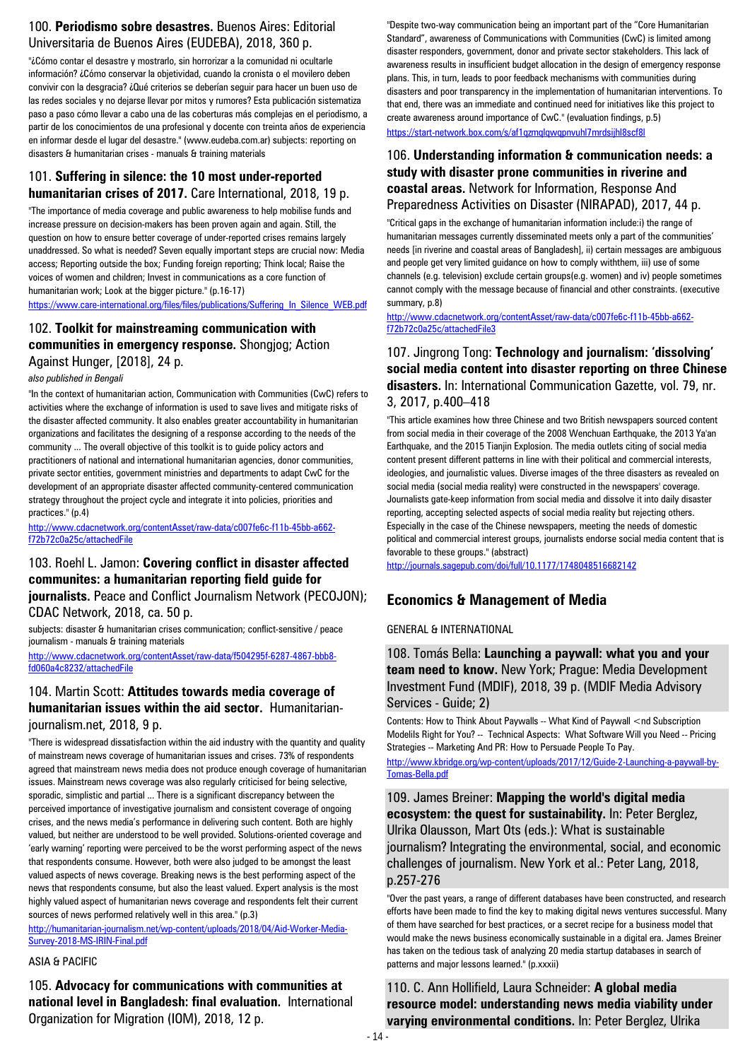# 100. **Periodismo sobre desastres.** Buenos Aires: Editorial Universitaria de Buenos Aires (EUDEBA), 2018, 360 p.

"¿Cómo contar el desastre y mostrarlo, sin horrorizar a la comunidad ni ocultarle información? ¿Cómo conservar la objetividad, cuando la cronista o el movilero deben convivir con la desgracia? ¿Qué criterios se deberían seguir para hacer un buen uso de las redes sociales y no dejarse llevar por mitos y rumores? Esta publicación sistematiza paso a paso cómo llevar a cabo una de las coberturas más complejas en el periodismo, a partir de los conocimientos de una profesional y docente con treinta años de experiencia en informar desde el lugar del desastre." (www.eudeba.com.ar) subjects: reporting on disasters & humanitarian crises - manuals & training materials

#### 101. **Suffering in silence: the 10 most under-reported humanitarian crises of 2017.** Care International, 2018, 19 p.

"The importance of media coverage and public awareness to help mobilise funds and increase pressure on decision-makers has been proven again and again. Still, the question on how to ensure better coverage of under-reported crises remains largely unaddressed. So what is needed? Seven equally important steps are crucial now: Media access; Reporting outside the box; Funding foreign reporting; Think local; Raise the voices of women and children; Invest in communications as a core function of humanitarian work; Look at the bigger picture." (p.16-17)

https://www.care-international.org/files/files/publications/Suffering In Silence WEB.pdf

#### 102. **Toolkit for mainstreaming communication with communities in emergency response.** Shongjog; Action Against Hunger, [2018], 24 p.

*also published in Bengali*

"In the context of humanitarian action, Communication with Communities (CwC) refers to activities where the exchange of information is used to save lives and mitigate risks of the disaster affected community. It also enables greater accountability in humanitarian organizations and facilitates the designing of a response according to the needs of the community ... The overall objective of this toolkit is to guide policy actors and practitioners of national and international humanitarian agencies, donor communities, private sector entities, government ministries and departments to adapt CwC for the development of an appropriate disaster affected community-centered communication strategy throughout the project cycle and integrate it into policies, priorities and practices." (p.4)

[http://www.cdacnetwork.org/contentAsset/raw-data/c007fe6c-f11b-45bb-a662](http://www.cdacnetwork.org/contentAsset/raw-data/c007fe6c-f11b-45bb-a662-f72b72c0a25c/attachedFile) [f72b72c0a25c/attachedFile](http://www.cdacnetwork.org/contentAsset/raw-data/c007fe6c-f11b-45bb-a662-f72b72c0a25c/attachedFile)

### 103. Roehl L. Jamon: **Covering conflict in disaster affected communites: a humanitarian reporting field guide for journalists.** Peace and Conflict Journalism Network (PECOJON); CDAC Network, 2018, ca. 50 p.

subjects: disaster & humanitarian crises communication; conflict-sensitive / peace journalism - manuals & training materials

[http://www.cdacnetwork.org/contentAsset/raw-data/f504295f-6287-4867-bbb8](http://www.cdacnetwork.org/contentAsset/raw-data/f504295f-6287-4867-bbb8-fd060a4c8232/attachedFile) [fd060a4c8232/attachedFile](http://www.cdacnetwork.org/contentAsset/raw-data/f504295f-6287-4867-bbb8-fd060a4c8232/attachedFile)

### 104. Martin Scott: **Attitudes towards media coverage of humanitarian issues within the aid sector.** Humanitarianjournalism.net, 2018, 9 p.

"There is widespread dissatisfaction within the aid industry with the quantity and quality of mainstream news coverage of humanitarian issues and crises. 73% of respondents agreed that mainstream news media does not produce enough coverage of humanitarian issues. Mainstream news coverage was also regularly criticised for being selective, sporadic, simplistic and partial ... There is a significant discrepancy between the perceived importance of investigative journalism and consistent coverage of ongoing crises, and the news media's performance in delivering such content. Both are highly valued, but neither are understood to be well provided. Solutions-oriented coverage and 'early warning' reporting were perceived to be the worst performing aspect of the news that respondents consume. However, both were also judged to be amongst the least valued aspects of news coverage. Breaking news is the best performing aspect of the news that respondents consume, but also the least valued. Expert analysis is the most highly valued aspect of humanitarian news coverage and respondents felt their current sources of news performed relatively well in this area." (p.3)

[http://humanitarian-journalism.net/wp-content/uploads/2018/04/Aid-Worker-Media-](http://humanitarian-journalism.net/wp-content/uploads/2018/04/Aid-Worker-Media-Survey-2018-MS-IRIN-Final.pdf)[Survey-2018-MS-IRIN-Final.pdf](http://humanitarian-journalism.net/wp-content/uploads/2018/04/Aid-Worker-Media-Survey-2018-MS-IRIN-Final.pdf)

#### ASIA & PACIFIC

105. **Advocacy for communications with communities at national level in Bangladesh: final evaluation.** International Organization for Migration (IOM), 2018, 12 p.

"Despite two-way communication being an important part of the "Core Humanitarian Standard", awareness of Communications with Communities (CwC) is limited among disaster responders, government, donor and private sector stakeholders. This lack of awareness results in insufficient budget allocation in the design of emergency response plans. This, in turn, leads to poor feedback mechanisms with communities during disasters and poor transparency in the implementation of humanitarian interventions. To that end, there was an immediate and continued need for initiatives like this project to create awareness around importance of CwC." (evaluation findings, p.5) <https://start-network.box.com/s/af1qzmqlqwqpnvuhl7mrdsijhl8scf8l>

#### 106. **Understanding information & communication needs: a study with disaster prone communities in riverine and coastal areas.** Network for Information, Response And Preparedness Activities on Disaster (NIRAPAD), 2017, 44 p.

"Critical gaps in the exchange of humanitarian information include:i) the range of humanitarian messages currently disseminated meets only a part of the communities' needs [in riverine and coastal areas of Bangladesh], ii) certain messages are ambiguous and people get very limited guidance on how to comply withthem, iii) use of some channels (e.g. television) exclude certain groups(e.g. women) and iv) people sometimes cannot comply with the message because of financial and other constraints. (executive summary, p.8)

[http://www.cdacnetwork.org/contentAsset/raw-data/c007fe6c-f11b-45bb-a662](http://www.cdacnetwork.org/contentAsset/raw-data/c007fe6c-f11b-45bb-a662-f72b72c0a25c/attachedFile3) [f72b72c0a25c/attachedFile3](http://www.cdacnetwork.org/contentAsset/raw-data/c007fe6c-f11b-45bb-a662-f72b72c0a25c/attachedFile3)

### 107. Jingrong Tong: **Technology and journalism: 'dissolving' social media content into disaster reporting on three Chinese disasters.** In: International Communication Gazette, vol. 79, nr. 3, 2017, p.400–418

"This article examines how three Chinese and two British newspapers sourced content from social media in their coverage of the 2008 Wenchuan Earthquake, the 2013 Ya'an Earthquake, and the 2015 Tianjin Explosion. The media outlets citing of social media content present different patterns in line with their political and commercial interests, ideologies, and journalistic values. Diverse images of the three disasters as revealed on social media (social media reality) were constructed in the newspapers' coverage. Journalists gate-keep information from social media and dissolve it into daily disaster reporting, accepting selected aspects of social media reality but rejecting others. Especially in the case of the Chinese newspapers, meeting the needs of domestic political and commercial interest groups, journalists endorse social media content that is favorable to these groups." (abstract)

<http://journals.sagepub.com/doi/full/10.1177/1748048516682142>

# **Economics & Management of Media**

#### GENERAL & INTERNATIONAL

108. Tomás Bella: **Launching a paywall: what you and your team need to know.** New York; Prague: Media Development Investment Fund (MDIF), 2018, 39 p. (MDIF Media Advisory Services - Guide; 2)

Contents: How to Think About Paywalls -- What Kind of Paywall <nd Subscription ModeliIs Right for You? -- Technical Aspects: What Software Will you Need -- Pricing Strategies -- Marketing And PR: How to Persuade People To Pay. [http://www.kbridge.org/wp-content/uploads/2017/12/Guide-2-Launching-a-paywall-by-](http://www.kbridge.org/wp-content/uploads/2017/12/Guide-2-Launching-a-paywall-by-Tomas-Bella.pdf)[Tomas-Bella.pdf](http://www.kbridge.org/wp-content/uploads/2017/12/Guide-2-Launching-a-paywall-by-Tomas-Bella.pdf)

109. James Breiner: **Mapping the world's digital media ecosystem: the quest for sustainability.** In: Peter Berglez, Ulrika Olausson, Mart Ots (eds.): What is sustainable journalism? Integrating the environmental, social, and economic challenges of journalism. New York et al.: Peter Lang, 2018, p.257-276

"Over the past years, a range of different databases have been constructed, and research efforts have been made to find the key to making digital news ventures successful. Many of them have searched for best practices, or a secret recipe for a business model that would make the news business economically sustainable in a digital era. James Breiner has taken on the tedious task of analyzing 20 media startup databases in search of patterns and major lessons learned." (p.xxxii)

110. C. Ann Hollifield, Laura Schneider: **A global media resource model: understanding news media viability under varying environmental conditions.** In: Peter Berglez, Ulrika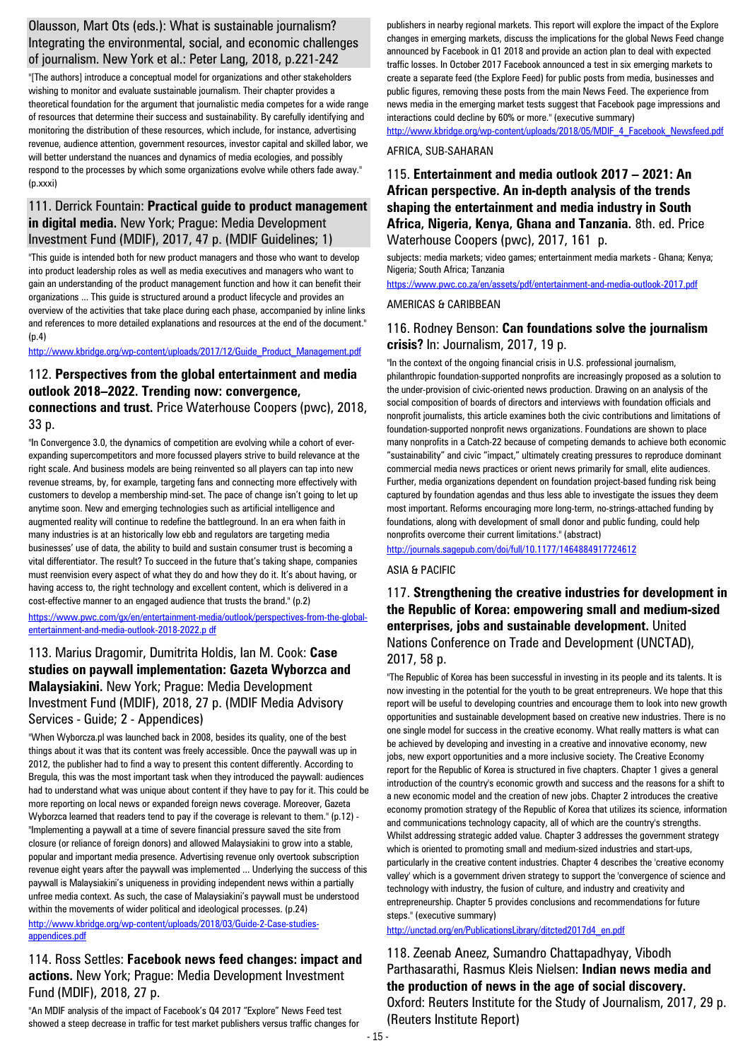### Olausson, Mart Ots (eds.): What is sustainable journalism? Integrating the environmental, social, and economic challenges of journalism. New York et al.: Peter Lang, 2018, p.221-242

"[The authors] introduce a conceptual model for organizations and other stakeholders wishing to monitor and evaluate sustainable journalism. Their chapter provides a theoretical foundation for the argument that journalistic media competes for a wide range of resources that determine their success and sustainability. By carefully identifying and monitoring the distribution of these resources, which include, for instance, advertising revenue, audience attention, government resources, investor capital and skilled labor, we will better understand the nuances and dynamics of media ecologies, and possibly respond to the processes by which some organizations evolve while others fade away." (p.xxxi)

### 111. Derrick Fountain: **Practical guide to product management in digital media.** New York; Prague: Media Development Investment Fund (MDIF), 2017, 47 p. (MDIF Guidelines; 1)

"This guide is intended both for new product managers and those who want to develop into product leadership roles as well as media executives and managers who want to gain an understanding of the product management function and how it can benefit their organizations ... This guide is structured around a product lifecycle and provides an overview of the activities that take place during each phase, accompanied by inline links and references to more detailed explanations and resources at the end of the document." (p.4)

[http://www.kbridge.org/wp-content/uploads/2017/12/Guide\\_Product\\_Management.pdf](http://www.kbridge.org/wp-content/uploads/2017/12/Guide_Product_Management.pdf)

### 112. **Perspectives from the global entertainment and media outlook 2018–2022. Trending now: convergence, connections and trust.** Price Waterhouse Coopers (pwc), 2018, 33 p.

"In Convergence 3.0, the dynamics of competition are evolving while a cohort of everexpanding supercompetitors and more focussed players strive to build relevance at the right scale. And business models are being reinvented so all players can tap into new revenue streams, by, for example, targeting fans and connecting more effectively with customers to develop a membership mind-set. The pace of change isn't going to let up anytime soon. New and emerging technologies such as artificial intelligence and augmented reality will continue to redefine the battleground. In an era when faith in many industries is at an historically low ebb and regulators are targeting media businesses' use of data, the ability to build and sustain consumer trust is becoming a vital differentiator. The result? To succeed in the future that's taking shape, companies must reenvision every aspect of what they do and how they do it. It's about having, or having access to, the right technology and excellent content, which is delivered in a cost-effective manner to an engaged audience that trusts the brand." (p.2)

[https://www.pwc.com/gx/en/entertainment-media/outlook/perspectives-from-the-global](https://www.pwc.com/gx/en/entertainment-media/outlook/perspectives-from-the-global-entertainment-and-media-outlook-2018-2022.p%20df)[entertainment-and-media-outlook-2018-2022.p df](https://www.pwc.com/gx/en/entertainment-media/outlook/perspectives-from-the-global-entertainment-and-media-outlook-2018-2022.p%20df)

### 113. Marius Dragomir, Dumitrita Holdis, Ian M. Cook: **Case studies on paywall implementation: Gazeta Wyborzca and Malaysiakini.** New York; Prague: Media Development Investment Fund (MDIF), 2018, 27 p. (MDIF Media Advisory Services - Guide; 2 - Appendices)

"When Wyborcza.pl was launched back in 2008, besides its quality, one of the best things about it was that its content was freely accessible. Once the paywall was up in 2012, the publisher had to find a way to present this content differently. According to Bregula, this was the most important task when they introduced the paywall: audiences had to understand what was unique about content if they have to pay for it. This could be more reporting on local news or expanded foreign news coverage. Moreover, Gazeta Wyborzca learned that readers tend to pay if the coverage is relevant to them." (p.12) -"Implementing a paywall at a time of severe financial pressure saved the site from closure (or reliance of foreign donors) and allowed Malaysiakini to grow into a stable, popular and important media presence. Advertising revenue only overtook subscription revenue eight years after the paywall was implemented ... Underlying the success of this paywall is Malaysiakini's uniqueness in providing independent news within a partially unfree media context. As such, the case of Malaysiakini's paywall must be understood within the movements of wider political and ideological processes. (p.24) [http://www.kbridge.org/wp-content/uploads/2018/03/Guide-2-Case-studies-](http://www.kbridge.org/wp-content/uploads/2018/03/Guide-2-Case-studies-appendices.pdf)

# [appendices.pdf](http://www.kbridge.org/wp-content/uploads/2018/03/Guide-2-Case-studies-appendices.pdf)

### 114. Ross Settles: **Facebook news feed changes: impact and actions.** New York; Prague: Media Development Investment Fund (MDIF), 2018, 27 p.

"An MDIF analysis of the impact of Facebook's Q4 2017 "Explore" News Feed test showed a steep decrease in traffic for test market publishers versus traffic changes for publishers in nearby regional markets. This report will explore the impact of the Explore changes in emerging markets, discuss the implications for the global News Feed change announced by Facebook in Q1 2018 and provide an action plan to deal with expected traffic losses. In October 2017 Facebook announced a test in six emerging markets to create a separate feed (the Explore Feed) for public posts from media, businesses and public figures, removing these posts from the main News Feed. The experience from news media in the emerging market tests suggest that Facebook page impressions and interactions could decline by 60% or more." (executive summary)

[http://www.kbridge.org/wp-content/uploads/2018/05/MDIF\\_4\\_Facebook\\_Newsfeed.pdf](http://www.kbridge.org/wp-content/uploads/2018/05/MDIF_4_Facebook_Newsfeed.pdf) AFRICA, SUB-SAHARAN

#### 115. **Entertainment and media outlook 2017 – 2021: An African perspective. An in-depth analysis of the trends shaping the entertainment and media industry in South Africa, Nigeria, Kenya, Ghana and Tanzania.** 8th. ed. Price Waterhouse Coopers (pwc), 2017, 161 p.

subjects: media markets; video games; entertainment media markets - Ghana; Kenya; Nigeria; South Africa; Tanzania

<https://www.pwc.co.za/en/assets/pdf/entertainment-and-media-outlook-2017.pdf>

#### AMERICAS & CARIBBEAN

### 116. Rodney Benson: **Can foundations solve the journalism crisis?** In: Journalism, 2017, 19 p.

"In the context of the ongoing financial crisis in U.S. professional journalism, philanthropic foundation-supported nonprofits are increasingly proposed as a solution to the under-provision of civic-oriented news production. Drawing on an analysis of the social composition of boards of directors and interviews with foundation officials and nonprofit journalists, this article examines both the civic contributions and limitations of foundation-supported nonprofit news organizations. Foundations are shown to place many nonprofits in a Catch-22 because of competing demands to achieve both economic "sustainability" and civic "impact," ultimately creating pressures to reproduce dominant commercial media news practices or orient news primarily for small, elite audiences. Further, media organizations dependent on foundation project-based funding risk being captured by foundation agendas and thus less able to investigate the issues they deem most important. Reforms encouraging more long-term, no-strings-attached funding by foundations, along with development of small donor and public funding, could help nonprofits overcome their current limitations." (abstract)

<http://journals.sagepub.com/doi/full/10.1177/1464884917724612>

#### ASIA & PACIFIC

### 117. **Strengthening the creative industries for development in the Republic of Korea: empowering small and medium-sized enterprises, jobs and sustainable development.** United Nations Conference on Trade and Development (UNCTAD), 2017, 58 p.

"The Republic of Korea has been successful in investing in its people and its talents. It is now investing in the potential for the youth to be great entrepreneurs. We hope that this report will be useful to developing countries and encourage them to look into new growth opportunities and sustainable development based on creative new industries. There is no one single model for success in the creative economy. What really matters is what can be achieved by developing and investing in a creative and innovative economy, new jobs, new export opportunities and a more inclusive society. The Creative Economy report for the Republic of Korea is structured in five chapters. Chapter 1 gives a general introduction of the country's economic growth and success and the reasons for a shift to a new economic model and the creation of new jobs. Chapter 2 introduces the creative economy promotion strategy of the Republic of Korea that utilizes its science, information and communications technology capacity, all of which are the country's strengths. Whilst addressing strategic added value. Chapter 3 addresses the government strategy which is oriented to promoting small and medium-sized industries and start-ups, particularly in the creative content industries. Chapter 4 describes the 'creative economy valley' which is a government driven strategy to support the 'convergence of science and technology with industry, the fusion of culture, and industry and creativity and entrepreneurship. Chapter 5 provides conclusions and recommendations for future steps." (executive summary)

[http://unctad.org/en/PublicationsLibrary/ditcted2017d4\\_en.pdf](http://unctad.org/en/PublicationsLibrary/ditcted2017d4_en.pdf)

118. Zeenab Aneez, Sumandro Chattapadhyay, Vibodh Parthasarathi, Rasmus Kleis Nielsen: **Indian news media and the production of news in the age of social discovery.**  Oxford: Reuters Institute for the Study of Journalism, 2017, 29 p. (Reuters Institute Report)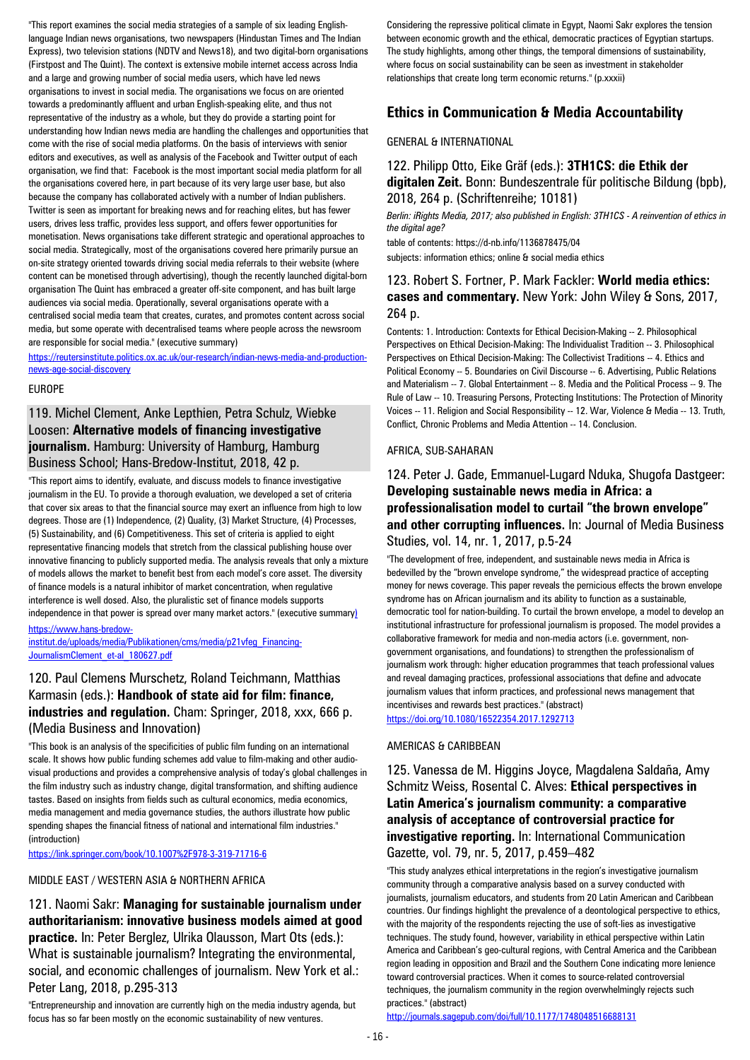"This report examines the social media strategies of a sample of six leading Englishlanguage Indian news organisations, two newspapers (Hindustan Times and The Indian Express), two television stations (NDTV and News18), and two digital-born organisations (Firstpost and The Quint). The context is extensive mobile internet access across India and a large and growing number of social media users, which have led news organisations to invest in social media. The organisations we focus on are oriented towards a predominantly affluent and urban English-speaking elite, and thus not representative of the industry as a whole, but they do provide a starting point for understanding how Indian news media are handling the challenges and opportunities that come with the rise of social media platforms. On the basis of interviews with senior editors and executives, as well as analysis of the Facebook and Twitter output of each organisation, we find that: Facebook is the most important social media platform for all the organisations covered here, in part because of its very large user base, but also because the company has collaborated actively with a number of Indian publishers. Twitter is seen as important for breaking news and for reaching elites, but has fewer users, drives less traffic, provides less support, and offers fewer opportunities for monetisation. News organisations take different strategic and operational approaches to social media. Strategically, most of the organisations covered here primarily pursue an on-site strategy oriented towards driving social media referrals to their website (where content can be monetised through advertising), though the recently launched digital-born organisation The Quint has embraced a greater off-site component, and has built large audiences via social media. Operationally, several organisations operate with a centralised social media team that creates, curates, and promotes content across social media, but some operate with decentralised teams where people across the newsroom are responsible for social media." (executive summary)

[https://reutersinstitute.politics.ox.ac.uk/our-research/indian-news-media-and-production](https://reutersinstitute.politics.ox.ac.uk/our-research/indian-news-media-and-production-news-age-social-discovery)[news-age-social-discovery](https://reutersinstitute.politics.ox.ac.uk/our-research/indian-news-media-and-production-news-age-social-discovery)

EUROPE

### 119. Michel Clement, Anke Lepthien, Petra Schulz, Wiebke Loosen: **Alternative models of financing investigative journalism.** Hamburg: University of Hamburg, Hamburg Business School; Hans-Bredow-Institut, 2018, 42 p.

"This report aims to identify, evaluate, and discuss models to finance investigative journalism in the EU. To provide a thorough evaluation, we developed a set of criteria that cover six areas to that the financial source may exert an influence from high to low degrees. Those are (1) Independence, (2) Quality, (3) Market Structure, (4) Processes, (5) Sustainability, and (6) Competitiveness. This set of criteria is applied to eight representative financing models that stretch from the classical publishing house over innovative financing to publicly supported media. The analysis reveals that only a mixture of models allows the market to benefit best from each model's core asset. The diversity of finance models is a natural inhibitor of market concentration, when regulative interference is well dosed. Also, the pluralistic set of finance models supports independence in that power is spread over many market actors." (executive summary) https://www.hans-bredow-

institut.de/uploads/media/Publikationen/cms/media/p21vfeg\_Financing-JournalismClement\_et-al\_180627.pdf

### 120. Paul Clemens Murschetz, Roland Teichmann, Matthias Karmasin (eds.): **Handbook of state aid for film: finance, industries and regulation.** Cham: Springer, 2018, xxx, 666 p. (Media Business and Innovation)

"This book is an analysis of the specificities of public film funding on an international scale. It shows how public funding schemes add value to film-making and other audiovisual productions and provides a comprehensive analysis of today's global challenges in the film industry such as industry change, digital transformation, and shifting audience tastes. Based on insights from fields such as cultural economics, media economics, media management and media governance studies, the authors illustrate how public spending shapes the financial fitness of national and international film industries." (introduction)

<https://link.springer.com/book/10.1007%2F978-3-319-71716-6>

#### MIDDLE EAST / WESTERN ASIA & NORTHERN AFRICA

121. Naomi Sakr: **Managing for sustainable journalism under authoritarianism: innovative business models aimed at good practice.** In: Peter Berglez, Ulrika Olausson, Mart Ots (eds.): What is sustainable journalism? Integrating the environmental, social, and economic challenges of journalism. New York et al.: Peter Lang, 2018, p.295-313

"Entrepreneurship and innovation are currently high on the media industry agenda, but focus has so far been mostly on the economic sustainability of new ventures.

Considering the repressive political climate in Egypt, Naomi Sakr explores the tension between economic growth and the ethical, democratic practices of Egyptian startups. The study highlights, among other things, the temporal dimensions of sustainability, where focus on social sustainability can be seen as investment in stakeholder relationships that create long term economic returns." (p.xxxii)

### **Ethics in Communication & Media Accountability**

#### GENERAL & INTERNATIONAL

122. Philipp Otto, Eike Gräf (eds.): **3TH1CS: die Ethik der digitalen Zeit.** Bonn: Bundeszentrale für politische Bildung (bpb), 2018, 264 p. (Schriftenreihe; 10181)

*Berlin: iRights Media, 2017; also published in English: 3TH1CS - A reinvention of ethics in the digital age?*

table of contents: https://d-nb.info/1136878475/04 subiects: information ethics: online & social media ethics

### 123. Robert S. Fortner, P. Mark Fackler: **World media ethics: cases and commentary.** New York: John Wiley & Sons, 2017, 264 p.

Contents: 1. Introduction: Contexts for Ethical Decision-Making -- 2. Philosophical Perspectives on Ethical Decision-Making: The Individualist Tradition -- 3. Philosophical Perspectives on Ethical Decision-Making: The Collectivist Traditions -- 4. Ethics and Political Economy -- 5. Boundaries on Civil Discourse -- 6. Advertising, Public Relations and Materialism -- 7. Global Entertainment -- 8. Media and the Political Process -- 9. The Rule of Law -- 10. Treasuring Persons, Protecting Institutions: The Protection of Minority Voices -- 11. Religion and Social Responsibility -- 12. War, Violence & Media -- 13. Truth, Conflict, Chronic Problems and Media Attention -- 14. Conclusion.

#### AFRICA, SUB-SAHARAN

#### 124. Peter J. Gade, Emmanuel-Lugard Nduka, Shugofa Dastgeer: **Developing sustainable news media in Africa: a professionalisation model to curtail "the brown envelope" and other corrupting influences.** In: Journal of Media Business Studies, vol. 14, nr. 1, 2017, p.5-24

"The development of free, independent, and sustainable news media in Africa is bedevilled by the "brown envelope syndrome," the widespread practice of accepting money for news coverage. This paper reveals the pernicious effects the brown envelope syndrome has on African journalism and its ability to function as a sustainable, democratic tool for nation-building. To curtail the brown envelope, a model to develop an institutional infrastructure for professional journalism is proposed. The model provides a collaborative framework for media and non-media actors (i.e. government, nongovernment organisations, and foundations) to strengthen the professionalism of journalism work through: higher education programmes that teach professional values and reveal damaging practices, professional associations that define and advocate journalism values that inform practices, and professional news management that incentivises and rewards best practices." (abstract) <https://doi.org/10.1080/16522354.2017.1292713>

#### AMERICAS & CARIBBEAN

125. Vanessa de M. Higgins Joyce, Magdalena Saldaña, Amy Schmitz Weiss, Rosental C. Alves: **Ethical perspectives in Latin America's journalism community: a comparative analysis of acceptance of controversial practice for investigative reporting.** In: International Communication Gazette, vol. 79, nr. 5, 2017, p.459–482

"This study analyzes ethical interpretations in the region's investigative journalism community through a comparative analysis based on a survey conducted with journalists, journalism educators, and students from 20 Latin American and Caribbean countries. Our findings highlight the prevalence of a deontological perspective to ethics, with the majority of the respondents rejecting the use of soft-lies as investigative techniques. The study found, however, variability in ethical perspective within Latin America and Caribbean's geo-cultural regions, with Central America and the Caribbean region leading in opposition and Brazil and the Southern Cone indicating more lenience toward controversial practices. When it comes to source-related controversial techniques, the journalism community in the region overwhelmingly rejects such practices." (abstract)

<http://journals.sagepub.com/doi/full/10.1177/1748048516688131>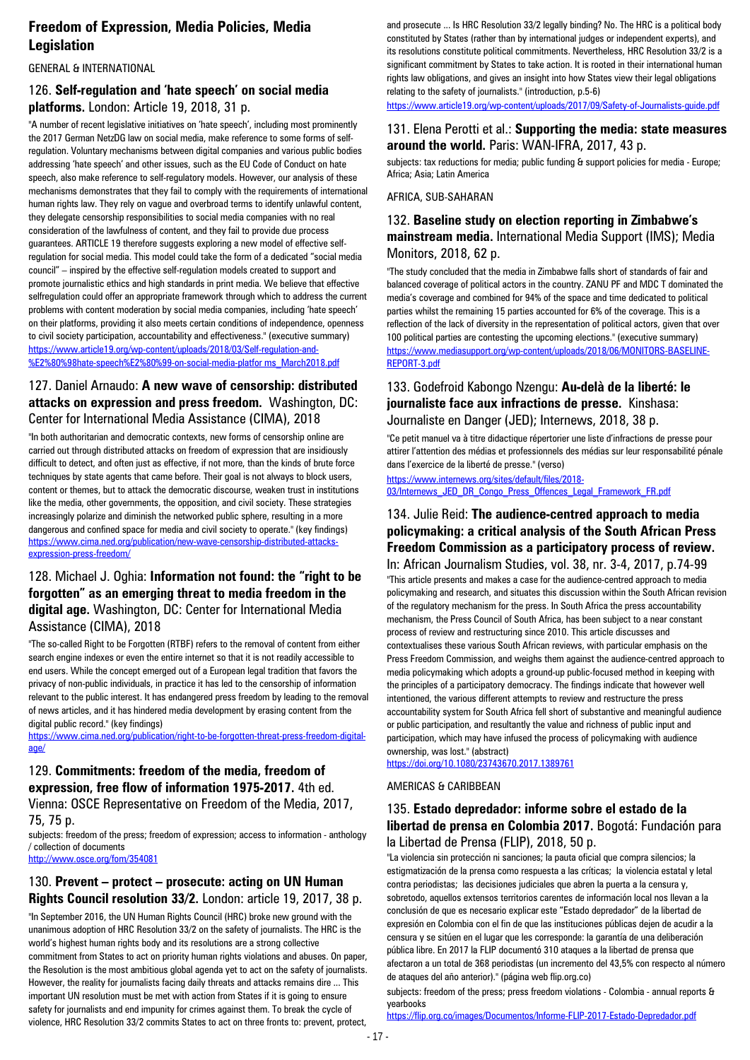# **Freedom of Expression, Media Policies, Media Legislation**

#### GENERAL & INTERNATIONAL

### 126. **Self-regulation and 'hate speech' on social media platforms.** London: Article 19, 2018, 31 p.

"A number of recent legislative initiatives on 'hate speech', including most prominently the 2017 German NetzDG law on social media, make reference to some forms of selfregulation. Voluntary mechanisms between digital companies and various public bodies addressing 'hate speech' and other issues, such as the EU Code of Conduct on hate speech, also make reference to self-regulatory models. However, our analysis of these mechanisms demonstrates that they fail to comply with the requirements of international human rights law. They rely on vague and overbroad terms to identify unlawful content, they delegate censorship responsibilities to social media companies with no real consideration of the lawfulness of content, and they fail to provide due process guarantees. ARTICLE 19 therefore suggests exploring a new model of effective selfregulation for social media. This model could take the form of a dedicated "social media council" – inspired by the effective self-regulation models created to support and promote journalistic ethics and high standards in print media. We believe that effective selfregulation could offer an appropriate framework through which to address the current problems with content moderation by social media companies, including 'hate speech' on their platforms, providing it also meets certain conditions of independence, openness to civil society participation, accountability and effectiveness." (executive summary) [https://www.article19.org/wp-content/uploads/2018/03/Self-regulation-and-](https://www.article19.org/wp-content/uploads/2018/03/Self-regulation-and-%E2%80%98hate-speech%E2%80%99-on-social-media-platfor%20ms_March2018.pdf) [%E2%80%98hate-speech%E2%80%99-on-social-media-platfor ms\\_March2018.pdf](https://www.article19.org/wp-content/uploads/2018/03/Self-regulation-and-%E2%80%98hate-speech%E2%80%99-on-social-media-platfor%20ms_March2018.pdf)

### 127. Daniel Arnaudo: **A new wave of censorship: distributed attacks on expression and press freedom.** Washington, DC: Center for International Media Assistance (CIMA), 2018

"In both authoritarian and democratic contexts, new forms of censorship online are carried out through distributed attacks on freedom of expression that are insidiously difficult to detect, and often just as effective, if not more, than the kinds of brute force techniques by state agents that came before. Their goal is not always to block users, content or themes, but to attack the democratic discourse, weaken trust in institutions like the media, other governments, the opposition, and civil society. These strategies increasingly polarize and diminish the networked public sphere, resulting in a more dangerous and confined space for media and civil society to operate." (key findings) [https://www.cima.ned.org/publication/new-wave-censorship-distributed-attacks](https://www.cima.ned.org/publication/new-wave-censorship-distributed-attacks-expression-press-freedom/)[expression-press-freedom/](https://www.cima.ned.org/publication/new-wave-censorship-distributed-attacks-expression-press-freedom/)

#### 128. Michael J. Oghia: **Information not found: the "right to be forgotten" as an emerging threat to media freedom in the digital age.** Washington, DC: Center for International Media Assistance (CIMA), 2018

"The so-called Right to be Forgotten (RTBF) refers to the removal of content from either search engine indexes or even the entire internet so that it is not readily accessible to end users. While the concept emerged out of a European legal tradition that favors the privacy of non-public individuals, in practice it has led to the censorship of information relevant to the public interest. It has endangered press freedom by leading to the removal of news articles, and it has hindered media development by erasing content from the digital public record." (key findings)

[https://www.cima.ned.org/publication/right-to-be-forgotten-threat-press-freedom-digital](https://www.cima.ned.org/publication/right-to-be-forgotten-threat-press-freedom-digital-age/)[age/](https://www.cima.ned.org/publication/right-to-be-forgotten-threat-press-freedom-digital-age/)

# 129. **Commitments: freedom of the media, freedom of expression, free flow of information 1975-2017.** 4th ed.

Vienna: OSCE Representative on Freedom of the Media, 2017, 75, 75 p.

subjects: freedom of the press; freedom of expression; access to information - anthology / collection of documents

<http://www.osce.org/fom/354081>

#### 130. **Prevent – protect – prosecute: acting on UN Human Rights Council resolution 33/2.** London: article 19, 2017, 38 p.

"In September 2016, the UN Human Rights Council (HRC) broke new ground with the unanimous adoption of HRC Resolution 33/2 on the safety of journalists. The HRC is the world's highest human rights body and its resolutions are a strong collective commitment from States to act on priority human rights violations and abuses. On paper, the Resolution is the most ambitious global agenda yet to act on the safety of journalists. However, the reality for journalists facing daily threats and attacks remains dire ... This important UN resolution must be met with action from States if it is going to ensure safety for journalists and end impunity for crimes against them. To break the cycle of violence, HRC Resolution 33/2 commits States to act on three fronts to: prevent, protect,

and prosecute ... Is HRC Resolution 33/2 legally binding? No. The HRC is a political body constituted by States (rather than by international judges or independent experts), and its resolutions constitute political commitments. Nevertheless, HRC Resolution 33/2 is a significant commitment by States to take action. It is rooted in their international human rights law obligations, and gives an insight into how States view their legal obligations relating to the safety of journalists." (introduction, p.5-6)

<https://www.article19.org/wp-content/uploads/2017/09/Safety-of-Journalists-guide.pdf>

#### 131. Elena Perotti et al.: **Supporting the media: state measures around the world.** Paris: WAN-IFRA, 2017, 43 p.

subjects: tax reductions for media; public funding & support policies for media - Europe; Africa; Asia; Latin America

#### AFRICA, SUB-SAHARAN

### 132. **Baseline study on election reporting in Zimbabwe's mainstream media.** International Media Support (IMS); Media Monitors, 2018, 62 p.

"The study concluded that the media in Zimbabwe falls short of standards of fair and balanced coverage of political actors in the country. ZANU PF and MDC T dominated the media's coverage and combined for 94% of the space and time dedicated to political parties whilst the remaining 15 parties accounted for 6% of the coverage. This is a reflection of the lack of diversity in the representation of political actors, given that over 100 political parties are contesting the upcoming elections." (executive summary) [https://www.mediasupport.org/wp-content/uploads/2018/06/MONITORS-BASELINE-](https://www.mediasupport.org/wp-content/uploads/2018/06/MONITORS-BASELINE-REPORT-3.pdf)[REPORT-3.pdf](https://www.mediasupport.org/wp-content/uploads/2018/06/MONITORS-BASELINE-REPORT-3.pdf)

### 133. Godefroid Kabongo Nzengu: **Au-delà de la liberté: le journaliste face aux infractions de presse.** Kinshasa: Journaliste en Danger (JED); Internews, 2018, 38 p.

"Ce petit manuel va à titre didactique répertorier une liste d'infractions de presse pour attirer l'attention des médias et professionnels des médias sur leur responsabilité pénale dans l'exercice de la liberté de presse." (verso)

[https://www.internews.org/sites/default/files/2018-](https://www.internews.org/sites/default/files/2018-03/Internews_JED_DR_Congo_Press_Offences_Legal_Framework_FR.pdf) [03/Internews\\_JED\\_DR\\_Congo\\_Press\\_Offences\\_Legal\\_Framework\\_FR.pdf](https://www.internews.org/sites/default/files/2018-03/Internews_JED_DR_Congo_Press_Offences_Legal_Framework_FR.pdf)

# 134. Julie Reid: **The audience-centred approach to media policymaking: a critical analysis of the South African Press Freedom Commission as a participatory process of review.**

In: African Journalism Studies, vol. 38, nr. 3-4, 2017, p.74-99 "This article presents and makes a case for the audience-centred approach to media policymaking and research, and situates this discussion within the South African revision of the regulatory mechanism for the press. In South Africa the press accountability mechanism, the Press Council of South Africa, has been subject to a near constant process of review and restructuring since 2010. This article discusses and contextualises these various South African reviews, with particular emphasis on the Press Freedom Commission, and weighs them against the audience-centred approach to media policymaking which adopts a ground-up public-focused method in keeping with the principles of a participatory democracy. The findings indicate that however well intentioned, the various different attempts to review and restructure the press accountability system for South Africa fell short of substantive and meaningful audience or public participation, and resultantly the value and richness of public input and participation, which may have infused the process of policymaking with audience ownership, was lost." (abstract)

<https://doi.org/10.1080/23743670.2017.1389761>

#### AMERICAS & CARIBBEAN

### 135. **Estado depredador: informe sobre el estado de la libertad de prensa en Colombia 2017.** Bogotá: Fundación para la Libertad de Prensa (FLIP), 2018, 50 p.

"La violencia sin protección ni sanciones; la pauta oficial que compra silencios; la estigmatización de la prensa como respuesta a las críticas; la violencia estatal y letal contra periodistas; las decisiones judiciales que abren la puerta a la censura y, sobretodo, aquellos extensos territorios carentes de información local nos llevan a la conclusión de que es necesario explicar este "Estado depredador" de la libertad de expresión en Colombia con el fin de que las instituciones públicas dejen de acudir a la censura y se sitúen en el lugar que les corresponde: la garantía de una deliberación pública libre. En 2017 la FLIP documentó 310 ataques a la libertad de prensa que afectaron a un total de 368 periodistas (un incremento del 43,5% con respecto al número de ataques del año anterior)." (página web flip.org.co) subjects: freedom of the press; press freedom violations - Colombia - annual reports & yearbooks

<https://flip.org.co/images/Documentos/Informe-FLIP-2017-Estado-Depredador.pdf>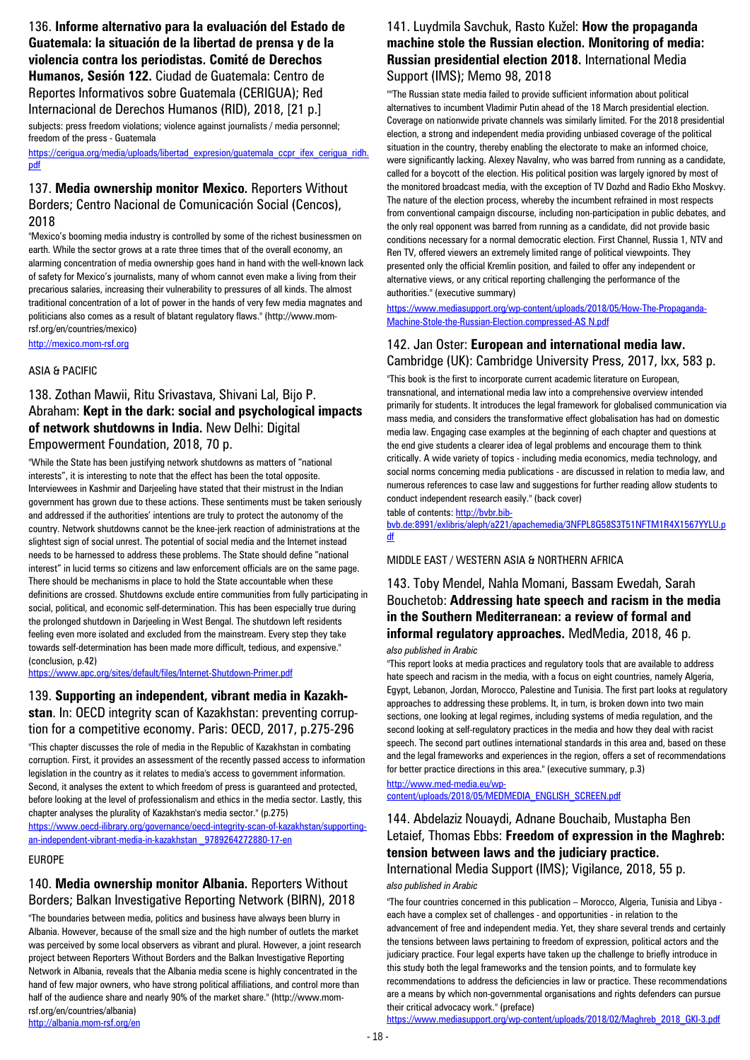136. **Informe alternativo para la evaluación del Estado de Guatemala: la situación de la libertad de prensa y de la violencia contra los periodistas. Comité de Derechos Humanos, Sesión 122.** Ciudad de Guatemala: Centro de Reportes Informativos sobre Guatemala (CERIGUA); Red Internacional de Derechos Humanos (RID), 2018, [21 p.]

subjects: press freedom violations; violence against journalists / media personnel; freedom of the press - Guatemala

[https://cerigua.org/media/uploads/libertad\\_expresion/guatemala\\_ccpr\\_ifex\\_cerigua\\_ridh.](https://cerigua.org/media/uploads/libertad_expresion/guatemala_ccpr_ifex_cerigua_ridh.pdf) [pdf](https://cerigua.org/media/uploads/libertad_expresion/guatemala_ccpr_ifex_cerigua_ridh.pdf)

#### 137. **Media ownership monitor Mexico.** Reporters Without Borders; Centro Nacional de Comunicación Social (Cencos), 2018

"Mexico's booming media industry is controlled by some of the richest businessmen on earth. While the sector grows at a rate three times that of the overall economy, an alarming concentration of media ownership goes hand in hand with the well-known lack of safety for Mexico's journalists, many of whom cannot even make a living from their precarious salaries, increasing their vulnerability to pressures of all kinds. The almost traditional concentration of a lot of power in the hands of very few media magnates and politicians also comes as a result of blatant regulatory flaws." (http://www.momrsf.org/en/countries/mexico)

[http://mexico.mom-rsf.org](http://mexico.mom-rsf.org/)

#### ASIA & PACIFIC

### 138. Zothan Mawii, Ritu Srivastava, Shivani Lal, Bijo P. Abraham: **Kept in the dark: social and psychological impacts of network shutdowns in India.** New Delhi: Digital Empowerment Foundation, 2018, 70 p.

"While the State has been justifying network shutdowns as matters of "national interests", it is interesting to note that the effect has been the total opposite. Interviewees in Kashmir and Darjeeling have stated that their mistrust in the Indian government has grown due to these actions. These sentiments must be taken seriously and addressed if the authorities' intentions are truly to protect the autonomy of the country. Network shutdowns cannot be the knee-jerk reaction of administrations at the slightest sign of social unrest. The potential of social media and the Internet instead needs to be harnessed to address these problems. The State should define "national interest" in lucid terms so citizens and law enforcement officials are on the same page. There should be mechanisms in place to hold the State accountable when these definitions are crossed. Shutdowns exclude entire communities from fully participating in social, political, and economic self-determination. This has been especially true during the prolonged shutdown in Darjeeling in West Bengal. The shutdown left residents feeling even more isolated and excluded from the mainstream. Every step they take towards self-determination has been made more difficult, tedious, and expensive." (conclusion, p.42)

<https://www.apc.org/sites/default/files/Internet-Shutdown-Primer.pdf>

### 139. **Supporting an independent, vibrant media in Kazakhstan**. In: OECD integrity scan of Kazakhstan: preventing corruption for a competitive economy. Paris: OECD, 2017, p.275-296

"This chapter discusses the role of media in the Republic of Kazakhstan in combating corruption. First, it provides an assessment of the recently passed access to information legislation in the country as it relates to media's access to government information. Second, it analyses the extent to which freedom of press is guaranteed and protected, before looking at the level of professionalism and ethics in the media sector. Lastly, this chapter analyses the plurality of Kazakhstan's media sector." (p.275)

[https://www.oecd-ilibrary.org/governance/oecd-integrity-scan-of-kazakhstan/supporting](https://www.oecd-ilibrary.org/governance/oecd-integrity-scan-of-kazakhstan/supporting-an-independent-vibrant-media-in-kazakhstan%20_9789264272880-17-en)[an-independent-vibrant-media-in-kazakhstan \\_9789264272880-17-en](https://www.oecd-ilibrary.org/governance/oecd-integrity-scan-of-kazakhstan/supporting-an-independent-vibrant-media-in-kazakhstan%20_9789264272880-17-en)

#### EUROPE

#### 140. **Media ownership monitor Albania.** Reporters Without Borders; Balkan Investigative Reporting Network (BIRN), 2018

"The boundaries between media, politics and business have always been blurry in Albania. However, because of the small size and the high number of outlets the market was perceived by some local observers as vibrant and plural. However, a joint research project between Reporters Without Borders and the Balkan Investigative Reporting Network in Albania, reveals that the Albania media scene is highly concentrated in the hand of few major owners, who have strong political affiliations, and control more than half of the audience share and nearly 90% of the market share." (http://www.momrsf.org/en/countries/albania) <http://albania.mom-rsf.org/en>

### 141. Luydmila Savchuk, Rasto Kužel: **How the propaganda machine stole the Russian election. Monitoring of media: Russian presidential election 2018.** International Media Support (IMS); Memo 98, 2018

""The Russian state media failed to provide sufficient information about political alternatives to incumbent Vladimir Putin ahead of the 18 March presidential election. Coverage on nationwide private channels was similarly limited. For the 2018 presidential election, a strong and independent media providing unbiased coverage of the political situation in the country, thereby enabling the electorate to make an informed choice, were significantly lacking. Alexey Navalny, who was barred from running as a candidate, called for a boycott of the election. His political position was largely ignored by most of the monitored broadcast media, with the exception of TV Dozhd and Radio Ekho Moskvy. The nature of the election process, whereby the incumbent refrained in most respects from conventional campaign discourse, including non-participation in public debates, and the only real opponent was barred from running as a candidate, did not provide basic conditions necessary for a normal democratic election. First Channel, Russia 1, NTV and Ren TV, offered viewers an extremely limited range of political viewpoints. They presented only the official Kremlin position, and failed to offer any independent or alternative views, or any critical reporting challenging the performance of the authorities." (executive summary)

[https://www.mediasupport.org/wp-content/uploads/2018/05/How-The-Propaganda-](https://www.mediasupport.org/wp-content/uploads/2018/05/How-The-Propaganda-Machine-Stole-the-Russian-Election.compressed-AS%20N.pdf)[Machine-Stole-the-Russian-Election.compressed-AS N.pdf](https://www.mediasupport.org/wp-content/uploads/2018/05/How-The-Propaganda-Machine-Stole-the-Russian-Election.compressed-AS%20N.pdf)

#### 142. Jan Oster: **European and international media law.**  Cambridge (UK): Cambridge University Press, 2017, lxx, 583 p.

"This book is the first to incorporate current academic literature on European, transnational, and international media law into a comprehensive overview intended primarily for students. It introduces the legal framework for globalised communication via mass media, and considers the transformative effect globalisation has had on domestic media law. Engaging case examples at the beginning of each chapter and questions at the end give students a clearer idea of legal problems and encourage them to think critically. A wide variety of topics - including media economics, media technology, and social norms concerning media publications - are discussed in relation to media law, and numerous references to case law and suggestions for further reading allow students to conduct independent research easily." (back cover)

table of contents[: http://bvbr.bib-](http://bvbr.bib-bvb.de:8991/exlibris/aleph/a221/apachemedia/3NFPL8G58S3T51NFTM1R4X1567YYLU.pdf)

[bvb.de:8991/exlibris/aleph/a221/apachemedia/3NFPL8G58S3T51NFTM1R4X1567YYLU.p](http://bvbr.bib-bvb.de:8991/exlibris/aleph/a221/apachemedia/3NFPL8G58S3T51NFTM1R4X1567YYLU.pdf) [df](http://bvbr.bib-bvb.de:8991/exlibris/aleph/a221/apachemedia/3NFPL8G58S3T51NFTM1R4X1567YYLU.pdf)

#### MIDDLE EAST / WESTERN ASIA & NORTHERN AFRICA

### 143. Toby Mendel, Nahla Momani, Bassam Ewedah, Sarah Bouchetob: **Addressing hate speech and racism in the media in the Southern Mediterranean: a review of formal and informal regulatory approaches.** MedMedia, 2018, 46 p.

#### *also published in Arabic*

"This report looks at media practices and regulatory tools that are available to address hate speech and racism in the media, with a focus on eight countries, namely Algeria, Egypt, Lebanon, Jordan, Morocco, Palestine and Tunisia. The first part looks at regulatory approaches to addressing these problems. It, in turn, is broken down into two main sections, one looking at legal regimes, including systems of media regulation, and the second looking at self-regulatory practices in the media and how they deal with racist speech. The second part outlines international standards in this area and, based on these and the legal frameworks and experiences in the region, offers a set of recommendations for better practice directions in this area." (executive summary, p.3)

[http://www.med-media.eu/wp](http://www.med-media.eu/wp-content/uploads/2018/05/MEDMEDIA_ENGLISH_SCREEN.pdf)[content/uploads/2018/05/MEDMEDIA\\_ENGLISH\\_SCREEN.pdf](http://www.med-media.eu/wp-content/uploads/2018/05/MEDMEDIA_ENGLISH_SCREEN.pdf)

### 144. Abdelaziz Nouaydi, Adnane Bouchaib, Mustapha Ben Letaief, Thomas Ebbs: **Freedom of expression in the Maghreb: tension between laws and the judiciary practice.**  International Media Support (IMS); Vigilance, 2018, 55 p.

*also published in Arabic*

"The four countries concerned in this publication – Morocco, Algeria, Tunisia and Libya each have a complex set of challenges - and opportunities - in relation to the advancement of free and independent media. Yet, they share several trends and certainly the tensions between laws pertaining to freedom of expression, political actors and the judiciary practice. Four legal experts have taken up the challenge to briefly introduce in this study both the legal frameworks and the tension points, and to formulate key recommendations to address the deficiencies in law or practice. These recommendations are a means by which non-governmental organisations and rights defenders can pursue their critical advocacy work." (preface)

[https://www.mediasupport.org/wp-content/uploads/2018/02/Maghreb\\_2018\\_GKI-3.pdf](https://www.mediasupport.org/wp-content/uploads/2018/02/Maghreb_2018_GKI-3.pdf)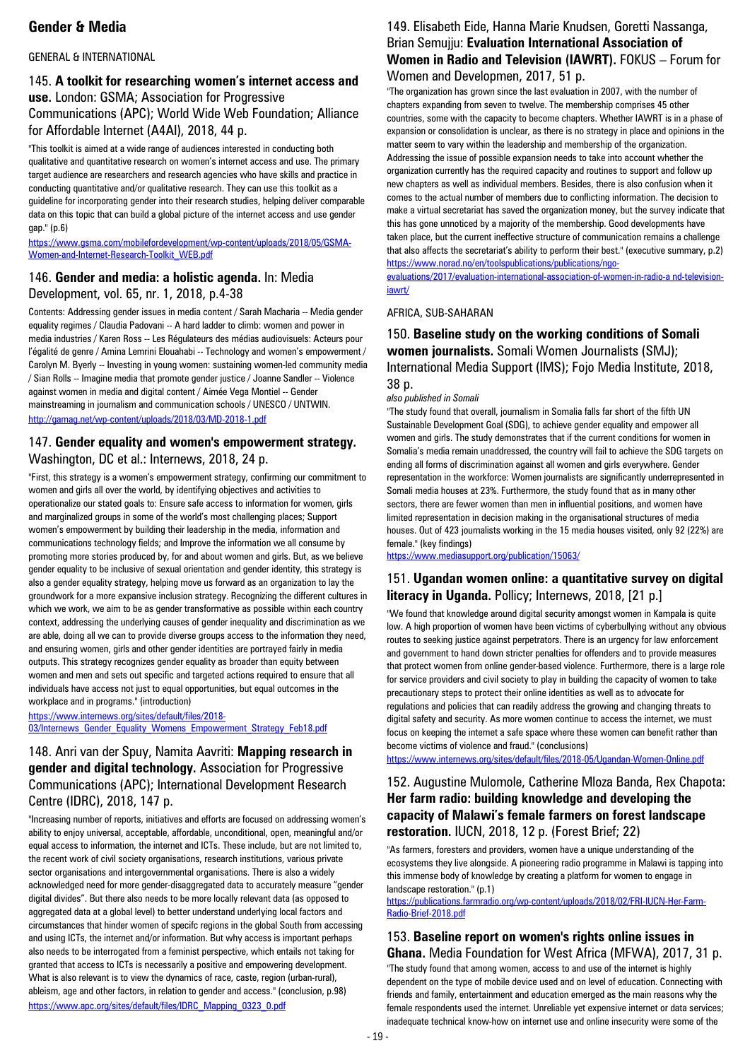# **Gender & Media**

#### GENERAL & INTERNATIONAL

#### 145. **A toolkit for researching women's internet access and use.** London: GSMA; Association for Progressive Communications (APC); World Wide Web Foundation; Alliance for Affordable Internet (A4AI), 2018, 44 p.

"This toolkit is aimed at a wide range of audiences interested in conducting both qualitative and quantitative research on women's internet access and use. The primary target audience are researchers and research agencies who have skills and practice in conducting quantitative and/or qualitative research. They can use this toolkit as a guideline for incorporating gender into their research studies, helping deliver comparable data on this topic that can build a global picture of the internet access and use gender gap." (p.6)

[https://www.gsma.com/mobilefordevelopment/wp-content/uploads/2018/05/GSMA-](https://www.gsma.com/mobilefordevelopment/wp-content/uploads/2018/05/GSMA-Women-and-Internet-Research-Toolkit_WEB.pdf)[Women-and-Internet-Research-Toolkit\\_WEB.pdf](https://www.gsma.com/mobilefordevelopment/wp-content/uploads/2018/05/GSMA-Women-and-Internet-Research-Toolkit_WEB.pdf)

### 146. **Gender and media: a holistic agenda.** In: Media Development, vol. 65, nr. 1, 2018, p.4-38

Contents: Addressing gender issues in media content / Sarah Macharia -- Media gender equality regimes / Claudia Padovani -- A hard ladder to climb: women and power in media industries / Karen Ross -- Les Régulateurs des médias audiovisuels: Acteurs pour l'égalité de genre / Amina Lemrini Elouahabi -- Technology and women's empowerment / Carolyn M. Byerly -- Investing in young women: sustaining women-led community media / Sian Rolls -- Imagine media that promote gender justice / Joanne Sandler -- Violence against women in media and digital content / Aimée Vega Montiel -- Gender mainstreaming in journalism and communication schools / UNESCO / UNTWIN. <http://gamag.net/wp-content/uploads/2018/03/MD-2018-1.pdf>

#### 147. **Gender equality and women's empowerment strategy.**  Washington, DC et al.: Internews, 2018, 24 p.

"First, this strategy is a women's empowerment strategy, confirming our commitment to women and girls all over the world, by identifying objectives and activities to operationalize our stated goals to: Ensure safe access to information for women, girls and marginalized groups in some of the world's most challenging places; Support women's empowerment by building their leadership in the media, information and communications technology fields; and Improve the information we all consume by promoting more stories produced by, for and about women and girls. But, as we believe gender equality to be inclusive of sexual orientation and gender identity, this strategy is also a gender equality strategy, helping move us forward as an organization to lay the groundwork for a more expansive inclusion strategy. Recognizing the different cultures in which we work, we aim to be as gender transformative as possible within each country context, addressing the underlying causes of gender inequality and discrimination as we are able, doing all we can to provide diverse groups access to the information they need, and ensuring women, girls and other gender identities are portrayed fairly in media outputs. This strategy recognizes gender equality as broader than equity between women and men and sets out specific and targeted actions required to ensure that all individuals have access not just to equal opportunities, but equal outcomes in the workplace and in programs." (introduction)

[https://www.internews.org/sites/default/files/2018-](https://www.internews.org/sites/default/files/2018-03/Internews_Gender_Equality_Womens_Empowerment_Strategy_Feb18.pdf) [03/Internews\\_Gender\\_Equality\\_Womens\\_Empowerment\\_Strategy\\_Feb18.pdf](https://www.internews.org/sites/default/files/2018-03/Internews_Gender_Equality_Womens_Empowerment_Strategy_Feb18.pdf)

### 148. Anri van der Spuy, Namita Aavriti: **Mapping research in gender and digital technology.** Association for Progressive Communications (APC); International Development Research Centre (IDRC), 2018, 147 p.

"Increasing number of reports, initiatives and efforts are focused on addressing women's ability to enjoy universal, acceptable, affordable, unconditional, open, meaningful and/or equal access to information, the internet and ICTs. These include, but are not limited to, the recent work of civil society organisations, research institutions, various private sector organisations and intergovernmental organisations. There is also a widely acknowledged need for more gender-disaggregated data to accurately measure "gender digital divides". But there also needs to be more locally relevant data (as opposed to aggregated data at a global level) to better understand underlying local factors and circumstances that hinder women of specifc regions in the global South from accessing and using ICTs, the internet and/or information. But why access is important perhaps also needs to be interrogated from a feminist perspective, which entails not taking for granted that access to ICTs is necessarily a positive and empowering development. What is also relevant is to view the dynamics of race, caste, region (urban-rural), ableism, age and other factors, in relation to gender and access." (conclusion, p.98) [https://www.apc.org/sites/default/files/IDRC\\_Mapping\\_0323\\_0.pdf](https://www.apc.org/sites/default/files/IDRC_Mapping_0323_0.pdf)

#### 149. Elisabeth Eide, Hanna Marie Knudsen, Goretti Nassanga, Brian Semujju: **Evaluation International Association of Women in Radio and Television (IAWRT).** FOKUS – Forum for Women and Developmen, 2017, 51 p.

"The organization has grown since the last evaluation in 2007, with the number of chapters expanding from seven to twelve. The membership comprises 45 other countries, some with the capacity to become chapters. Whether IAWRT is in a phase of expansion or consolidation is unclear, as there is no strategy in place and opinions in the matter seem to vary within the leadership and membership of the organization. Addressing the issue of possible expansion needs to take into account whether the organization currently has the required capacity and routines to support and follow up new chapters as well as individual members. Besides, there is also confusion when it comes to the actual number of members due to conflicting information. The decision to make a virtual secretariat has saved the organization money, but the survey indicate that this has gone unnoticed by a majority of the membership. Good developments have taken place, but the current ineffective structure of communication remains a challenge that also affects the secretariat's ability to perform their best." (executive summary, p.2) [https://www.norad.no/en/toolspublications/publications/ngo](https://www.norad.no/en/toolspublications/publications/ngo-evaluations/2017/evaluation-international-association-of-women-in-radio-a%20nd-television-iawrt/)[evaluations/2017/evaluation-international-association-of-women-in-radio-a nd-television-](https://www.norad.no/en/toolspublications/publications/ngo-evaluations/2017/evaluation-international-association-of-women-in-radio-a%20nd-television-iawrt/)

[iawrt/](https://www.norad.no/en/toolspublications/publications/ngo-evaluations/2017/evaluation-international-association-of-women-in-radio-a%20nd-television-iawrt/)

#### AFRICA, SUB-SAHARAN

#### 150. **Baseline study on the working conditions of Somali women journalists.** Somali Women Journalists (SMJ); International Media Support (IMS); Fojo Media Institute, 2018, 38 p.

#### *also published in Somali*

"The study found that overall, journalism in Somalia falls far short of the fifth UN Sustainable Development Goal (SDG), to achieve gender equality and empower all women and girls. The study demonstrates that if the current conditions for women in Somalia's media remain unaddressed, the country will fail to achieve the SDG targets on ending all forms of discrimination against all women and girls everywhere. Gender representation in the workforce: Women journalists are significantly underrepresented in Somali media houses at 23%. Furthermore, the study found that as in many other sectors, there are fewer women than men in influential positions, and women have limited representation in decision making in the organisational structures of media houses. Out of 423 journalists working in the 15 media houses visited, only 92 (22%) are female." (key findings)

<https://www.mediasupport.org/publication/15063/>

### 151. **Ugandan women online: a quantitative survey on digital literacy in Uganda.** Pollicy; Internews, 2018, [21 p.]

"We found that knowledge around digital security amongst women in Kampala is quite low. A high proportion of women have been victims of cyberbullying without any obvious routes to seeking justice against perpetrators. There is an urgency for law enforcement and government to hand down stricter penalties for offenders and to provide measures that protect women from online gender-based violence. Furthermore, there is a large role for service providers and civil society to play in building the capacity of women to take precautionary steps to protect their online identities as well as to advocate for regulations and policies that can readily address the growing and changing threats to digital safety and security. As more women continue to access the internet, we must focus on keeping the internet a safe space where these women can benefit rather than become victims of violence and fraud." (conclusions)

<https://www.internews.org/sites/default/files/2018-05/Ugandan-Women-Online.pdf>

### 152. Augustine Mulomole, Catherine Mloza Banda, Rex Chapota: **Her farm radio: building knowledge and developing the capacity of Malawi's female farmers on forest landscape restoration.** IUCN, 2018, 12 p. (Forest Brief; 22)

"As farmers, foresters and providers, women have a unique understanding of the ecosystems they live alongside. A pioneering radio programme in Malawi is tapping into this immense body of knowledge by creating a platform for women to engage in landscape restoration." (p.1)

[https://publications.farmradio.org/wp-content/uploads/2018/02/FRI-IUCN-Her-Farm-](https://publications.farmradio.org/wp-content/uploads/2018/02/FRI-IUCN-Her-Farm-Radio-Brief-2018.pdf)[Radio-Brief-2018.pdf](https://publications.farmradio.org/wp-content/uploads/2018/02/FRI-IUCN-Her-Farm-Radio-Brief-2018.pdf)

153. **Baseline report on women's rights online issues in Ghana.** Media Foundation for West Africa (MFWA), 2017, 31 p. "The study found that among women, access to and use of the internet is highly dependent on the type of mobile device used and on level of education. Connecting with friends and family, entertainment and education emerged as the main reasons why the female respondents used the internet. Unreliable yet expensive internet or data services; inadequate technical know-how on internet use and online insecurity were some of the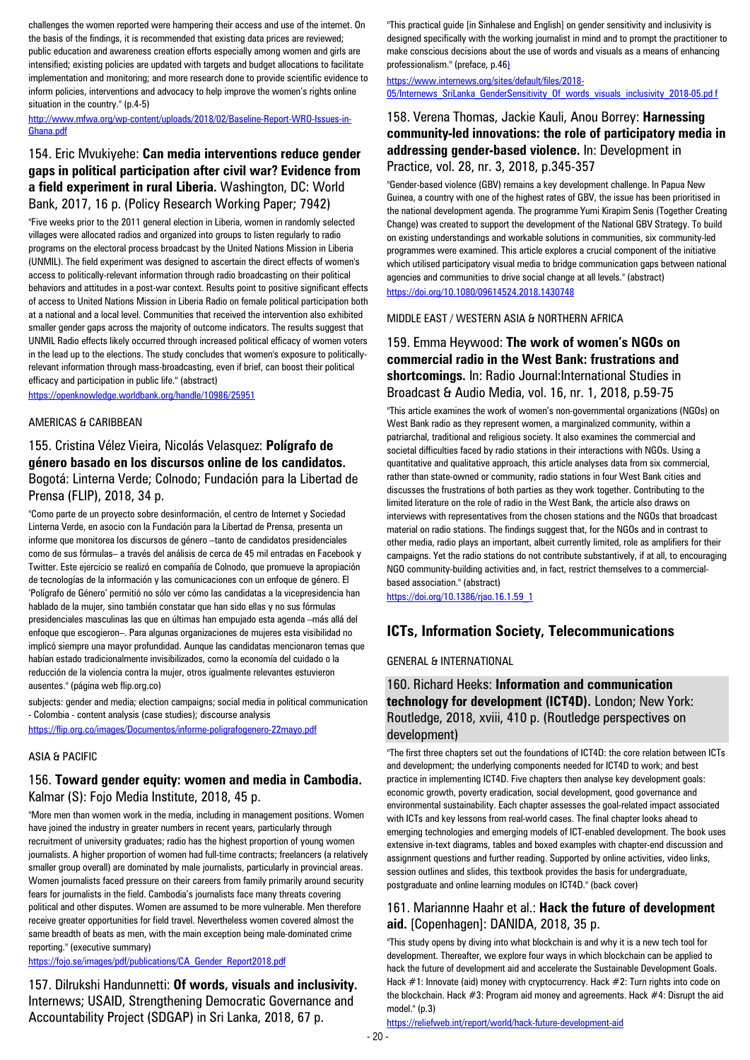challenges the women reported were hampering their access and use of the internet. On the basis of the findings, it is recommended that existing data prices are reviewed; public education and awareness creation efforts especially among women and girls are intensified; existing policies are updated with targets and budget allocations to facilitate implementation and monitoring; and more research done to provide scientific evidence to inform policies, interventions and advocacy to help improve the women's rights online situation in the country." (p.4-5)

[http://www.mfwa.org/wp-content/uploads/2018/02/Baseline-Report-WRO-Issues-in-](http://www.mfwa.org/wp-content/uploads/2018/02/Baseline-Report-WRO-Issues-in-Ghana.pdf)[Ghana.pdf](http://www.mfwa.org/wp-content/uploads/2018/02/Baseline-Report-WRO-Issues-in-Ghana.pdf)

### 154. Eric Mvukiyehe: **Can media interventions reduce gender gaps in political participation after civil war? Evidence from a field experiment in rural Liberia.** Washington, DC: World Bank, 2017, 16 p. (Policy Research Working Paper; 7942)

"Five weeks prior to the 2011 general election in Liberia, women in randomly selected villages were allocated radios and organized into groups to listen regularly to radio programs on the electoral process broadcast by the United Nations Mission in Liberia (UNMIL). The field experiment was designed to ascertain the direct effects of women's access to politically-relevant information through radio broadcasting on their political behaviors and attitudes in a post-war context. Results point to positive significant effects of access to United Nations Mission in Liberia Radio on female political participation both at a national and a local level. Communities that received the intervention also exhibited smaller gender gaps across the majority of outcome indicators. The results suggest that UNMIL Radio effects likely occurred through increased political efficacy of women voters in the lead up to the elections. The study concludes that women's exposure to politicallyrelevant information through mass-broadcasting, even if brief, can boost their political efficacy and participation in public life." (abstract)

<https://openknowledge.worldbank.org/handle/10986/25951>

#### AMERICAS & CARIBBEAN

### 155. Cristina Vélez Vieira, Nicolás Velasquez: **Polígrafo de género basado en los discursos online de los candidatos.**  Bogotá: Linterna Verde; Colnodo; Fundación para la Libertad de Prensa (FLIP), 2018, 34 p.

"Como parte de un proyecto sobre desinformación, el centro de Internet y Sociedad Linterna Verde, en asocio con la Fundación para la Libertad de Prensa, presenta un informe que monitorea los discursos de género –tanto de candidatos presidenciales como de sus fórmulas– a través del análisis de cerca de 45 mil entradas en Facebook y Twitter. Este ejercicio se realizó en compañía de Colnodo, que promueve la apropiación de tecnologías de la información y las comunicaciones con un enfoque de género. El 'Polígrafo de Género' permitió no sólo ver cómo las candidatas a la vicepresidencia han hablado de la mujer, sino también constatar que han sido ellas y no sus fórmulas presidenciales masculinas las que en últimas han empujado esta agenda –más allá del enfoque que escogieron–. Para algunas organizaciones de mujeres esta visibilidad no implicó siempre una mayor profundidad. Aunque las candidatas mencionaron temas que habían estado tradicionalmente invisibilizados, como la economía del cuidado o la reducción de la violencia contra la mujer, otros igualmente relevantes estuvieron ausentes." (página web flip.org.co)

subjects: gender and media; election campaigns; social media in political communication - Colombia - content analysis (case studies); discourse analysis

<https://flip.org.co/images/Documentos/informe-poligrafogenero-22mayo.pdf>

#### ASIA & PACIFIC

#### 156. **Toward gender equity: women and media in Cambodia.**  Kalmar (S): Fojo Media Institute, 2018, 45 p.

"More men than women work in the media, including in management positions. Women have joined the industry in greater numbers in recent years, particularly through recruitment of university graduates; radio has the highest proportion of young women journalists. A higher proportion of women had full-time contracts; freelancers (a relatively smaller group overall) are dominated by male journalists, particularly in provincial areas. Women journalists faced pressure on their careers from family primarily around security fears for journalists in the field. Cambodia's journalists face many threats covering political and other disputes. Women are assumed to be more vulnerable. Men therefore receive greater opportunities for field travel. Nevertheless women covered almost the same breadth of beats as men, with the main exception being male-dominated crime reporting." (executive summary)

[https://fojo.se/images/pdf/publications/CA\\_Gender\\_Report2018.pdf](https://fojo.se/images/pdf/publications/CA_Gender_Report2018.pdf)

157. Dilrukshi Handunnetti: **Of words, visuals and inclusivity.**  Internews; USAID, Strengthening Democratic Governance and Accountability Project (SDGAP) in Sri Lanka, 2018, 67 p.

"This practical guide [in Sinhalese and English] on gender sensitivity and inclusivity is designed specifically with the working journalist in mind and to prompt the practitioner to make conscious decisions about the use of words and visuals as a means of enhancing professionalism." (preface, p.46)

https://www.internews.org/sites/default/files/2018- 05/Internews\_SriLanka\_GenderSensitivity\_Of\_words\_visuals\_inclusivity\_2018-05.pd f

#### 158. Verena Thomas, Jackie Kauli, Anou Borrey: **Harnessing community-led innovations: the role of participatory media in addressing gender-based violence.** In: Development in Practice, vol. 28, nr. 3, 2018, p.345-357

"Gender-based violence (GBV) remains a key development challenge. In Papua New Guinea, a country with one of the highest rates of GBV, the issue has been prioritised in the national development agenda. The programme Yumi Kirapim Senis (Together Creating Change) was created to support the development of the National GBV Strategy. To build on existing understandings and workable solutions in communities, six community-led programmes were examined. This article explores a crucial component of the initiative which utilised participatory visual media to bridge communication gaps between national agencies and communities to drive social change at all levels." (abstract) <https://doi.org/10.1080/09614524.2018.1430748>

MIDDLE EAST / WESTERN ASIA & NORTHERN AFRICA

### 159. Emma Heywood: **The work of women's NGOs on commercial radio in the West Bank: frustrations and shortcomings.** In: Radio Journal:International Studies in Broadcast & Audio Media, vol. 16, nr. 1, 2018, p.59-75

"This article examines the work of women's non-governmental organizations (NGOs) on West Bank radio as they represent women, a marginalized community, within a patriarchal, traditional and religious society. It also examines the commercial and societal difficulties faced by radio stations in their interactions with NGOs. Using a quantitative and qualitative approach, this article analyses data from six commercial, rather than state-owned or community, radio stations in four West Bank cities and discusses the frustrations of both parties as they work together. Contributing to the limited literature on the role of radio in the West Bank, the article also draws on interviews with representatives from the chosen stations and the NGOs that broadcast material on radio stations. The findings suggest that, for the NGOs and in contrast to other media, radio plays an important, albeit currently limited, role as amplifiers for their campaigns. Yet the radio stations do not contribute substantively, if at all, to encouraging NGO community-building activities and, in fact, restrict themselves to a commercialbased association." (abstract)

[https://doi.org/10.1386/rjao.16.1.59\\_1](https://doi.org/10.1386/rjao.16.1.59_1)

### **ICTs, Information Society, Telecommunications**

#### GENERAL & INTERNATIONAL

#### 160. Richard Heeks: **Information and communication technology for development (ICT4D).** London; New York: Routledge, 2018, xviii, 410 p. (Routledge perspectives on development)

"The first three chapters set out the foundations of ICT4D: the core relation between ICTs and development; the underlying components needed for ICT4D to work; and best practice in implementing ICT4D. Five chapters then analyse key development goals: economic growth, poverty eradication, social development, good governance and environmental sustainability. Each chapter assesses the goal-related impact associated with ICTs and key lessons from real-world cases. The final chapter looks ahead to emerging technologies and emerging models of ICT-enabled development. The book uses extensive in-text diagrams, tables and boxed examples with chapter-end discussion and assignment questions and further reading. Supported by online activities, video links, session outlines and slides, this textbook provides the basis for undergraduate, postgraduate and online learning modules on ICT4D." (back cover)

#### 161. Mariannne Haahr et al.: **Hack the future of development aid.** [Copenhagen]: DANIDA, 2018, 35 p.

"This study opens by diving into what blockchain is and why it is a new tech tool for development. Thereafter, we explore four ways in which blockchain can be applied to hack the future of development aid and accelerate the Sustainable Development Goals. Hack #1: Innovate (aid) money with cryptocurrency. Hack #2: Turn rights into code on the blockchain. Hack #3: Program aid money and agreements. Hack #4: Disrupt the aid model." (p.3)

<https://reliefweb.int/report/world/hack-future-development-aid>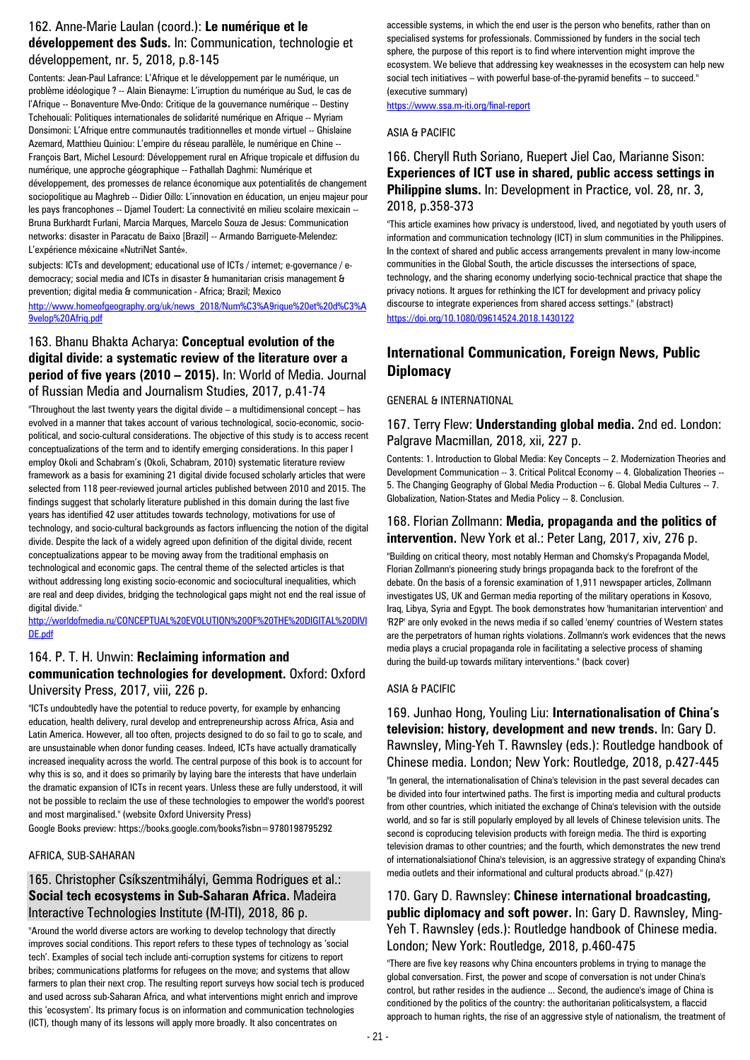#### 162. Anne-Marie Laulan (coord.): **Le numérique et le développement des Suds.** In: Communication, technologie et développement, nr. 5, 2018, p.8-145

Contents: Jean-Paul Lafrance: L'Afrique et le développement par le numérique, un problème idéologique ? -- Alain Bienayme: L'irruption du numérique au Sud, le cas de l'Afrique -- Bonaventure Mve-Ondo: Critique de la gouvernance numérique -- Destiny Tchehouali: Politiques internationales de solidarité numérique en Afrique -- Myriam Donsimoni: L'Afrique entre communautés traditionnelles et monde virtuel -- Ghislaine Azemard, Matthieu Quiniou: L'empire du réseau parallèle, le numérique en Chine -- François Bart, Michel Lesourd: Développement rural en Afrique tropicale et diffusion du numérique, une approche géographique -- Fathallah Daghmi: Numérique et développement, des promesses de relance économique aux potentialités de changement sociopolitique au Maghreb -- Didier Oillo: L'innovation en éducation, un enjeu majeur pour les pays francophones -- Djamel Toudert: La connectivité en milieu scolaire mexicain -- Bruna Burkhardt Furlani, Marcia Marques, Marcelo Souza de Jesus: Communication networks: disaster in Paracatu de Baixo [Brazil] -- Armando Barriguete-Melendez: L'expérience méxicaine «NutriNet Santé».

subjects: ICTs and development; educational use of ICTs / internet; e-governance / edemocracy; social media and ICTs in disaster & humanitarian crisis management & prevention; digital media & communication - Africa; Brazil; Mexico

[http://www.homeofgeography.org/uk/news\\_2018/Num%C3%A9rique%20et%20d%C3%A](http://www.homeofgeography.org/uk/news_2018/Num%C3%A9rique%20et%20d%C3%A9velop%20Afriq.pdf) [9velop%20Afriq.pdf](http://www.homeofgeography.org/uk/news_2018/Num%C3%A9rique%20et%20d%C3%A9velop%20Afriq.pdf)

### 163. Bhanu Bhakta Acharya: **Conceptual evolution of the digital divide: a systematic review of the literature over a period of five years (2010 – 2015).** In: World of Media. Journal of Russian Media and Journalism Studies, 2017, p.41-74

"Throughout the last twenty years the digital divide – a multidimensional concept – has evolved in a manner that takes account of various technological, socio-economic, sociopolitical, and socio-cultural considerations. The objective of this study is to access recent conceptualizations of the term and to identify emerging considerations. In this paper I employ Okoli and Schabram's (Okoli, Schabram, 2010) systematic literature review framework as a basis for examining 21 digital divide focused scholarly articles that were selected from 118 peer-reviewed journal articles published between 2010 and 2015. The findings suggest that scholarly literature published in this domain during the last five years has identified 42 user attitudes towards technology, motivations for use of technology, and socio-cultural backgrounds as factors influencing the notion of the digital divide. Despite the lack of a widely agreed upon definition of the digital divide, recent conceptualizations appear to be moving away from the traditional emphasis on technological and economic gaps. The central theme of the selected articles is that without addressing long existing socio-economic and sociocultural inequalities, which are real and deep divides, bridging the technological gaps might not end the real issue of digital divide."

[http://worldofmedia.ru/CONCEPTUAL%20EVOLUTION%20OF%20THE%20DIGITAL%20DIVI](http://worldofmedia.ru/CONCEPTUAL%20EVOLUTION%20OF%20THE%20DIGITAL%20DIVIDE.pdf) [DE.pdf](http://worldofmedia.ru/CONCEPTUAL%20EVOLUTION%20OF%20THE%20DIGITAL%20DIVIDE.pdf)

### 164. P. T. H. Unwin: **Reclaiming information and communication technologies for development.** Oxford: Oxford University Press, 2017, viii, 226 p.

"ICTs undoubtedly have the potential to reduce poverty, for example by enhancing education, health delivery, rural develop and entrepreneurship across Africa, Asia and Latin America. However, all too often, projects designed to do so fail to go to scale, and are unsustainable when donor funding ceases. Indeed, ICTs have actually dramatically increased inequality across the world. The central purpose of this book is to account for why this is so, and it does so primarily by laying bare the interests that have underlain the dramatic expansion of ICTs in recent years. Unless these are fully understood, it will not be possible to reclaim the use of these technologies to empower the world's poorest and most marginalised." (website Oxford University Press)

Google Books preview: https://books.google.com/books?isbn=9780198795292

#### AFRICA, SUB-SAHARAN

### 165. Christopher Csíkszentmihályi, Gemma Rodrigues et al.: **Social tech ecosystems in Sub-Saharan Africa.** Madeira Interactive Technologies Institute (M-ITI), 2018, 86 p.

"Around the world diverse actors are working to develop technology that directly improves social conditions. This report refers to these types of technology as 'social tech'. Examples of social tech include anti-corruption systems for citizens to report bribes; communications platforms for refugees on the move; and systems that allow farmers to plan their next crop. The resulting report surveys how social tech is produced and used across sub-Saharan Africa, and what interventions might enrich and improve this 'ecosystem'. Its primary focus is on information and communication technologies (ICT), though many of its lessons will apply more broadly. It also concentrates on

accessible systems, in which the end user is the person who benefits, rather than on specialised systems for professionals. Commissioned by funders in the social tech sphere, the purpose of this report is to find where intervention might improve the ecosystem. We believe that addressing key weaknesses in the ecosystem can help new social tech initiatives – with powerful base-of-the-pyramid benefits – to succeed." (executive summary)

<https://www.ssa.m-iti.org/final-report>

#### ASIA & PACIFIC

### 166. Cheryll Ruth Soriano, Ruepert Jiel Cao, Marianne Sison: **Experiences of ICT use in shared, public access settings in Philippine slums.** In: Development in Practice, vol. 28, nr. 3, 2018, p.358-373

"This article examines how privacy is understood, lived, and negotiated by youth users of information and communication technology (ICT) in slum communities in the Philippines. In the context of shared and public access arrangements prevalent in many low-income communities in the Global South, the article discusses the intersections of space, technology, and the sharing economy underlying socio-technical practice that shape the privacy notions. It argues for rethinking the ICT for development and privacy policy discourse to integrate experiences from shared access settings." (abstract) <https://doi.org/10.1080/09614524.2018.1430122>

# **International Communication, Foreign News, Public Diplomacy**

#### GENERAL & INTERNATIONAL

#### 167. Terry Flew: **Understanding global media.** 2nd ed. London: Palgrave Macmillan, 2018, xii, 227 p.

Contents: 1. Introduction to Global Media: Key Concepts -- 2. Modernization Theories and Development Communication -- 3. Critical Politcal Economy -- 4. Globalization Theories -- 5. The Changing Geography of Global Media Production -- 6. Global Media Cultures -- 7. Globalization, Nation-States and Media Policy -- 8. Conclusion.

#### 168. Florian Zollmann: **Media, propaganda and the politics of intervention.** New York et al.: Peter Lang, 2017, xiv, 276 p.

"Building on critical theory, most notably Herman and Chomsky's Propaganda Model, Florian Zollmann's pioneering study brings propaganda back to the forefront of the debate. On the basis of a forensic examination of 1,911 newspaper articles, Zollmann investigates US, UK and German media reporting of the military operations in Kosovo, Iraq, Libya, Syria and Egypt. The book demonstrates how 'humanitarian intervention' and 'R2P' are only evoked in the news media if so called 'enemy' countries of Western states are the perpetrators of human rights violations. Zollmann's work evidences that the news media plays a crucial propaganda role in facilitating a selective process of shaming during the build-up towards military interventions." (back cover)

#### ASIA & PACIFIC

### 169. Junhao Hong, Youling Liu: **Internationalisation of China's television: history, development and new trends.** In: Gary D. Rawnsley, Ming-Yeh T. Rawnsley (eds.): Routledge handbook of Chinese media. London; New York: Routledge, 2018, p.427-445

"In general, the internationalisation of China's television in the past several decades can be divided into four intertwined paths. The first is importing media and cultural products from other countries, which initiated the exchange of China's television with the outside world, and so far is still popularly employed by all levels of Chinese television units. The second is coproducing television products with foreign media. The third is exporting television dramas to other countries; and the fourth, which demonstrates the new trend of internationalsiationof China's television, is an aggressive strategy of expanding China's media outlets and their informational and cultural products abroad." (p.427)

### 170. Gary D. Rawnsley: **Chinese international broadcasting, public diplomacy and soft power.** In: Gary D. Rawnsley, Ming-Yeh T. Rawnsley (eds.): Routledge handbook of Chinese media. London; New York: Routledge, 2018, p.460-475

"There are five key reasons why China encounters problems in trying to manage the global conversation. First, the power and scope of conversation is not under China's control, but rather resides in the audience ... Second, the audience's image of China is conditioned by the politics of the country: the authoritarian politicalsystem, a flaccid approach to human rights, the rise of an aggressive style of nationalism, the treatment of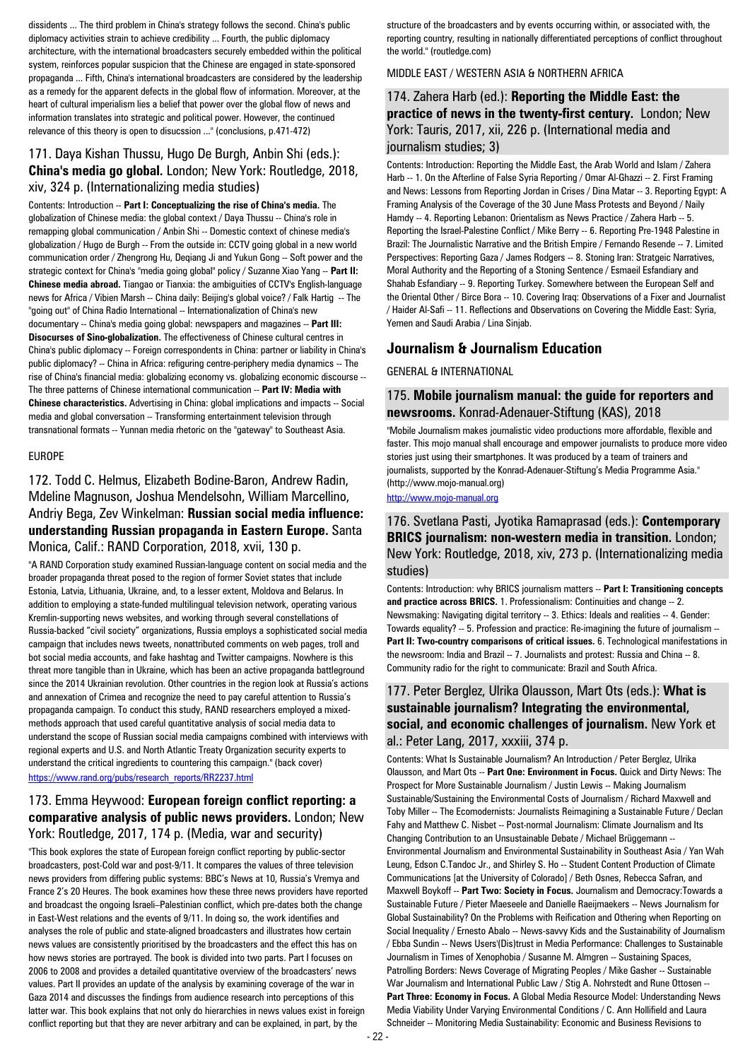dissidents ... The third problem in China's strategy follows the second. China's public diplomacy activities strain to achieve credibility ... Fourth, the public diplomacy architecture, with the international broadcasters securely embedded within the political system, reinforces popular suspicion that the Chinese are engaged in state-sponsored propaganda ... Fifth, China's international broadcasters are considered by the leadership as a remedy for the apparent defects in the global flow of information. Moreover, at the heart of cultural imperialism lies a belief that power over the global flow of news and information translates into strategic and political power. However, the continued relevance of this theory is open to disucssion ..." (conclusions, p.471-472)

### 171. Daya Kishan Thussu, Hugo De Burgh, Anbin Shi (eds.): **China's media go global.** London; New York: Routledge, 2018, xiv, 324 p. (Internationalizing media studies)

Contents: Introduction -- **Part I: Conceptualizing the rise of China's media.** The globalization of Chinese media: the global context / Daya Thussu -- China's role in remapping global communication / Anbin Shi -- Domestic context of chinese media's globalization / Hugo de Burgh -- From the outside in: CCTV going global in a new world communication order / Zhengrong Hu, Deqiang Ji and Yukun Gong -- Soft power and the strategic context for China's "media going global" policy / Suzanne Xiao Yang -- **Part II: Chinese media abroad.** Tiangao or Tianxia: the ambiguities of CCTV's English-language news for Africa / Vibien Marsh -- China daily: Beijing's global voice? / Falk Hartig -- The "going out" of China Radio International -- Internationalization of China's new documentary -- China's media going global: newspapers and magazines -- **Part III: Disocurses of Sino-globalization.** The effectiveness of Chinese cultural centres in China's public diplomacy -- Foreign correspondents in China: partner or liability in China's public diplomacy? -- China in Africa: refiguring centre-periphery media dynamics -- The rise of China's financial media: globalizing economy vs. globalizing economic discourse -- The three patterns of Chinese international communication -- **Part IV: Media with Chinese characteristics.** Advertising in China: global implications and impacts -- Social media and global conversation -- Transforming entertainment television through transnational formats -- Yunnan media rhetoric on the "gateway" to Southeast Asia.

#### EUROPE

#### 172. Todd C. Helmus, Elizabeth Bodine-Baron, Andrew Radin, Mdeline Magnuson, Joshua Mendelsohn, William Marcellino, Andriy Bega, Zev Winkelman: **Russian social media influence: understanding Russian propaganda in Eastern Europe.** Santa Monica, Calif.: RAND Corporation, 2018, xvii, 130 p.

"A RAND Corporation study examined Russian-language content on social media and the broader propaganda threat posed to the region of former Soviet states that include Estonia, Latvia, Lithuania, Ukraine, and, to a lesser extent, Moldova and Belarus. In addition to employing a state-funded multilingual television network, operating various Kremlin-supporting news websites, and working through several constellations of Russia-backed "civil society" organizations, Russia employs a sophisticated social media campaign that includes news tweets, nonattributed comments on web pages, troll and bot social media accounts, and fake hashtag and Twitter campaigns. Nowhere is this threat more tangible than in Ukraine, which has been an active propaganda battleground since the 2014 Ukrainian revolution. Other countries in the region look at Russia's actions and annexation of Crimea and recognize the need to pay careful attention to Russia's propaganda campaign. To conduct this study, RAND researchers employed a mixedmethods approach that used careful quantitative analysis of social media data to understand the scope of Russian social media campaigns combined with interviews with regional experts and U.S. and North Atlantic Treaty Organization security experts to understand the critical ingredients to countering this campaign." (back cover) [https://www.rand.org/pubs/research\\_reports/RR2237.html](https://www.rand.org/pubs/research_reports/RR2237.html)

#### 173. Emma Heywood: **European foreign conflict reporting: a comparative analysis of public news providers.** London; New York: Routledge, 2017, 174 p. (Media, war and security)

"This book explores the state of European foreign conflict reporting by public-sector broadcasters, post-Cold war and post-9/11. It compares the values of three television news providers from differing public systems: BBC's News at 10, Russia's Vremya and France 2's 20 Heures. The book examines how these three news providers have reported and broadcast the ongoing Israeli–Palestinian conflict, which pre-dates both the change in East-West relations and the events of 9/11. In doing so, the work identifies and analyses the role of public and state-aligned broadcasters and illustrates how certain news values are consistently prioritised by the broadcasters and the effect this has on how news stories are portrayed. The book is divided into two parts. Part I focuses on 2006 to 2008 and provides a detailed quantitative overview of the broadcasters' news values. Part II provides an update of the analysis by examining coverage of the war in Gaza 2014 and discusses the findings from audience research into perceptions of this latter war. This book explains that not only do hierarchies in news values exist in foreign conflict reporting but that they are never arbitrary and can be explained, in part, by the

structure of the broadcasters and by events occurring within, or associated with, the reporting country, resulting in nationally differentiated perceptions of conflict throughout the world." (routledge.com)

#### MIDDLE EAST / WESTERN ASIA & NORTHERN AFRICA

### 174. Zahera Harb (ed.): **Reporting the Middle East: the practice of news in the twenty-first century.** London; New York: Tauris, 2017, xii, 226 p. (International media and journalism studies; 3)

Contents: Introduction: Reporting the Middle East, the Arab World and Islam / Zahera Harb -- 1. On the Afterline of False Syria Reporting / Omar Al-Ghazzi -- 2. First Framing and News: Lessons from Reporting Jordan in Crises / Dina Matar -- 3. Reporting Egypt: A Framing Analysis of the Coverage of the 30 June Mass Protests and Beyond / Naily Hamdy -- 4. Reporting Lebanon: Orientalism as News Practice / Zahera Harb -- 5. Reporting the Israel-Palestine Conflict / Mike Berry -- 6. Reporting Pre-1948 Palestine in Brazil: The Journalistic Narrative and the British Empire / Fernando Resende -- 7. Limited Perspectives: Reporting Gaza / James Rodgers -- 8. Stoning Iran: Stratgeic Narratives, Moral Authority and the Reporting of a Stoning Sentence / Esmaeil Esfandiary and Shahab Esfandiary -- 9. Reporting Turkey. Somewhere between the European Self and the Oriental Other / Birce Bora -- 10. Covering Iraq: Observations of a Fixer and Journalist / Haider Al-Safi -- 11. Reflections and Observations on Covering the Middle East: Syria, Yemen and Saudi Arabia / Lina Sinjab.

# **Journalism & Journalism Education**

GENERAL & INTERNATIONAL

#### 175. **Mobile journalism manual: the guide for reporters and newsrooms.** Konrad-Adenauer-Stiftung (KAS), 2018

"Mobile Journalism makes journalistic video productions more affordable, flexible and faster. This mojo manual shall encourage and empower journalists to produce more video stories just using their smartphones. It was produced by a team of trainers and journalists, supported by the Konrad-Adenauer-Stiftung's Media Programme Asia." (http://www.mojo-manual.org)

[http://www.mojo-manual.org](http://www.mojo-manual.org/)

#### 176. Svetlana Pasti, Jyotika Ramaprasad (eds.): **Contemporary BRICS journalism: non-western media in transition.** London; New York: Routledge, 2018, xiv, 273 p. (Internationalizing media studies)

Contents: Introduction: why BRICS journalism matters -- **Part I: Transitioning concepts and practice across BRICS.** 1. Professionalism: Continuities and change -- 2. Newsmaking: Navigating digital territory -- 3. Ethics: Ideals and realities -- 4. Gender: Towards equality? -- 5. Profession and practice: Re-imagining the future of journalism -- **Part II: Two-country comparisons of critical issues.** 6. Technological manifestations in the newsroom: India and Brazil -- 7. Journalists and protest: Russia and China -- 8. Community radio for the right to communicate: Brazil and South Africa.

### 177. Peter Berglez, Ulrika Olausson, Mart Ots (eds.): **What is sustainable journalism? Integrating the environmental, social, and economic challenges of journalism.** New York et al.: Peter Lang, 2017, xxxiii, 374 p.

Contents: What Is Sustainable Journalism? An Introduction / Peter Berglez, Ulrika Olausson, and Mart Ots -- **Part One: Environment in Focus.** Quick and Dirty News: The Prospect for More Sustainable Journalism / Justin Lewis -- Making Journalism Sustainable/Sustaining the Environmental Costs of Journalism / Richard Maxwell and Toby Miller -- The Ecomodernists: Journalists Reimagining a Sustainable Future / Declan Fahy and Matthew C. Nisbet -- Post-normal Journalism: Climate Journalism and Its Changing Contribution to an Unsustainable Debate / Michael Brüggemann -- Environmental Journalism and Environmental Sustainability in Southeast Asia / Yan Wah Leung, Edson C.Tandoc Jr., and Shirley S. Ho -- Student Content Production of Climate Communications [at the University of Colorado] / Beth Osnes, Rebecca Safran, and Maxwell Boykoff -- **Part Two: Society in Focus.** Journalism and Democracy:Towards a Sustainable Future / Pieter Maeseele and Danielle Raeijmaekers -- News Journalism for Global Sustainability? On the Problems with Reification and Othering when Reporting on Social Inequality / Ernesto Abalo -- News-savvy Kids and the Sustainability of Journalism / Ebba Sundin -- News Users'(Dis)trust in Media Performance: Challenges to Sustainable Journalism in Times of Xenophobia / Susanne M. Almgren -- Sustaining Spaces, Patrolling Borders: News Coverage of Migrating Peoples / Mike Gasher -- Sustainable War Journalism and International Public Law / Stig A. Nohrstedt and Rune Ottosen --**Part Three: Economy in Focus.** A Global Media Resource Model: Understanding News Media Viability Under Varying Environmental Conditions / C. Ann Hollifield and Laura Schneider -- Monitoring Media Sustainability: Economic and Business Revisions to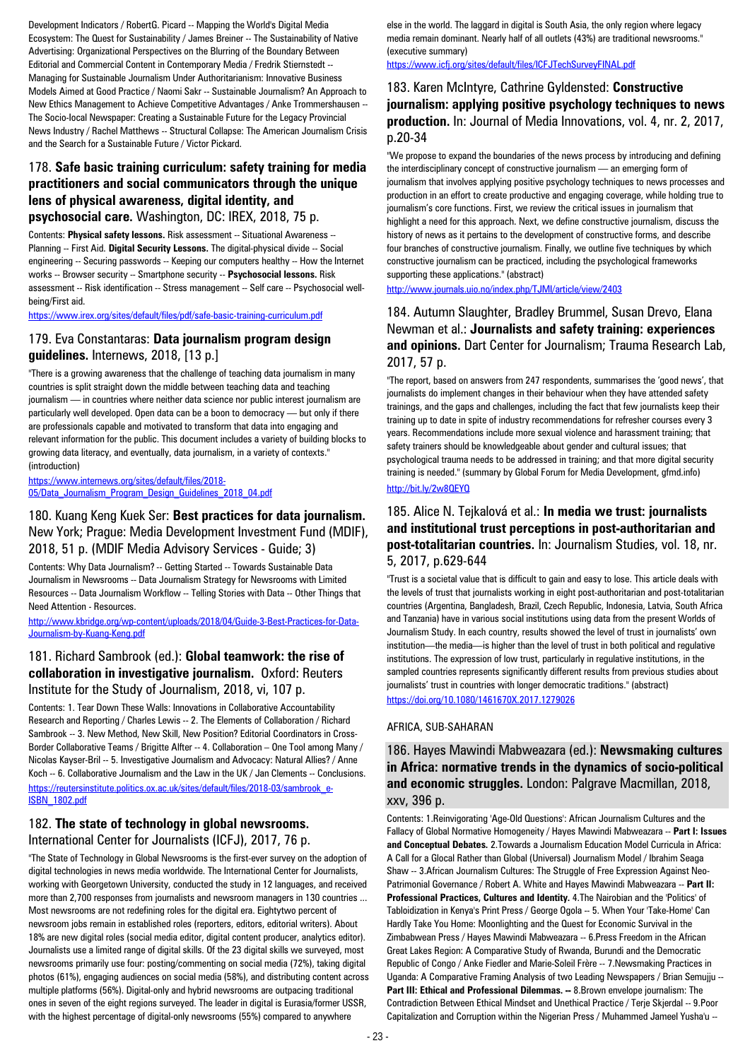Development Indicators / RobertG. Picard -- Mapping the World's Digital Media Ecosystem: The Quest for Sustainability / James Breiner -- The Sustainability of Native Advertising: Organizational Perspectives on the Blurring of the Boundary Between Editorial and Commercial Content in Contemporary Media / Fredrik Stiernstedt -- Managing for Sustainable Journalism Under Authoritarianism: Innovative Business Models Aimed at Good Practice / Naomi Sakr -- Sustainable Journalism? An Approach to New Ethics Management to Achieve Competitive Advantages / Anke Trommershausen -- The Socio-Iocal Newspaper: Creating a Sustainable Future for the Legacy Provincial News Industry / Rachel Matthews -- Structural Collapse: The American Journalism Crisis and the Search for a Sustainable Future / Victor Pickard.

# 178. **Safe basic training curriculum: safety training for media practitioners and social communicators through the unique lens of physical awareness, digital identity, and**

**psychosocial care.** Washington, DC: IREX, 2018, 75 p.

Contents: **Physical safety lessons.** Risk assessment -- Situational Awareness -- Planning -- First Aid. **Digital Security Lessons.** The digital-physical divide -- Social engineering -- Securing passwords -- Keeping our computers healthy -- How the Internet works -- Browser security -- Smartphone security -- **Psychosocial lessons.** Risk assessment -- Risk identification -- Stress management -- Self care -- Psychosocial wellbeing/First aid.

<https://www.irex.org/sites/default/files/pdf/safe-basic-training-curriculum.pdf>

# 179. Eva Constantaras: **Data journalism program design guidelines.** Internews, 2018, [13 p.]

"There is a growing awareness that the challenge of teaching data journalism in many countries is split straight down the middle between teaching data and teaching journalism — in countries where neither data science nor public interest journalism are particularly well developed. Open data can be a boon to democracy — but only if there are professionals capable and motivated to transform that data into engaging and relevant information for the public. This document includes a variety of building blocks to growing data literacy, and eventually, data journalism, in a variety of contexts." (introduction)

[https://www.internews.org/sites/default/files/2018-](https://www.internews.org/sites/default/files/2018-05/Data_Journalism_Program_Design_Guidelines_2018_04.pdf) [05/Data\\_Journalism\\_Program\\_Design\\_Guidelines\\_2018\\_04.pdf](https://www.internews.org/sites/default/files/2018-05/Data_Journalism_Program_Design_Guidelines_2018_04.pdf)

#### 180. Kuang Keng Kuek Ser: **Best practices for data journalism.**  New York; Prague: Media Development Investment Fund (MDIF), 2018, 51 p. (MDIF Media Advisory Services - Guide; 3)

Contents: Why Data Journalism? -- Getting Started -- Towards Sustainable Data Journalism in Newsrooms -- Data Journalism Strategy for Newsrooms with Limited Resources -- Data Journalism Workflow -- Telling Stories with Data -- Other Things that Need Attention - Resources.

[http://www.kbridge.org/wp-content/uploads/2018/04/Guide-3-Best-Practices-for-Data-](http://www.kbridge.org/wp-content/uploads/2018/04/Guide-3-Best-Practices-for-Data-Journalism-by-Kuang-Keng.pdf)[Journalism-by-Kuang-Keng.pdf](http://www.kbridge.org/wp-content/uploads/2018/04/Guide-3-Best-Practices-for-Data-Journalism-by-Kuang-Keng.pdf)

### 181. Richard Sambrook (ed.): **Global teamwork: the rise of collaboration in investigative journalism.** Oxford: Reuters Institute for the Study of Journalism, 2018, vi, 107 p.

Contents: 1. Tear Down These Walls: Innovations in Collaborative Accountability Research and Reporting / Charles Lewis -- 2. The Elements of Collaboration / Richard Sambrook -- 3. New Method, New Skill, New Position? Editorial Coordinators in Cross-Border Collaborative Teams / Brigitte Alfter -- 4. Collaboration – One Tool among Many / Nicolas Kayser-Bril -- 5. Investigative Journalism and Advocacy: Natural Allies? / Anne Koch -- 6. Collaborative Journalism and the Law in the UK / Jan Clements -- Conclusions. [https://reutersinstitute.politics.ox.ac.uk/sites/default/files/2018-03/sambrook\\_e-](https://reutersinstitute.politics.ox.ac.uk/sites/default/files/2018-03/sambrook_e-ISBN_1802.pdf)[ISBN\\_1802.pdf](https://reutersinstitute.politics.ox.ac.uk/sites/default/files/2018-03/sambrook_e-ISBN_1802.pdf)

# 182. **The state of technology in global newsrooms.**  International Center for Journalists (ICFJ), 2017, 76 p.

"The State of Technology in Global Newsrooms is the first-ever survey on the adoption of digital technologies in news media worldwide. The International Center for Journalists, working with Georgetown University, conducted the study in 12 languages, and received more than 2,700 responses from journalists and newsroom managers in 130 countries ... Most newsrooms are not redefining roles for the digital era. Eightytwo percent of newsroom jobs remain in established roles (reporters, editors, editorial writers). About 18% are new digital roles (social media editor, digital content producer, analytics editor). Journalists use a limited range of digital skills. Of the 23 digital skills we surveyed, most newsrooms primarily use four: posting/commenting on social media (72%), taking digital photos (61%), engaging audiences on social media (58%), and distributing content across multiple platforms (56%). Digital-only and hybrid newsrooms are outpacing traditional ones in seven of the eight regions surveyed. The leader in digital is Eurasia/former USSR, with the highest percentage of digital-only newsrooms (55%) compared to anywhere

else in the world. The laggard in digital is South Asia, the only region where legacy media remain dominant. Nearly half of all outlets (43%) are traditional newsrooms." (executive summary)

<https://www.icfj.org/sites/default/files/ICFJTechSurveyFINAL.pdf>

#### 183. Karen McIntyre, Cathrine Gyldensted: **Constructive journalism: applying positive psychology techniques to news production.** In: Journal of Media Innovations, vol. 4, nr. 2, 2017, p.20-34

"We propose to expand the boundaries of the news process by introducing and defining the interdisciplinary concept of constructive journalism — an emerging form of journalism that involves applying positive psychology techniques to news processes and production in an effort to create productive and engaging coverage, while holding true to journalism's core functions. First, we review the critical issues in journalism that highlight a need for this approach. Next, we define constructive journalism, discuss the history of news as it pertains to the development of constructive forms, and describe four branches of constructive journalism. Finally, we outline five techniques by which constructive journalism can be practiced, including the psychological frameworks supporting these applications." (abstract)

<http://www.journals.uio.no/index.php/TJMI/article/view/2403>

### 184. Autumn Slaughter, Bradley Brummel, Susan Drevo, Elana Newman et al.: **Journalists and safety training: experiences and opinions.** Dart Center for Journalism; Trauma Research Lab, 2017, 57 p.

"The report, based on answers from 247 respondents, summarises the 'good news', that journalists do implement changes in their behaviour when they have attended safety trainings, and the gaps and challenges, including the fact that few journalists keep their training up to date in spite of industry recommendations for refresher courses every 3 years. Recommendations include more sexual violence and harassment training; that safety trainers should be knowledgeable about gender and cultural issues; that psychological trauma needs to be addressed in training; and that more digital security training is needed." (summary by Global Forum for Media Development, gfmd.info) <http://bit.ly/2w8QEYQ>

### 185. Alice N. Tejkalová et al.: **In media we trust: journalists and institutional trust perceptions in post-authoritarian and post-totalitarian countries.** In: Journalism Studies, vol. 18, nr. 5, 2017, p.629-644

"Trust is a societal value that is difficult to gain and easy to lose. This article deals with the levels of trust that journalists working in eight post-authoritarian and post-totalitarian countries (Argentina, Bangladesh, Brazil, Czech Republic, Indonesia, Latvia, South Africa and Tanzania) have in various social institutions using data from the present Worlds of Journalism Study. In each country, results showed the level of trust in journalists' own institution—the media—is higher than the level of trust in both political and regulative institutions. The expression of low trust, particularly in regulative institutions, in the sampled countries represents significantly different results from previous studies about journalists' trust in countries with longer democratic traditions." (abstract) <https://doi.org/10.1080/1461670X.2017.1279026>

#### AFRICA, SUB-SAHARAN

186. Hayes Mawindi Mabweazara (ed.): **Newsmaking cultures in Africa: normative trends in the dynamics of socio-political and economic struggles.** London: Palgrave Macmillan, 2018, xxv, 396 p.

Contents: 1.Reinvigorating 'Age-Old Questions': African Journalism Cultures and the Fallacy of Global Normative Homogeneity / Hayes Mawindi Mabweazara -- **Part I: Issues and Conceptual Debates.** 2.Towards a Journalism Education Model Curricula in Africa: A Call for a Glocal Rather than Global (Universal) Journalism Model / Ibrahim Seaga Shaw -- 3.African Journalism Cultures: The Struggle of Free Expression Against Neo-Patrimonial Governance / Robert A. White and Hayes Mawindi Mabweazara -- **Part II: Professional Practices, Cultures and Identity.** 4.The Nairobian and the 'Politics' of Tabloidization in Kenya's Print Press / George Ogola -- 5. When Your 'Take-Home' Can Hardly Take You Home: Moonlighting and the Quest for Economic Survival in the Zimbabwean Press / Hayes Mawindi Mabweazara -- 6.Press Freedom in the African Great Lakes Region: A Comparative Study of Rwanda, Burundi and the Democratic Republic of Congo / Anke Fiedler and Marie-Soleil Frère -- 7.Newsmaking Practices in Uganda: A Comparative Framing Analysis of two Leading Newspapers / Brian Semujju -- **Part III: Ethical and Professional Dilemmas. --** 8.Brown envelope journalism: The Contradiction Between Ethical Mindset and Unethical Practice / Terje Skjerdal -- 9.Poor Capitalization and Corruption within the Nigerian Press / Muhammed Jameel Yusha'u --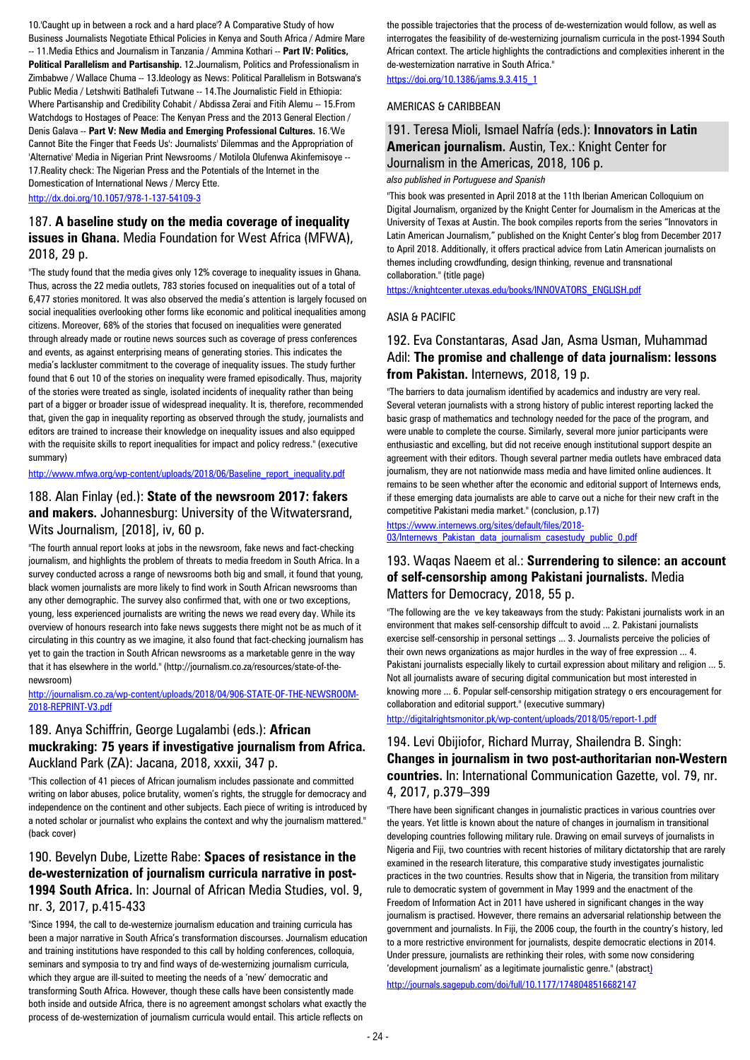10.'Caught up in between a rock and a hard place'? A Comparative Study of how Business Journalists Negotiate Ethical Policies in Kenya and South Africa / Admire Mare -- 11.Media Ethics and Journalism in Tanzania / Ammina Kothari -- **Part IV: Politics, Political Parallelism and Partisanship.** 12.Journalism, Politics and Professionalism in Zimbabwe / Wallace Chuma -- 13.Ideology as News: Political Parallelism in Botswana's Public Media / Letshwiti Batlhalefi Tutwane -- 14.The Journalistic Field in Ethiopia: Where Partisanship and Credibility Cohabit / Abdissa Zerai and Fitih Alemu -- 15.From Watchdogs to Hostages of Peace: The Kenyan Press and the 2013 General Election / Denis Galava -- **Part V: New Media and Emerging Professional Cultures.** 16.'We Cannot Bite the Finger that Feeds Us': Journalists' Dilemmas and the Appropriation of 'Alternative' Media in Nigerian Print Newsrooms / Motilola Olufenwa Akinfemisoye -- 17.Reality check: The Nigerian Press and the Potentials of the Internet in the Domestication of International News / Mercy Ette.

<http://dx.doi.org/10.1057/978-1-137-54109-3>

#### 187. **A baseline study on the media coverage of inequality issues in Ghana.** Media Foundation for West Africa (MFWA), 2018, 29 p.

"The study found that the media gives only 12% coverage to inequality issues in Ghana. Thus, across the 22 media outlets, 783 stories focused on inequalities out of a total of 6,477 stories monitored. It was also observed the media's attention is largely focused on social inequalities overlooking other forms like economic and political inequalities among citizens. Moreover, 68% of the stories that focused on inequalities were generated through already made or routine news sources such as coverage of press conferences and events, as against enterprising means of generating stories. This indicates the media's lackluster commitment to the coverage of inequality issues. The study further found that 6 out 10 of the stories on inequality were framed episodically. Thus, majority of the stories were treated as single, isolated incidents of inequality rather than being part of a bigger or broader issue of widespread inequality. It is, therefore, recommended that, given the gap in inequality reporting as observed through the study, journalists and editors are trained to increase their knowledge on inequality issues and also equipped with the requisite skills to report inequalities for impact and policy redress." (executive summary)

#### [http://www.mfwa.org/wp-content/uploads/2018/06/Baseline\\_report\\_inequality.pdf](http://www.mfwa.org/wp-content/uploads/2018/06/Baseline_report_inequality.pdf)

#### 188. Alan Finlay (ed.): **State of the newsroom 2017: fakers and makers.** Johannesburg: University of the Witwatersrand, Wits Journalism, [2018], iv, 60 p.

"The fourth annual report looks at jobs in the newsroom, fake news and fact-checking journalism, and highlights the problem of threats to media freedom in South Africa. In a survey conducted across a range of newsrooms both big and small, it found that young, black women journalists are more likely to find work in South African newsrooms than any other demographic. The survey also confirmed that, with one or two exceptions, young, less experienced journalists are writing the news we read every day. While its overview of honours research into fake news suggests there might not be as much of it circulating in this country as we imagine, it also found that fact-checking journalism has yet to gain the traction in South African newsrooms as a marketable genre in the way that it has elsewhere in the world." (http://journalism.co.za/resources/state-of-thenewsroom)

#### [http://journalism.co.za/wp-content/uploads/2018/04/906-STATE-OF-THE-NEWSROOM-](http://journalism.co.za/wp-content/uploads/2018/04/906-STATE-OF-THE-NEWSROOM-2018-REPRINT-V3.pdf)[2018-REPRINT-V3.pdf](http://journalism.co.za/wp-content/uploads/2018/04/906-STATE-OF-THE-NEWSROOM-2018-REPRINT-V3.pdf)

#### 189. Anya Schiffrin, George Lugalambi (eds.): **African muckraking: 75 years if investigative journalism from Africa.**  Auckland Park (ZA): Jacana, 2018, xxxii, 347 p.

"This collection of 41 pieces of African journalism includes passionate and committed writing on labor abuses, police brutality, women's rights, the struggle for democracy and independence on the continent and other subjects. Each piece of writing is introduced by a noted scholar or journalist who explains the context and why the journalism mattered." (back cover)

### 190. Bevelyn Dube, Lizette Rabe: **Spaces of resistance in the de-westernization of journalism curricula narrative in post-1994 South Africa.** In: Journal of African Media Studies, vol. 9, nr. 3, 2017, p.415-433

"Since 1994, the call to de-westernize journalism education and training curricula has been a major narrative in South Africa's transformation discourses. Journalism education and training institutions have responded to this call by holding conferences, colloquia, seminars and symposia to try and find ways of de-westernizing journalism curricula, which they argue are ill-suited to meeting the needs of a 'new' democratic and transforming South Africa. However, though these calls have been consistently made both inside and outside Africa, there is no agreement amongst scholars what exactly the process of de-westernization of journalism curricula would entail. This article reflects on

the possible trajectories that the process of de-westernization would follow, as well as interrogates the feasibility of de-westernizing journalism curricula in the post-1994 South African context. The article highlights the contradictions and complexities inherent in the de-westernization narrative in South Africa."

[https://doi.org/10.1386/jams.9.3.415\\_1](https://doi.org/10.1386/jams.9.3.415_1)

#### AMERICAS & CARIBBEAN

#### 191. Teresa Mioli, Ismael Nafría (eds.): **Innovators in Latin American journalism.** Austin, Tex.: Knight Center for Journalism in the Americas, 2018, 106 p.

#### *also published in Portuguese and Spanish*

"This book was presented in April 2018 at the 11th Iberian American Colloquium on Digital Journalism, organized by the Knight Center for Journalism in the Americas at the University of Texas at Austin. The book compiles reports from the series "Innovators in Latin American Journalism," published on the Knight Center's blog from December 2017 to April 2018. Additionally, it offers practical advice from Latin American journalists on themes including crowdfunding, design thinking, revenue and transnational collaboration." (title page)

[https://knightcenter.utexas.edu/books/INNOVATORS\\_ENGLISH.pdf](https://knightcenter.utexas.edu/books/INNOVATORS_ENGLISH.pdf)

#### ASIA & PACIFIC

#### 192. Eva Constantaras, Asad Jan, Asma Usman, Muhammad Adil: **The promise and challenge of data journalism: lessons from Pakistan.** Internews, 2018, 19 p.

"The barriers to data journalism identified by academics and industry are very real. Several veteran journalists with a strong history of public interest reporting lacked the basic grasp of mathematics and technology needed for the pace of the program, and were unable to complete the course. Similarly, several more junior participants were enthusiastic and excelling, but did not receive enough institutional support despite an agreement with their editors. Though several partner media outlets have embraced data journalism, they are not nationwide mass media and have limited online audiences. It remains to be seen whether after the economic and editorial support of Internews ends, if these emerging data journalists are able to carve out a niche for their new craft in the competitive Pakistani media market." (conclusion, p.17)

[https://www.internews.org/sites/default/files/2018-](https://www.internews.org/sites/default/files/2018-03/Internews_Pakistan_data_journalism_casestudy_public_0.pdf) [03/Internews\\_Pakistan\\_data\\_journalism\\_casestudy\\_public\\_0.pdf](https://www.internews.org/sites/default/files/2018-03/Internews_Pakistan_data_journalism_casestudy_public_0.pdf)

#### 193. Waqas Naeem et al.: **Surrendering to silence: an account of self-censorship among Pakistani journalists.** Media Matters for Democracy, 2018, 55 p.

"The following are the ve key takeaways from the study: Pakistani journalists work in an environment that makes self-censorship diffcult to avoid ... 2. Pakistani journalists exercise self-censorship in personal settings ... 3. Journalists perceive the policies of their own news organizations as major hurdles in the way of free expression ... 4. Pakistani journalists especially likely to curtail expression about military and religion ... 5. Not all journalists aware of securing digital communication but most interested in knowing more ... 6. Popular self-censorship mitigation strategy o ers encouragement for collaboration and editorial support." (executive summary)

<http://digitalrightsmonitor.pk/wp-content/uploads/2018/05/report-1.pdf>

### 194. Levi Obijiofor, Richard Murray, Shailendra B. Singh: **Changes in journalism in two post-authoritarian non-Western countries.** In: International Communication Gazette, vol. 79, nr. 4, 2017, p.379–399

"There have been significant changes in journalistic practices in various countries over the years. Yet little is known about the nature of changes in journalism in transitional developing countries following military rule. Drawing on email surveys of journalists in Nigeria and Fiji, two countries with recent histories of military dictatorship that are rarely examined in the research literature, this comparative study investigates journalistic practices in the two countries. Results show that in Nigeria, the transition from military rule to democratic system of government in May 1999 and the enactment of the Freedom of Information Act in 2011 have ushered in significant changes in the way journalism is practised. However, there remains an adversarial relationship between the government and journalists. In Fiji, the 2006 coup, the fourth in the country's history, led to a more restrictive environment for journalists, despite democratic elections in 2014. Under pressure, journalists are rethinking their roles, with some now considering 'development journalism' as a legitimate journalistic genre." (abstract) http://journals.sagepub.com/doi/full/10.1177/1748048516682147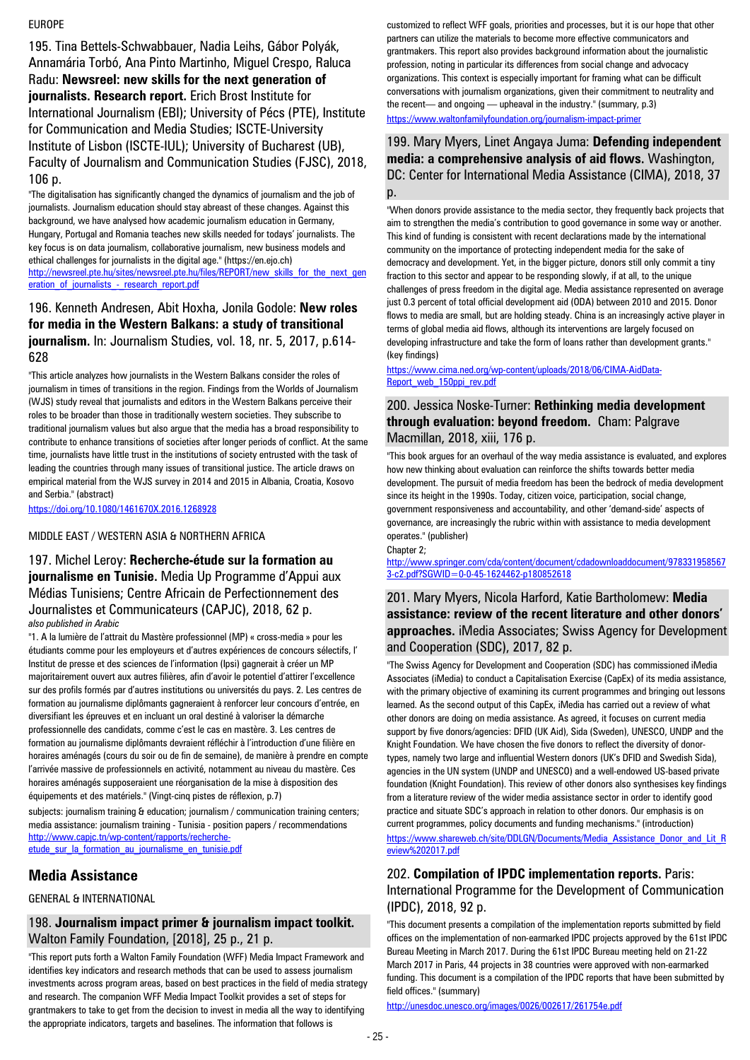#### EUROPE

195. Tina Bettels-Schwabbauer, Nadia Leihs, Gábor Polyák, Annamária Torbó, Ana Pinto Martinho, Miguel Crespo, Raluca Radu: **Newsreel: new skills for the next generation of journalists. Research report.** Erich Brost Institute for International Journalism (EBI); University of Pécs (PTE), Institute for Communication and Media Studies; ISCTE-University Institute of Lisbon (ISCTE-IUL); University of Bucharest (UB), Faculty of Journalism and Communication Studies (FJSC), 2018, 106 p.

"The digitalisation has significantly changed the dynamics of journalism and the job of journalists. Journalism education should stay abreast of these changes. Against this background, we have analysed how academic journalism education in Germany, Hungary, Portugal and Romania teaches new skills needed for todays' journalists. The key focus is on data journalism, collaborative journalism, new business models and ethical challenges for journalists in the digital age." (https://en.ejo.ch) [http://newsreel.pte.hu/sites/newsreel.pte.hu/files/REPORT/new\\_skills\\_for\\_the\\_next\\_gen](http://newsreel.pte.hu/sites/newsreel.pte.hu/files/REPORT/new_skills_for_the_next_generation_of_journalists_-_research_report.pdf) eration of journalists - research report.pdf

#### 196. Kenneth Andresen, Abit Hoxha, Jonila Godole: **New roles for media in the Western Balkans: a study of transitional journalism.** In: Journalism Studies, vol. 18, nr. 5, 2017, p.614- 628

"This article analyzes how journalists in the Western Balkans consider the roles of journalism in times of transitions in the region. Findings from the Worlds of Journalism (WJS) study reveal that journalists and editors in the Western Balkans perceive their roles to be broader than those in traditionally western societies. They subscribe to traditional journalism values but also argue that the media has a broad responsibility to contribute to enhance transitions of societies after longer periods of conflict. At the same time, journalists have little trust in the institutions of society entrusted with the task of leading the countries through many issues of transitional justice. The article draws on empirical material from the WJS survey in 2014 and 2015 in Albania, Croatia, Kosovo and Serbia." (abstract)

<https://doi.org/10.1080/1461670X.2016.1268928>

#### MIDDLE EAST / WESTERN ASIA & NORTHERN AFRICA

197. Michel Leroy: **Recherche-étude sur la formation au journalisme en Tunisie.** Media Up Programme d'Appui aux Médias Tunisiens; Centre Africain de Perfectionnement des Journalistes et Communicateurs (CAPJC), 2018, 62 p. *also published in Arabic*

"1. A la lumière de l'attrait du Mastère professionnel (MP) « cross-media » pour les étudiants comme pour les employeurs et d'autres expériences de concours sélectifs, l' Institut de presse et des sciences de l'information (Ipsi) gagnerait à créer un MP majoritairement ouvert aux autres filières, afin d'avoir le potentiel d'attirer l'excellence sur des profils formés par d'autres institutions ou universités du pays. 2. Les centres de formation au journalisme diplômants gagneraient à renforcer leur concours d'entrée, en diversifiant les épreuves et en incluant un oral destiné à valoriser la démarche professionnelle des candidats, comme c'est le cas en mastère. 3. Les centres de formation au journalisme diplômants devraient réfléchir à l'introduction d'une filière en horaires aménagés (cours du soir ou de fin de semaine), de manière à prendre en compte l'arrivée massive de professionnels en activité, notamment au niveau du mastère. Ces horaires aménagés supposeraient une réorganisation de la mise à disposition des équipements et des matériels." (Vingt-cinq pistes de réflexion, p.7)

subjects: journalism training & education; journalism / communication training centers; media assistance: journalism training - Tunisia - position papers / recommendations [http://www.capjc.tn/wp-content/rapports/recherche](http://www.capjc.tn/wp-content/rapports/recherche-etude_sur_la_formation_au_journalisme_en_tunisie.pdf)[etude\\_sur\\_la\\_formation\\_au\\_journalisme\\_en\\_tunisie.pdf](http://www.capjc.tn/wp-content/rapports/recherche-etude_sur_la_formation_au_journalisme_en_tunisie.pdf)

### **Media Assistance**

GENERAL & INTERNATIONAL

#### 198. **Journalism impact primer & journalism impact toolkit.**  Walton Family Foundation, [2018], 25 p., 21 p.

"This report puts forth a Walton Family Foundation (WFF) Media Impact Framework and identifies key indicators and research methods that can be used to assess journalism investments across program areas, based on best practices in the field of media strategy and research. The companion WFF Media Impact Toolkit provides a set of steps for grantmakers to take to get from the decision to invest in media all the way to identifying the appropriate indicators, targets and baselines. The information that follows is

customized to reflect WFF goals, priorities and processes, but it is our hope that other partners can utilize the materials to become more effective communicators and grantmakers. This report also provides background information about the journalistic profession, noting in particular its differences from social change and advocacy organizations. This context is especially important for framing what can be difficult conversations with journalism organizations, given their commitment to neutrality and the recent— and ongoing — upheaval in the industry." (summary, p.3) <https://www.waltonfamilyfoundation.org/journalism-impact-primer>

#### 199. Mary Myers, Linet Angaya Juma: **Defending independent media: a comprehensive analysis of aid flows.** Washington, DC: Center for International Media Assistance (CIMA), 2018, 37 p.

"When donors provide assistance to the media sector, they frequently back projects that aim to strengthen the media's contribution to good governance in some way or another. This kind of funding is consistent with recent declarations made by the international community on the importance of protecting independent media for the sake of democracy and development. Yet, in the bigger picture, donors still only commit a tiny fraction to this sector and appear to be responding slowly, if at all, to the unique challenges of press freedom in the digital age. Media assistance represented on average just 0.3 percent of total official development aid (ODA) between 2010 and 2015. Donor flows to media are small, but are holding steady. China is an increasingly active player in terms of global media aid flows, although its interventions are largely focused on developing infrastructure and take the form of loans rather than development grants." (key findings)

#### [https://www.cima.ned.org/wp-content/uploads/2018/06/CIMA-AidData-](https://www.cima.ned.org/wp-content/uploads/2018/06/CIMA-AidData-Report_web_150ppi_rev.pdf)[Report\\_web\\_150ppi\\_rev.pdf](https://www.cima.ned.org/wp-content/uploads/2018/06/CIMA-AidData-Report_web_150ppi_rev.pdf)

#### 200. Jessica Noske-Turner: **Rethinking media development through evaluation: beyond freedom.** Cham: Palgrave Macmillan, 2018, xiii, 176 p.

"This book argues for an overhaul of the way media assistance is evaluated, and explores how new thinking about evaluation can reinforce the shifts towards better media development. The pursuit of media freedom has been the bedrock of media development since its height in the 1990s. Today, citizen voice, participation, social change, government responsiveness and accountability, and other 'demand-side' aspects of governance, are increasingly the rubric within with assistance to media development operates." (publisher)

Chapter 2;

[http://www.springer.com/cda/content/document/cdadownloaddocument/978331958567](http://www.springer.com/cda/content/document/cdadownloaddocument/9783319585673-c2.pdf?SGWID=0-0-45-1624462-p180852618) [3-c2.pdf?SGWID=0-0-45-1624462-p180852618](http://www.springer.com/cda/content/document/cdadownloaddocument/9783319585673-c2.pdf?SGWID=0-0-45-1624462-p180852618)

#### 201. Mary Myers, Nicola Harford, Katie Bartholomew: **Media assistance: review of the recent literature and other donors' approaches.** iMedia Associates; Swiss Agency for Development and Cooperation (SDC), 2017, 82 p.

"The Swiss Agency for Development and Cooperation (SDC) has commissioned iMedia Associates (iMedia) to conduct a Capitalisation Exercise (CapEx) of its media assistance, with the primary objective of examining its current programmes and bringing out lessons learned. As the second output of this CapEx, iMedia has carried out a review of what other donors are doing on media assistance. As agreed, it focuses on current media support by five donors/agencies: DFID (UK Aid), Sida (Sweden), UNESCO, UNDP and the Knight Foundation. We have chosen the five donors to reflect the diversity of donortypes, namely two large and influential Western donors (UK's DFID and Swedish Sida), agencies in the UN system (UNDP and UNESCO) and a well-endowed US-based private foundation (Knight Foundation). This review of other donors also synthesises key findings from a literature review of the wider media assistance sector in order to identify good practice and situate SDC's approach in relation to other donors. Our emphasis is on current programmes, policy documents and funding mechanisms." (introduction) [https://www.shareweb.ch/site/DDLGN/Documents/Media\\_Assistance\\_Donor\\_and\\_Lit\\_R](https://www.shareweb.ch/site/DDLGN/Documents/Media_Assistance_Donor_and_Lit_Review%202017.pdf) [eview%202017.pdf](https://www.shareweb.ch/site/DDLGN/Documents/Media_Assistance_Donor_and_Lit_Review%202017.pdf)

#### 202. **Compilation of IPDC implementation reports.** Paris: International Programme for the Development of Communication (IPDC), 2018, 92 p.

"This document presents a compilation of the implementation reports submitted by field offices on the implementation of non-earmarked IPDC projects approved by the 61st IPDC Bureau Meeting in March 2017. During the 61st IPDC Bureau meeting held on 21-22 March 2017 in Paris, 44 projects in 38 countries were approved with non-earmarked funding. This document is a compilation of the IPDC reports that have been submitted by field offices." (summary)

<http://unesdoc.unesco.org/images/0026/002617/261754e.pdf>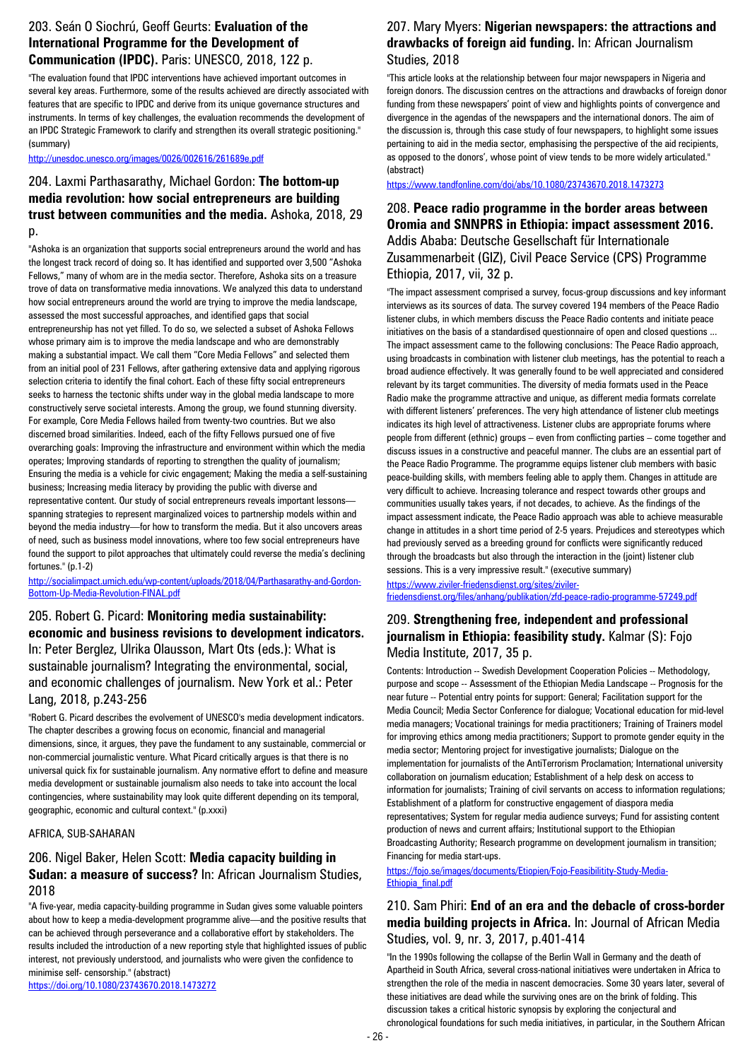#### 203. Seán O Siochrú, Geoff Geurts: **Evaluation of the International Programme for the Development of Communication (IPDC).** Paris: UNESCO, 2018, 122 p.

"The evaluation found that IPDC interventions have achieved important outcomes in several key areas. Furthermore, some of the results achieved are directly associated with features that are specific to IPDC and derive from its unique governance structures and instruments. In terms of key challenges, the evaluation recommends the development of an IPDC Strategic Framework to clarify and strengthen its overall strategic positioning." (summary)

<http://unesdoc.unesco.org/images/0026/002616/261689e.pdf>

#### 204. Laxmi Parthasarathy, Michael Gordon: **The bottom-up media revolution: how social entrepreneurs are building trust between communities and the media.** Ashoka, 2018, 29 p.

"Ashoka is an organization that supports social entrepreneurs around the world and has the longest track record of doing so. It has identified and supported over 3,500 "Ashoka Fellows," many of whom are in the media sector. Therefore, Ashoka sits on a treasure trove of data on transformative media innovations. We analyzed this data to understand how social entrepreneurs around the world are trying to improve the media landscape, assessed the most successful approaches, and identified gaps that social entrepreneurship has not yet filled. To do so, we selected a subset of Ashoka Fellows whose primary aim is to improve the media landscape and who are demonstrably making a substantial impact. We call them "Core Media Fellows" and selected them from an initial pool of 231 Fellows, after gathering extensive data and applying rigorous selection criteria to identify the final cohort. Each of these fifty social entrepreneurs seeks to harness the tectonic shifts under way in the global media landscape to more constructively serve societal interests. Among the group, we found stunning diversity. For example, Core Media Fellows hailed from twenty-two countries. But we also discerned broad similarities. Indeed, each of the fifty Fellows pursued one of five overarching goals: Improving the infrastructure and environment within which the media operates; Improving standards of reporting to strengthen the quality of journalism; Ensuring the media is a vehicle for civic engagement; Making the media a self-sustaining business; Increasing media literacy by providing the public with diverse and representative content. Our study of social entrepreneurs reveals important lessons spanning strategies to represent marginalized voices to partnership models within and beyond the media industry—for how to transform the media. But it also uncovers areas of need, such as business model innovations, where too few social entrepreneurs have found the support to pilot approaches that ultimately could reverse the media's declining fortunes." (p.1-2)

[http://socialimpact.umich.edu/wp-content/uploads/2018/04/Parthasarathy-and-Gordon-](http://socialimpact.umich.edu/wp-content/uploads/2018/04/Parthasarathy-and-Gordon-Bottom-Up-Media-Revolution-FINAL.pdf)[Bottom-Up-Media-Revolution-FINAL.pdf](http://socialimpact.umich.edu/wp-content/uploads/2018/04/Parthasarathy-and-Gordon-Bottom-Up-Media-Revolution-FINAL.pdf)

### 205. Robert G. Picard: **Monitoring media sustainability: economic and business revisions to development indicators.**  In: Peter Berglez, Ulrika Olausson, Mart Ots (eds.): What is sustainable journalism? Integrating the environmental, social, and economic challenges of journalism. New York et al.: Peter Lang, 2018, p.243-256

"Robert G. Picard describes the evolvement of UNESCO's media development indicators. The chapter describes a growing focus on economic, financial and managerial dimensions, since, it argues, they pave the fundament to any sustainable, commercial or non-commercial journalistic venture. What Picard critically argues is that there is no universal quick fix for sustainable journalism. Any normative effort to define and measure media development or sustainable journalism also needs to take into account the local contingencies, where sustainability may look quite different depending on its temporal, geographic, economic and cultural context." (p.xxxi)

#### AFRICA, SUB-SAHARAN

#### 206. Nigel Baker, Helen Scott: **Media capacity building in Sudan: a measure of success?** In: African Journalism Studies, 2018

"A five-year, media capacity-building programme in Sudan gives some valuable pointers about how to keep a media-development programme alive—and the positive results that can be achieved through perseverance and a collaborative effort by stakeholders. The results included the introduction of a new reporting style that highlighted issues of public interest, not previously understood, and journalists who were given the confidence to minimise self- censorship." (abstract)

#### 207. Mary Myers: **Nigerian newspapers: the attractions and drawbacks of foreign aid funding.** In: African Journalism Studies, 2018

"This article looks at the relationship between four major newspapers in Nigeria and foreign donors. The discussion centres on the attractions and drawbacks of foreign donor funding from these newspapers' point of view and highlights points of convergence and divergence in the agendas of the newspapers and the international donors. The aim of the discussion is, through this case study of four newspapers, to highlight some issues pertaining to aid in the media sector, emphasising the perspective of the aid recipients, as opposed to the donors', whose point of view tends to be more widely articulated." (abstract)

#### <https://www.tandfonline.com/doi/abs/10.1080/23743670.2018.1473273>

208. **Peace radio programme in the border areas between Oromia and SNNPRS in Ethiopia: impact assessment 2016.**  Addis Ababa: Deutsche Gesellschaft für Internationale Zusammenarbeit (GIZ), Civil Peace Service (CPS) Programme Ethiopia, 2017, vii, 32 p.

"The impact assessment comprised a survey, focus-group discussions and key informant interviews as its sources of data. The survey covered 194 members of the Peace Radio listener clubs, in which members discuss the Peace Radio contents and initiate peace initiatives on the basis of a standardised questionnaire of open and closed questions ... The impact assessment came to the following conclusions: The Peace Radio approach, using broadcasts in combination with listener club meetings, has the potential to reach a broad audience effectively. It was generally found to be well appreciated and considered relevant by its target communities. The diversity of media formats used in the Peace Radio make the programme attractive and unique, as different media formats correlate with different listeners' preferences. The very high attendance of listener club meetings indicates its high level of attractiveness. Listener clubs are appropriate forums where people from different (ethnic) groups – even from conflicting parties – come together and discuss issues in a constructive and peaceful manner. The clubs are an essential part of the Peace Radio Programme. The programme equips listener club members with basic peace-building skills, with members feeling able to apply them. Changes in attitude are very difficult to achieve. Increasing tolerance and respect towards other groups and communities usually takes years, if not decades, to achieve. As the findings of the impact assessment indicate, the Peace Radio approach was able to achieve measurable change in attitudes in a short time period of 2-5 years. Prejudices and stereotypes which had previously served as a breeding ground for conflicts were significantly reduced through the broadcasts but also through the interaction in the (joint) listener club sessions. This is a very impressive result." (executive summary)

[https://www.ziviler-friedensdienst.org/sites/ziviler](https://www.ziviler-friedensdienst.org/sites/ziviler-friedensdienst.org/files/anhang/publikation/zfd-peace-radio-programme-57249.pdf)[friedensdienst.org/files/anhang/publikation/zfd-peace-radio-programme-57249.pdf](https://www.ziviler-friedensdienst.org/sites/ziviler-friedensdienst.org/files/anhang/publikation/zfd-peace-radio-programme-57249.pdf)

### 209. **Strengthening free, independent and professional journalism in Ethiopia: feasibility study.** Kalmar (S): Fojo Media Institute, 2017, 35 p.

Contents: Introduction -- Swedish Development Cooperation Policies -- Methodology, purpose and scope -- Assessment of the Ethiopian Media Landscape -- Prognosis for the near future -- Potential entry points for support: General; Facilitation support for the Media Council; Media Sector Conference for dialogue; Vocational education for mid-level media managers; Vocational trainings for media practitioners; Training of Trainers model for improving ethics among media practitioners; Support to promote gender equity in the media sector; Mentoring project for investigative journalists; Dialogue on the implementation for journalists of the AntiTerrorism Proclamation; International university collaboration on journalism education; Establishment of a help desk on access to information for journalists; Training of civil servants on access to information regulations; Establishment of a platform for constructive engagement of diaspora media representatives; System for regular media audience surveys; Fund for assisting content production of news and current affairs; Institutional support to the Ethiopian Broadcasting Authority; Research programme on development journalism in transition; Financing for media start-ups.

[https://fojo.se/images/documents/Etiopien/Fojo-Feasibilitity-Study-Media-](https://fojo.se/images/documents/Etiopien/Fojo-Feasibilitity-Study-Media-Ethiopia_final.pdf)[Ethiopia\\_final.pdf](https://fojo.se/images/documents/Etiopien/Fojo-Feasibilitity-Study-Media-Ethiopia_final.pdf)

### 210. Sam Phiri: **End of an era and the debacle of cross-border media building projects in Africa.** In: Journal of African Media Studies, vol. 9, nr. 3, 2017, p.401-414

"In the 1990s following the collapse of the Berlin Wall in Germany and the death of Apartheid in South Africa, several cross-national initiatives were undertaken in Africa to strengthen the role of the media in nascent democracies. Some 30 years later, several of these initiatives are dead while the surviving ones are on the brink of folding. This discussion takes a critical historic synopsis by exploring the conjectural and chronological foundations for such media initiatives, in particular, in the Southern African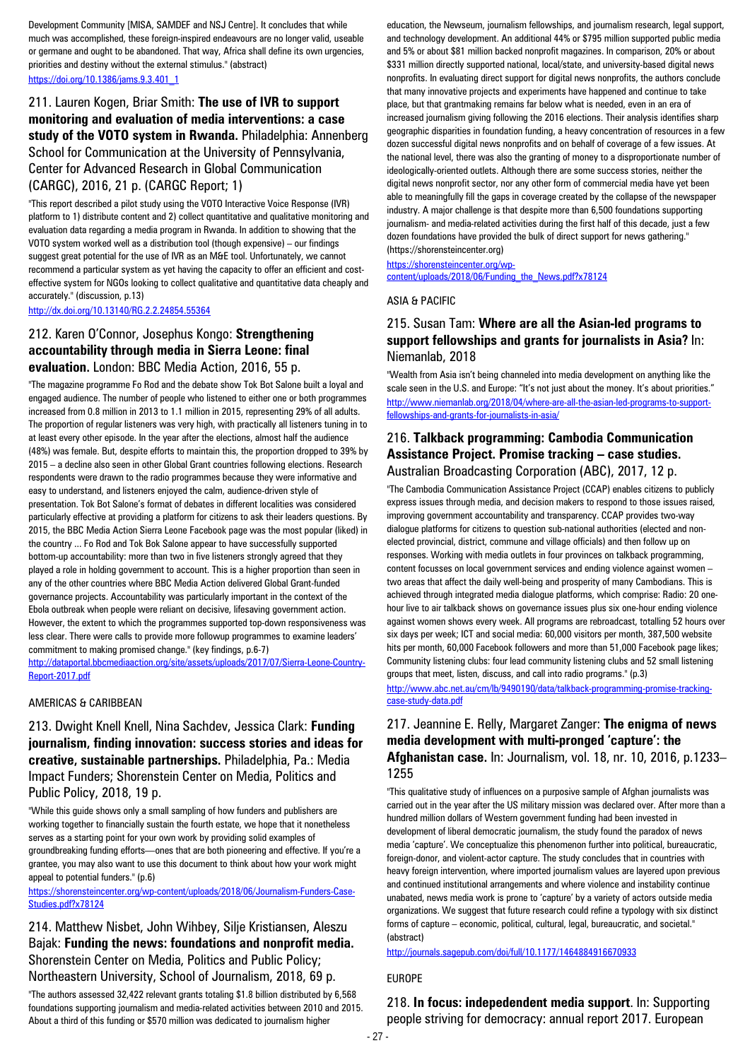Development Community [MISA, SAMDEF and NSJ Centre]. It concludes that while much was accomplished, these foreign-inspired endeavours are no longer valid, useable or germane and ought to be abandoned. That way, Africa shall define its own urgencies, priorities and destiny without the external stimulus." (abstract) [https://doi.org/10.1386/jams.9.3.401\\_1](https://doi.org/10.1386/jams.9.3.401_1)

211. Lauren Kogen, Briar Smith: **The use of IVR to support monitoring and evaluation of media interventions: a case study of the VOTO system in Rwanda.** Philadelphia: Annenberg School for Communication at the University of Pennsylvania, Center for Advanced Research in Global Communication (CARGC), 2016, 21 p. (CARGC Report; 1)

"This report described a pilot study using the VOTO Interactive Voice Response (IVR) platform to 1) distribute content and 2) collect quantitative and qualitative monitoring and evaluation data regarding a media program in Rwanda. In addition to showing that the VOTO system worked well as a distribution tool (though expensive) – our findings suggest great potential for the use of IVR as an M&E tool. Unfortunately, we cannot recommend a particular system as yet having the capacity to offer an efficient and costeffective system for NGOs looking to collect qualitative and quantitative data cheaply and accurately." (discussion, p.13)

<http://dx.doi.org/10.13140/RG.2.2.24854.55364>

### 212. Karen O'Connor, Josephus Kongo: **Strengthening accountability through media in Sierra Leone: final evaluation.** London: BBC Media Action, 2016, 55 p.

"The magazine programme Fo Rod and the debate show Tok Bot Salone built a loyal and engaged audience. The number of people who listened to either one or both programmes increased from 0.8 million in 2013 to 1.1 million in 2015, representing 29% of all adults. The proportion of regular listeners was very high, with practically all listeners tuning in to at least every other episode. In the year after the elections, almost half the audience (48%) was female. But, despite efforts to maintain this, the proportion dropped to 39% by 2015 – a decline also seen in other Global Grant countries following elections. Research respondents were drawn to the radio programmes because they were informative and easy to understand, and listeners enjoyed the calm, audience-driven style of presentation. Tok Bot Salone's format of debates in different localities was considered particularly effective at providing a platform for citizens to ask their leaders questions. By 2015, the BBC Media Action Sierra Leone Facebook page was the most popular (liked) in the country ... Fo Rod and Tok Bok Salone appear to have successfully supported bottom-up accountability: more than two in five listeners strongly agreed that they played a role in holding government to account. This is a higher proportion than seen in any of the other countries where BBC Media Action delivered Global Grant-funded governance projects. Accountability was particularly important in the context of the Ebola outbreak when people were reliant on decisive, lifesaving government action. However, the extent to which the programmes supported top-down responsiveness was less clear. There were calls to provide more followup programmes to examine leaders' commitment to making promised change." (key findings, p.6-7)

[http://dataportal.bbcmediaaction.org/site/assets/uploads/2017/07/Sierra-Leone-Country-](http://dataportal.bbcmediaaction.org/site/assets/uploads/2017/07/Sierra-Leone-Country-Report-2017.pdf)[Report-2017.pdf](http://dataportal.bbcmediaaction.org/site/assets/uploads/2017/07/Sierra-Leone-Country-Report-2017.pdf)

#### AMERICAS & CARIBBEAN

213. Dwight Knell Knell, Nina Sachdev, Jessica Clark: **Funding journalism, finding innovation: success stories and ideas for creative, sustainable partnerships.** Philadelphia, Pa.: Media Impact Funders; Shorenstein Center on Media, Politics and Public Policy, 2018, 19 p.

"While this guide shows only a small sampling of how funders and publishers are working together to financially sustain the fourth estate, we hope that it nonetheless serves as a starting point for your own work by providing solid examples of groundbreaking funding efforts—ones that are both pioneering and effective. If you're a grantee, you may also want to use this document to think about how your work might appeal to potential funders." (p.6)

[https://shorensteincenter.org/wp-content/uploads/2018/06/Journalism-Funders-Case-](https://shorensteincenter.org/wp-content/uploads/2018/06/Journalism-Funders-Case-Studies.pdf?x78124)[Studies.pdf?x78124](https://shorensteincenter.org/wp-content/uploads/2018/06/Journalism-Funders-Case-Studies.pdf?x78124)

214. Matthew Nisbet, John Wihbey, Silje Kristiansen, Aleszu Bajak: **Funding the news: foundations and nonprofit media.**  Shorenstein Center on Media, Politics and Public Policy; Northeastern University, School of Journalism, 2018, 69 p.

"The authors assessed 32,422 relevant grants totaling \$1.8 billion distributed by 6,568 foundations supporting journalism and media-related activities between 2010 and 2015. About a third of this funding or \$570 million was dedicated to journalism higher

education, the Newseum, journalism fellowships, and journalism research, legal support, and technology development. An additional 44% or \$795 million supported public media and 5% or about \$81 million backed nonprofit magazines. In comparison, 20% or about \$331 million directly supported national, local/state, and university-based digital news nonprofits. In evaluating direct support for digital news nonprofits, the authors conclude that many innovative projects and experiments have happened and continue to take place, but that grantmaking remains far below what is needed, even in an era of increased journalism giving following the 2016 elections. Their analysis identifies sharp geographic disparities in foundation funding, a heavy concentration of resources in a few dozen successful digital news nonprofits and on behalf of coverage of a few issues. At the national level, there was also the granting of money to a disproportionate number of ideologically-oriented outlets. Although there are some success stories, neither the digital news nonprofit sector, nor any other form of commercial media have yet been able to meaningfully fill the gaps in coverage created by the collapse of the newspaper industry. A major challenge is that despite more than 6,500 foundations supporting journalism- and media-related activities during the first half of this decade, just a few dozen foundations have provided the bulk of direct support for news gathering." (https://shorensteincenter.org)

[https://shorensteincenter.org/wp](https://shorensteincenter.org/wp-content/uploads/2018/06/Funding_the_News.pdf?x78124)[content/uploads/2018/06/Funding\\_the\\_News.pdf?x78124](https://shorensteincenter.org/wp-content/uploads/2018/06/Funding_the_News.pdf?x78124)

#### ASIA & PACIFIC

#### 215. Susan Tam: **Where are all the Asian-led programs to support fellowships and grants for journalists in Asia?** In: Niemanlab, 2018

"Wealth from Asia isn't being channeled into media development on anything like the scale seen in the U.S. and Europe: "It's not just about the money. It's about priorities." [http://www.niemanlab.org/2018/04/where-are-all-the-asian-led-programs-to-support](http://www.niemanlab.org/2018/04/where-are-all-the-asian-led-programs-to-support-fellowships-and-grants-for-journalists-in-asia/)[fellowships-and-grants-for-journalists-in-asia/](http://www.niemanlab.org/2018/04/where-are-all-the-asian-led-programs-to-support-fellowships-and-grants-for-journalists-in-asia/)

#### 216. **Talkback programming: Cambodia Communication Assistance Project. Promise tracking – case studies.**  Australian Broadcasting Corporation (ABC), 2017, 12 p.

"The Cambodia Communication Assistance Project (CCAP) enables citizens to publicly express issues through media, and decision makers to respond to those issues raised, improving government accountability and transparency. CCAP provides two-way dialogue platforms for citizens to question sub-national authorities (elected and nonelected provincial, district, commune and village officials) and then follow up on responses. Working with media outlets in four provinces on talkback programming, content focusses on local government services and ending violence against women – two areas that affect the daily well-being and prosperity of many Cambodians. This is achieved through integrated media dialogue platforms, which comprise: Radio: 20 onehour live to air talkback shows on governance issues plus six one-hour ending violence against women shows every week. All programs are rebroadcast, totalling 52 hours over six days per week; ICT and social media: 60,000 visitors per month, 387,500 website hits per month, 60,000 Facebook followers and more than 51,000 Facebook page likes; Community listening clubs: four lead community listening clubs and 52 small listening groups that meet, listen, discuss, and call into radio programs." (p.3)

[http://www.abc.net.au/cm/lb/9490190/data/talkback-programming-promise-tracking](http://www.abc.net.au/cm/lb/9490190/data/talkback-programming-promise-tracking-case-study-data.pdf)[case-study-data.pdf](http://www.abc.net.au/cm/lb/9490190/data/talkback-programming-promise-tracking-case-study-data.pdf)

#### 217. Jeannine E. Relly, Margaret Zanger: **The enigma of news media development with multi-pronged 'capture': the Afghanistan case.** In: Journalism, vol. 18, nr. 10, 2016, p.1233– 1255

"This qualitative study of influences on a purposive sample of Afghan journalists was carried out in the year after the US military mission was declared over. After more than a hundred million dollars of Western government funding had been invested in development of liberal democratic journalism, the study found the paradox of news media 'capture'. We conceptualize this phenomenon further into political, bureaucratic, foreign-donor, and violent-actor capture. The study concludes that in countries with heavy foreign intervention, where imported journalism values are layered upon previous and continued institutional arrangements and where violence and instability continue unabated, news media work is prone to 'capture' by a variety of actors outside media organizations. We suggest that future research could refine a typology with six distinct forms of capture – economic, political, cultural, legal, bureaucratic, and societal." (abstract)

<http://journals.sagepub.com/doi/full/10.1177/1464884916670933>

#### EUROPE

### 218. **In focus: indepedendent media support**. In: Supporting people striving for democracy: annual report 2017. European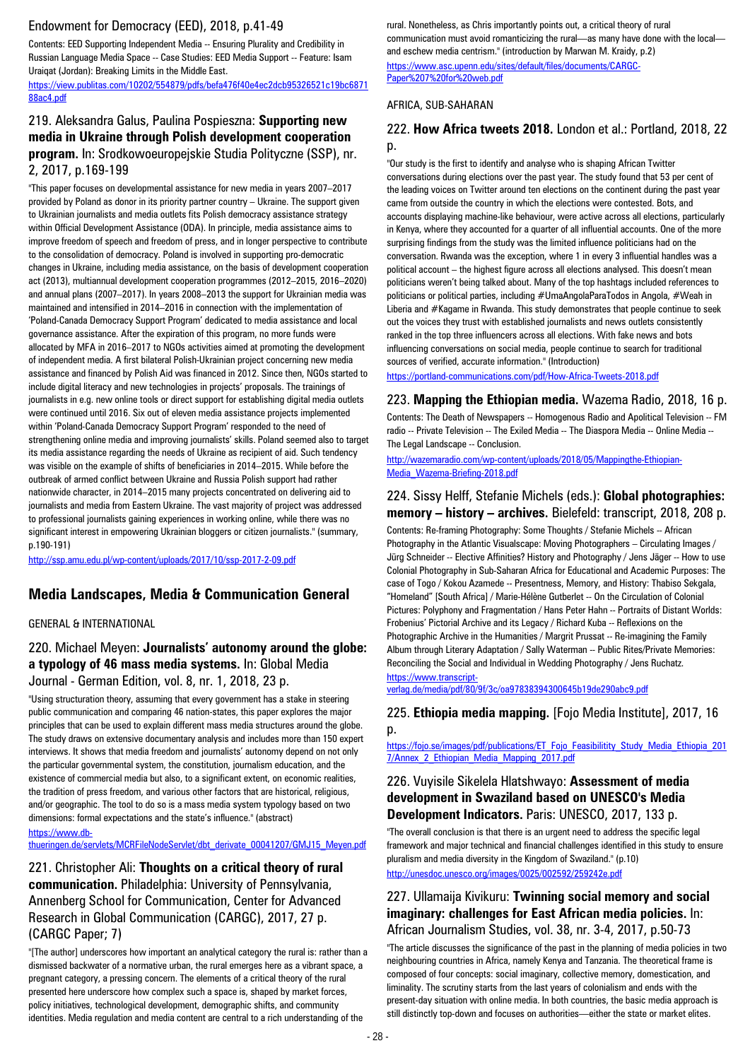### Endowment for Democracy (EED), 2018, p.41-49

Contents: EED Supporting Independent Media -- Ensuring Plurality and Credibility in Russian Language Media Space -- Case Studies: EED Media Support -- Feature: Isam Uraiqat (Jordan): Breaking Limits in the Middle East.

[https://view.publitas.com/10202/554879/pdfs/befa476f40e4ec2dcb95326521c19bc6871](https://view.publitas.com/10202/554879/pdfs/befa476f40e4ec2dcb95326521c19bc687188ac4.pdf) [88ac4.pdf](https://view.publitas.com/10202/554879/pdfs/befa476f40e4ec2dcb95326521c19bc687188ac4.pdf)

### 219. Aleksandra Galus, Paulina Pospieszna: **Supporting new media in Ukraine through Polish development cooperation program.** In: Srodkowoeuropejskie Studia Polityczne (SSP), nr. 2, 2017, p.169-199

"This paper focuses on developmental assistance for new media in years 2007–2017 provided by Poland as donor in its priority partner country – Ukraine. The support given to Ukrainian journalists and media outlets fits Polish democracy assistance strategy within Official Development Assistance (ODA). In principle, media assistance aims to improve freedom of speech and freedom of press, and in longer perspective to contribute to the consolidation of democracy. Poland is involved in supporting pro-democratic changes in Ukraine, including media assistance, on the basis of development cooperation act (2013), multiannual development cooperation programmes (2012–2015, 2016–2020) and annual plans (2007–2017). In years 2008–2013 the support for Ukrainian media was maintained and intensified in 2014–2016 in connection with the implementation of 'Poland-Canada Democracy Support Program' dedicated to media assistance and local governance assistance. After the expiration of this program, no more funds were allocated by MFA in 2016–2017 to NGOs activities aimed at promoting the development of independent media. A first bilateral Polish-Ukrainian project concerning new media assistance and financed by Polish Aid was financed in 2012. Since then, NGOs started to include digital literacy and new technologies in projects' proposals. The trainings of journalists in e.g. new online tools or direct support for establishing digital media outlets were continued until 2016. Six out of eleven media assistance projects implemented within 'Poland-Canada Democracy Support Program' responded to the need of strengthening online media and improving journalists' skills. Poland seemed also to target its media assistance regarding the needs of Ukraine as recipient of aid. Such tendency was visible on the example of shifts of beneficiaries in 2014–2015. While before the outbreak of armed conflict between Ukraine and Russia Polish support had rather nationwide character, in 2014–2015 many projects concentrated on delivering aid to journalists and media from Eastern Ukraine. The vast majority of project was addressed to professional journalists gaining experiences in working online, while there was no significant interest in empowering Ukrainian bloggers or citizen journalists." (summary, p.190-191)

<http://ssp.amu.edu.pl/wp-content/uploads/2017/10/ssp-2017-2-09.pdf>

### **Media Landscapes, Media & Communication General**

#### GENERAL & INTERNATIONAL

#### 220. Michael Meyen: **Journalists' autonomy around the globe: a typology of 46 mass media systems.** In: Global Media Journal - German Edition, vol. 8, nr. 1, 2018, 23 p.

"Using structuration theory, assuming that every government has a stake in steering public communication and comparing 46 nation-states, this paper explores the major principles that can be used to explain different mass media structures around the globe. The study draws on extensive documentary analysis and includes more than 150 expert interviews. It shows that media freedom and journalists' autonomy depend on not only the particular governmental system, the constitution, journalism education, and the existence of commercial media but also, to a significant extent, on economic realities, the tradition of press freedom, and various other factors that are historical, religious, and/or geographic. The tool to do so is a mass media system typology based on two dimensions: formal expectations and the state's influence." (abstract)

#### [https://www.db-](https://www.db-thueringen.de/servlets/MCRFileNodeServlet/dbt_derivate_00041207/GMJ15_Meyen.pdf)

#### [thueringen.de/servlets/MCRFileNodeServlet/dbt\\_derivate\\_00041207/GMJ15\\_Meyen.pdf](https://www.db-thueringen.de/servlets/MCRFileNodeServlet/dbt_derivate_00041207/GMJ15_Meyen.pdf)

221. Christopher Ali: **Thoughts on a critical theory of rural communication.** Philadelphia: University of Pennsylvania, Annenberg School for Communication, Center for Advanced Research in Global Communication (CARGC), 2017, 27 p. (CARGC Paper; 7)

"[The author] underscores how important an analytical category the rural is: rather than a dismissed backwater of a normative urban, the rural emerges here as a vibrant space, a pregnant category, a pressing concern. The elements of a critical theory of the rural presented here underscore how complex such a space is, shaped by market forces, policy initiatives, technological development, demographic shifts, and community identities. Media regulation and media content are central to a rich understanding of the

rural. Nonetheless, as Chris importantly points out, a critical theory of rural communication must avoid romanticizing the rural—as many have done with the local and eschew media centrism." (introduction by Marwan M. Kraidy, p.2) [https://www.asc.upenn.edu/sites/default/files/documents/CARGC-](https://www.asc.upenn.edu/sites/default/files/documents/CARGC-Paper%207%20for%20web.pdf)[Paper%207%20for%20web.pdf](https://www.asc.upenn.edu/sites/default/files/documents/CARGC-Paper%207%20for%20web.pdf)

#### AFRICA, SUB-SAHARAN

#### 222. **How Africa tweets 2018.** London et al.: Portland, 2018, 22 p.

"Our study is the first to identify and analyse who is shaping African Twitter conversations during elections over the past year. The study found that 53 per cent of the leading voices on Twitter around ten elections on the continent during the past year came from outside the country in which the elections were contested. Bots, and accounts displaying machine-like behaviour, were active across all elections, particularly in Kenya, where they accounted for a quarter of all influential accounts. One of the more surprising findings from the study was the limited influence politicians had on the conversation. Rwanda was the exception, where 1 in every 3 influential handles was a political account – the highest figure across all elections analysed. This doesn't mean politicians weren't being talked about. Many of the top hashtags included references to politicians or political parties, including #UmaAngolaParaTodos in Angola, #Weah in Liberia and #Kagame in Rwanda. This study demonstrates that people continue to seek out the voices they trust with established journalists and news outlets consistently ranked in the top three influencers across all elections. With fake news and bots influencing conversations on social media, people continue to search for traditional sources of verified, accurate information." (Introduction)

<https://portland-communications.com/pdf/How-Africa-Tweets-2018.pdf>

223. **Mapping the Ethiopian media.** Wazema Radio, 2018, 16 p. Contents: The Death of Newspapers -- Homogenous Radio and Apolitical Television -- FM radio -- Private Television -- The Exiled Media -- The Diaspora Media -- Online Media -- The Legal Landscape -- Conclusion.

[http://wazemaradio.com/wp-content/uploads/2018/05/Mappingthe-Ethiopian-](http://wazemaradio.com/wp-content/uploads/2018/05/Mappingthe-Ethiopian-Media_Wazema-Briefing-2018.pdf)[Media\\_Wazema-Briefing-2018.pdf](http://wazemaradio.com/wp-content/uploads/2018/05/Mappingthe-Ethiopian-Media_Wazema-Briefing-2018.pdf)

#### 224. Sissy Helff, Stefanie Michels (eds.): **Global photographies: memory – history – archives.** Bielefeld: transcript, 2018, 208 p.

Contents: Re-framing Photography: Some Thoughts / Stefanie Michels -- African Photography in the Atlantic Visualscape: Moving Photographers – Circulating Images / Jürg Schneider -- Elective Affinities? History and Photography / Jens Jäger -- How to use Colonial Photography in Sub-Saharan Africa for Educational and Academic Purposes: The case of Togo / Kokou Azamede -- Presentness, Memory, and History: Thabiso Sekgala, "Homeland" [South Africa] / Marie-Hélène Gutberlet -- On the Circulation of Colonial Pictures: Polyphony and Fragmentation / Hans Peter Hahn -- Portraits of Distant Worlds: Frobenius' Pictorial Archive and its Legacy / Richard Kuba -- Reflexions on the Photographic Archive in the Humanities / Margrit Prussat -- Re-imagining the Family Album through Literary Adaptation / Sally Waterman -- Public Rites/Private Memories: Reconciling the Social and Individual in Wedding Photography / Jens Ruchatz. [https://www.transcript-](https://www.transcript-verlag.de/media/pdf/80/9f/3c/oa97838394300645b19de290abc9.pdf)

[verlag.de/media/pdf/80/9f/3c/oa97838394300645b19de290abc9.pdf](https://www.transcript-verlag.de/media/pdf/80/9f/3c/oa97838394300645b19de290abc9.pdf)

225. **Ethiopia media mapping.** [Fojo Media Institute], 2017, 16 p.

[https://fojo.se/images/pdf/publications/ET\\_Fojo\\_Feasibilitity\\_Study\\_Media\\_Ethiopia\\_201](https://fojo.se/images/pdf/publications/ET_Fojo_Feasibilitity_Study_Media_Ethiopia_2017/Annex_2_Ethiopian_Media_Mapping_2017.pdf) [7/Annex\\_2\\_Ethiopian\\_Media\\_Mapping\\_2017.pdf](https://fojo.se/images/pdf/publications/ET_Fojo_Feasibilitity_Study_Media_Ethiopia_2017/Annex_2_Ethiopian_Media_Mapping_2017.pdf)

#### 226. Vuyisile Sikelela Hlatshwayo: **Assessment of media development in Swaziland based on UNESCO's Media Development Indicators.** Paris: UNESCO, 2017, 133 p.

"The overall conclusion is that there is an urgent need to address the specific legal framework and major technical and financial challenges identified in this study to ensure pluralism and media diversity in the Kingdom of Swaziland." (p.10) <http://unesdoc.unesco.org/images/0025/002592/259242e.pdf>

#### 227. Ullamaija Kivikuru: **Twinning social memory and social imaginary: challenges for East African media policies.** In: African Journalism Studies, vol. 38, nr. 3-4, 2017, p.50-73

"The article discusses the significance of the past in the planning of media policies in two neighbouring countries in Africa, namely Kenya and Tanzania. The theoretical frame is composed of four concepts: social imaginary, collective memory, domestication, and liminality. The scrutiny starts from the last years of colonialism and ends with the present-day situation with online media. In both countries, the basic media approach is still distinctly top-down and focuses on authorities—either the state or market elites.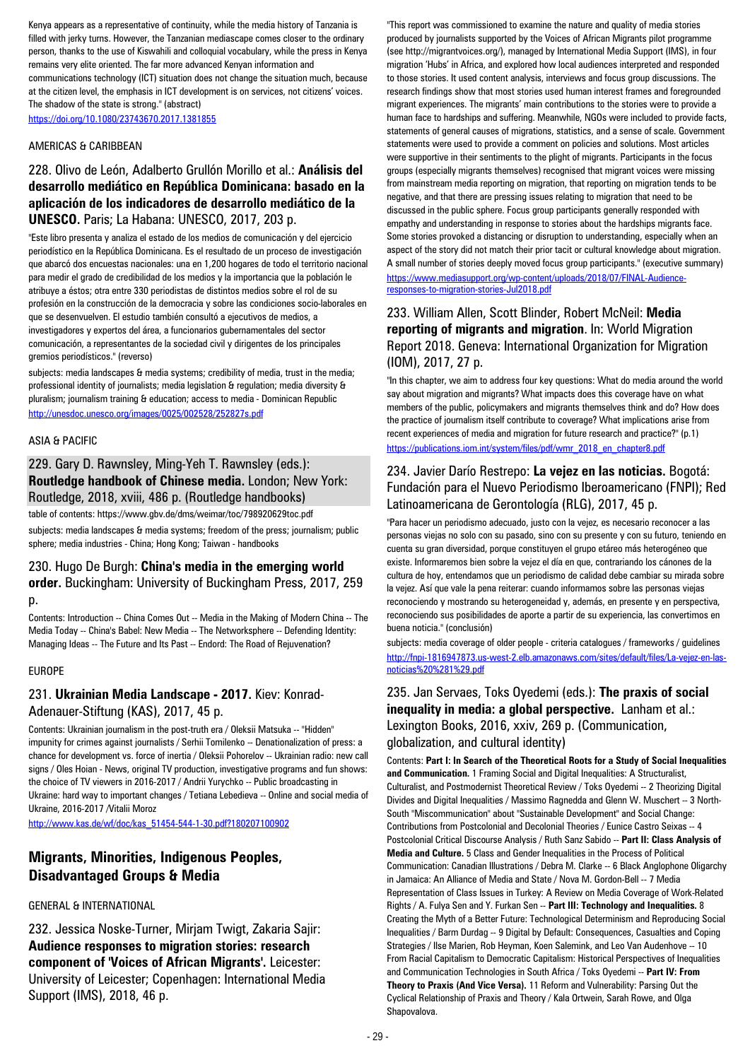Kenya appears as a representative of continuity, while the media history of Tanzania is filled with jerky turns. However, the Tanzanian mediascape comes closer to the ordinary person, thanks to the use of Kiswahili and colloquial vocabulary, while the press in Kenya remains very elite oriented. The far more advanced Kenyan information and

communications technology (ICT) situation does not change the situation much, because at the citizen level, the emphasis in ICT development is on services, not citizens' voices. The shadow of the state is strong." (abstract)

<https://doi.org/10.1080/23743670.2017.1381855>

#### AMERICAS & CARIBBEAN

### 228. Olivo de León, Adalberto Grullón Morillo et al.: **Análisis del desarrollo mediático en República Dominicana: basado en la aplicación de los indicadores de desarrollo mediático de la UNESCO.** Paris; La Habana: UNESCO, 2017, 203 p.

"Este libro presenta y analiza el estado de los medios de comunicación y del ejercicio periodístico en la República Dominicana. Es el resultado de un proceso de investigación que abarcó dos encuestas nacionales: una en 1,200 hogares de todo el territorio nacional para medir el grado de credibilidad de los medios y la importancia que la población le atribuye a éstos; otra entre 330 periodistas de distintos medios sobre el rol de su profesión en la construcción de la democracia y sobre las condiciones socio-laborales en que se desenvuelven. El estudio también consultó a ejecutivos de medios, a investigadores y expertos del área, a funcionarios gubernamentales del sector comunicación, a representantes de la sociedad civil y dirigentes de los principales gremios periodísticos." (reverso)

subjects: media landscapes & media systems; credibility of media, trust in the media; professional identity of journalists; media legislation & regulation; media diversity & pluralism; journalism training & education; access to media - Dominican Republic <http://unesdoc.unesco.org/images/0025/002528/252827s.pdf>

#### ASIA & PACIFIC

# 229. Gary D. Rawnsley, Ming-Yeh T. Rawnsley (eds.): **Routledge handbook of Chinese media.** London; New York: Routledge, 2018, xviii, 486 p. (Routledge handbooks)

table of contents: https://www.gbv.de/dms/weimar/toc/798920629toc.pdf

subjects: media landscapes & media systems; freedom of the press; journalism; public sphere; media industries - China; Hong Kong; Taiwan - handbooks

#### 230. Hugo De Burgh: **China's media in the emerging world order.** Buckingham: University of Buckingham Press, 2017, 259 p.

Contents: Introduction -- China Comes Out -- Media in the Making of Modern China -- The Media Today -- China's Babel: New Media -- The Networksphere -- Defending Identity: Managing Ideas -- The Future and Its Past -- Endord: The Road of Rejuvenation?

#### EUROPE

### 231. **Ukrainian Media Landscape - 2017.** Kiev: Konrad-Adenauer-Stiftung (KAS), 2017, 45 p.

Contents: Ukrainian journalism in the post-truth era / Oleksii Matsuka -- "Hidden" impunity for crimes against journalists / Serhii Tomilenko -- Denationalization of press: a chance for development vs. force of inertia / Oleksii Pohorelov -- Ukrainian radio: new call signs / Oles Hoian - News, original TV production, investigative programs and fun shows: the choice of TV viewers in 2016-2017 / Andrii Yurychko -- Public broadcasting in Ukraine: hard way to important changes / Tetiana Lebedieva -- Online and social media of Ukraine, 2016-2017 /Vitalii Moroz

[http://www.kas.de/wf/doc/kas\\_51454-544-1-30.pdf?180207100902](http://www.kas.de/wf/doc/kas_51454-544-1-30.pdf?180207100902)

# **Migrants, Minorities, Indigenous Peoples, Disadvantaged Groups & Media**

#### GENERAL & INTERNATIONAL

232. Jessica Noske-Turner, Mirjam Twigt, Zakaria Sajir: **Audience responses to migration stories: research component of 'Voices of African Migrants'.** Leicester: University of Leicester; Copenhagen: International Media Support (IMS), 2018, 46 p.

"This report was commissioned to examine the nature and quality of media stories produced by journalists supported by the Voices of African Migrants pilot programme (see http://migrantvoices.org/), managed by International Media Support (IMS), in four migration 'Hubs' in Africa, and explored how local audiences interpreted and responded to those stories. It used content analysis, interviews and focus group discussions. The research findings show that most stories used human interest frames and foregrounded migrant experiences. The migrants' main contributions to the stories were to provide a human face to hardships and suffering. Meanwhile, NGOs were included to provide facts, statements of general causes of migrations, statistics, and a sense of scale. Government statements were used to provide a comment on policies and solutions. Most articles were supportive in their sentiments to the plight of migrants. Participants in the focus groups (especially migrants themselves) recognised that migrant voices were missing from mainstream media reporting on migration, that reporting on migration tends to be negative, and that there are pressing issues relating to migration that need to be discussed in the public sphere. Focus group participants generally responded with empathy and understanding in response to stories about the hardships migrants face. Some stories provoked a distancing or disruption to understanding, especially when an aspect of the story did not match their prior tacit or cultural knowledge about migration. A small number of stories deeply moved focus group participants." (executive summary) [https://www.mediasupport.org/wp-content/uploads/2018/07/FINAL-Audience](https://www.mediasupport.org/wp-content/uploads/2018/07/FINAL-Audience-responses-to-migration-stories-Jul2018.pdf)[responses-to-migration-stories-Jul2018.pdf](https://www.mediasupport.org/wp-content/uploads/2018/07/FINAL-Audience-responses-to-migration-stories-Jul2018.pdf)

#### 233. William Allen, Scott Blinder, Robert McNeil: **Media reporting of migrants and migration**. In: World Migration Report 2018. Geneva: International Organization for Migration (IOM), 2017, 27 p.

"In this chapter, we aim to address four key questions: What do media around the world say about migration and migrants? What impacts does this coverage have on what members of the public, policymakers and migrants themselves think and do? How does the practice of journalism itself contribute to coverage? What implications arise from recent experiences of media and migration for future research and practice?" (p.1) [https://publications.iom.int/system/files/pdf/wmr\\_2018\\_en\\_chapter8.pdf](https://publications.iom.int/system/files/pdf/wmr_2018_en_chapter8.pdf)

#### 234. Javier Darío Restrepo: **La vejez en las noticias.** Bogotá: Fundación para el Nuevo Periodismo Iberoamericano (FNPI); Red Latinoamericana de Gerontología (RLG), 2017, 45 p.

"Para hacer un periodismo adecuado, justo con la vejez, es necesario reconocer a las personas viejas no solo con su pasado, sino con su presente y con su futuro, teniendo en cuenta su gran diversidad, porque constituyen el grupo etáreo más heterogéneo que existe. Informaremos bien sobre la vejez el día en que, contrariando los cánones de la cultura de hoy, entendamos que un periodismo de calidad debe cambiar su mirada sobre la vejez. Así que vale la pena reiterar: cuando informamos sobre las personas viejas reconociendo y mostrando su heterogeneidad y, además, en presente y en perspectiva, reconociendo sus posibilidades de aporte a partir de su experiencia, las convertimos en buena noticia." (conclusión)

subjects: media coverage of older people - criteria catalogues / frameworks / guidelines [http://fnpi-1816947873.us-west-2.elb.amazonaws.com/sites/default/files/La-vejez-en-las](http://fnpi-1816947873.us-west-2.elb.amazonaws.com/sites/default/files/La-vejez-en-las-noticias%20%281%29.pdf)[noticias%20%281%29.pdf](http://fnpi-1816947873.us-west-2.elb.amazonaws.com/sites/default/files/La-vejez-en-las-noticias%20%281%29.pdf)

#### 235. Jan Servaes, Toks Oyedemi (eds.): **The praxis of social inequality in media: a global perspective.** Lanham et al.: Lexington Books, 2016, xxiv, 269 p. (Communication, globalization, and cultural identity)

Contents: **Part I: In Search of the Theoretical Roots for a Study of Social Inequalities and Communication.** 1 Framing Social and Digital Inequalities: A Structuralist, Culturalist, and Postmodernist Theoretical Review / Toks Oyedemi -- 2 Theorizing Digital Divides and Digital Inequalities / Massimo Ragnedda and Glenn W. Muschert -- 3 North-South "Miscommunication" about "Sustainable Development" and Social Change: Contributions from Postcolonial and Decolonial Theories / Eunice Castro Seixas -- 4 Postcolonial Critical Discourse Analysis / Ruth Sanz Sabido -- **Part II: Class Analysis of Media and Culture.** 5 Class and Gender Inequalities in the Process of Political Communication: Canadian Illustrations / Debra M. Clarke -- 6 Black Anglophone Oligarchy in Jamaica: An Alliance of Media and State / Nova M. Gordon-Bell -- 7 Media Representation of Class Issues in Turkey: A Review on Media Coverage of Work-Related Rights / A. Fulya Sen and Y. Furkan Sen -- **Part III: Technology and Inequalities.** 8 Creating the Myth of a Better Future: Technological Determinism and Reproducing Social Inequalities / Barm Durdag -- 9 Digital by Default: Consequences, Casualties and Coping Strategies / Ilse Marien, Rob Heyman, Koen Salemink, and Leo Van Audenhove -- 10 From Racial Capitalism to Democratic Capitalism: Historical Perspectives of Inequalities and Communication Technologies in South Africa / Toks Oyedemi -- **Part IV: From Theory to Praxis (And Vice Versa).** 11 Reform and Vulnerability: Parsing Out the Cyclical Relationship of Praxis and Theory / Kala Ortwein, Sarah Rowe, and Olga Shapovalova.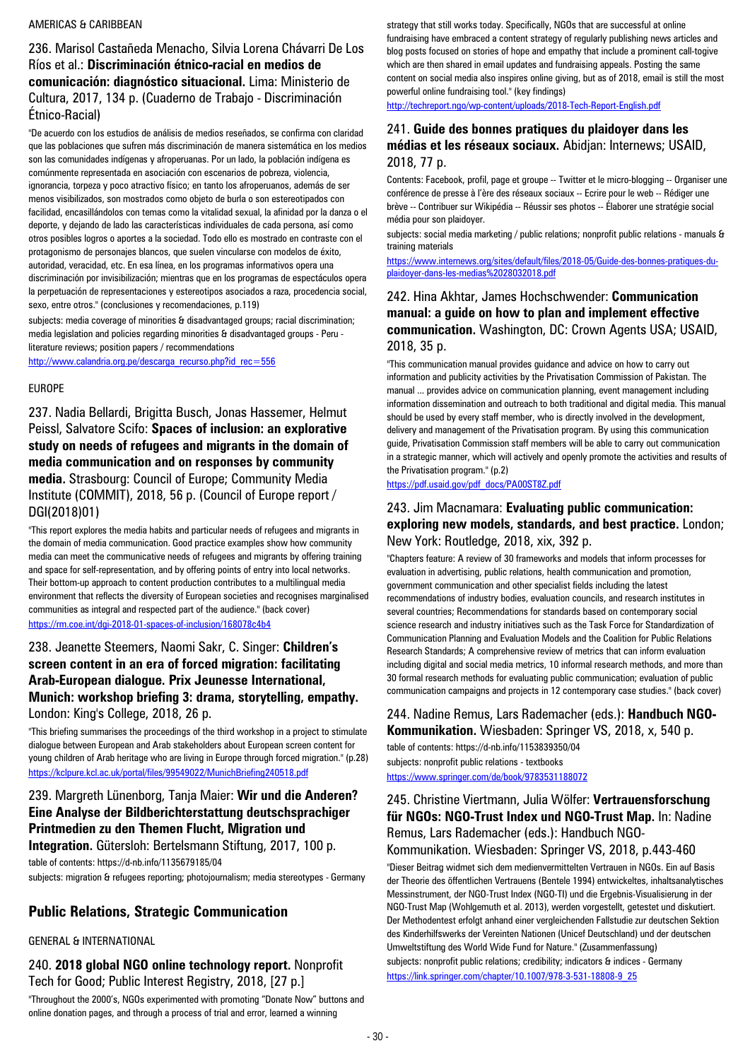#### AMERICAS & CARIBBEAN

236. Marisol Castañeda Menacho, Silvia Lorena Chávarri De Los Ríos et al.: **Discriminación étnico-racial en medios de comunicación: diagnóstico situacional.** Lima: Ministerio de Cultura, 2017, 134 p. (Cuaderno de Trabajo - Discriminación Étnico-Racial)

"De acuerdo con los estudios de análisis de medios reseñados, se confirma con claridad que las poblaciones que sufren más discriminación de manera sistemática en los medios son las comunidades indígenas y afroperuanas. Por un lado, la población indígena es comúnmente representada en asociación con escenarios de pobreza, violencia, ignorancia, torpeza y poco atractivo físico; en tanto los afroperuanos, además de ser menos visibilizados, son mostrados como objeto de burla o son estereotipados con facilidad, encasillándolos con temas como la vitalidad sexual, la afinidad por la danza o el deporte, y dejando de lado las características individuales de cada persona, así como otros posibles logros o aportes a la sociedad. Todo ello es mostrado en contraste con el protagonismo de personajes blancos, que suelen vincularse con modelos de éxito, autoridad, veracidad, etc. En esa línea, en los programas informativos opera una discriminación por invisibilización; mientras que en los programas de espectáculos opera la perpetuación de representaciones y estereotipos asociados a raza, procedencia social, sexo, entre otros." (conclusiones y recomendaciones, p.119)

subjects: media coverage of minorities & disadvantaged groups; racial discrimination; media legislation and policies regarding minorities & disadvantaged groups - Peru literature reviews; position papers / recommendations

[http://www.calandria.org.pe/descarga\\_recurso.php?id\\_rec=556](http://www.calandria.org.pe/descarga_recurso.php?id_rec=556)

#### EUROPE

237. Nadia Bellardi, Brigitta Busch, Jonas Hassemer, Helmut Peissl, Salvatore Scifo: **Spaces of inclusion: an explorative study on needs of refugees and migrants in the domain of media communication and on responses by community media.** Strasbourg: Council of Europe; Community Media Institute (COMMIT), 2018, 56 p. (Council of Europe report / DGI(2018)01)

"This report explores the media habits and particular needs of refugees and migrants in the domain of media communication. Good practice examples show how community media can meet the communicative needs of refugees and migrants by offering training and space for self-representation, and by offering points of entry into local networks. Their bottom-up approach to content production contributes to a multilingual media environment that reflects the diversity of European societies and recognises marginalised communities as integral and respected part of the audience." (back cover) <https://rm.coe.int/dgi-2018-01-spaces-of-inclusion/168078c4b4>

#### 238. Jeanette Steemers, Naomi Sakr, C. Singer: **Children's screen content in an era of forced migration: facilitating Arab-European dialogue. Prix Jeunesse International, Munich: workshop briefing 3: drama, storytelling, empathy.**  London: King's College, 2018, 26 p.

"This briefing summarises the proceedings of the third workshop in a project to stimulate dialogue between European and Arab stakeholders about European screen content for young children of Arab heritage who are living in Europe through forced migration." (p.28) <https://kclpure.kcl.ac.uk/portal/files/99549022/MunichBriefing240518.pdf>

# 239. Margreth Lünenborg, Tanja Maier: **Wir und die Anderen? Eine Analyse der Bildberichterstattung deutschsprachiger Printmedien zu den Themen Flucht, Migration und**

**Integration.** Gütersloh: Bertelsmann Stiftung, 2017, 100 p.

table of contents: https://d-nb.info/1135679185/04

subjects: migration & refugees reporting; photojournalism; media stereotypes - Germany

# **Public Relations, Strategic Communication**

#### GENERAL & INTERNATIONAL

#### 240. **2018 global NGO online technology report.** Nonprofit Tech for Good; Public Interest Registry, 2018, [27 p.]

"Throughout the 2000's, NGOs experimented with promoting "Donate Now" buttons and online donation pages, and through a process of trial and error, learned a winning

strategy that still works today. Specifically, NGOs that are successful at online fundraising have embraced a content strategy of regularly publishing news articles and blog posts focused on stories of hope and empathy that include a prominent call-togive which are then shared in email updates and fundraising appeals. Posting the same content on social media also inspires online giving, but as of 2018, email is still the most powerful online fundraising tool." (key findings)

<http://techreport.ngo/wp-content/uploads/2018-Tech-Report-English.pdf>

#### 241. **Guide des bonnes pratiques du plaidoyer dans les médias et les réseaux sociaux.** Abidjan: Internews; USAID, 2018, 77 p.

Contents: Facebook, profil, page et groupe -- Twitter et le micro-blogging -- Organiser une conférence de presse à l'ère des réseaux sociaux -- Ecrire pour le web -- Rédiger une brève -- Contribuer sur Wikipédia -- Réussir ses photos -- Élaborer une stratégie social média pour son plaidoyer.

subjects: social media marketing / public relations; nonprofit public relations - manuals & training materials

[https://www.internews.org/sites/default/files/2018-05/Guide-des-bonnes-pratiques-du](https://www.internews.org/sites/default/files/2018-05/Guide-des-bonnes-pratiques-du-)[plaidoyer-dans-les-medias%2028032018.pdf](https://www.internews.org/sites/default/files/2018-05/Guide-des-bonnes-pratiques-du-)

### 242. Hina Akhtar, James Hochschwender: **Communication manual: a guide on how to plan and implement effective communication.** Washington, DC: Crown Agents USA; USAID, 2018, 35 p.

"This communication manual provides guidance and advice on how to carry out information and publicity activities by the Privatisation Commission of Pakistan. The manual ... provides advice on communication planning, event management including information dissemination and outreach to both traditional and digital media. This manual should be used by every staff member, who is directly involved in the development, delivery and management of the Privatisation program. By using this communication guide, Privatisation Commission staff members will be able to carry out communication in a strategic manner, which will actively and openly promote the activities and results of the Privatisation program." (p.2)

#### [https://pdf.usaid.gov/pdf\\_docs/PA00ST8Z.pdf](https://pdf.usaid.gov/pdf_docs/PA00ST8Z.pdf)

#### 243. Jim Macnamara: **Evaluating public communication: exploring new models, standards, and best practice.** London; New York: Routledge, 2018, xix, 392 p.

"Chapters feature: A review of 30 frameworks and models that inform processes for evaluation in advertising, public relations, health communication and promotion, government communication and other specialist fields including the latest recommendations of industry bodies, evaluation councils, and research institutes in several countries; Recommendations for standards based on contemporary social science research and industry initiatives such as the Task Force for Standardization of Communication Planning and Evaluation Models and the Coalition for Public Relations Research Standards; A comprehensive review of metrics that can inform evaluation including digital and social media metrics, 10 informal research methods, and more than 30 formal research methods for evaluating public communication; evaluation of public communication campaigns and projects in 12 contemporary case studies." (back cover)

#### 244. Nadine Remus, Lars Rademacher (eds.): **Handbuch NGO-Kommunikation.** Wiesbaden: Springer VS, 2018, x, 540 p.

table of contents: https://d-nb.info/1153839350/04 subjects: nonprofit public relations - textbooks <https://www.springer.com/de/book/9783531188072>

### 245. Christine Viertmann, Julia Wölfer: **Vertrauensforschung für NGOs: NGO-Trust Index und NGO-Trust Map.** In: Nadine Remus, Lars Rademacher (eds.): Handbuch NGO-Kommunikation. Wiesbaden: Springer VS, 2018, p.443-460

"Dieser Beitrag widmet sich dem medienvermittelten Vertrauen in NGOs. Ein auf Basis der Theorie des öffentlichen Vertrauens (Bentele 1994) entwickeltes, inhaltsanalytisches Messinstrument, der NGO-Trust Index (NGO-TI) und die Ergebnis-Visualisierung in der NGO-Trust Map (Wohlgemuth et al. 2013), werden vorgestellt, getestet und diskutiert. Der Methodentest erfolgt anhand einer vergleichenden Fallstudie zur deutschen Sektion des Kinderhilfswerks der Vereinten Nationen (Unicef Deutschland) und der deutschen Umweltstiftung des World Wide Fund for Nature." (Zusammenfassung) subjects: nonprofit public relations; credibility; indicators & indices - Germany [https://link.springer.com/chapter/10.1007/978-3-531-18808-9\\_25](https://link.springer.com/chapter/10.1007/978-3-531-18808-9_25)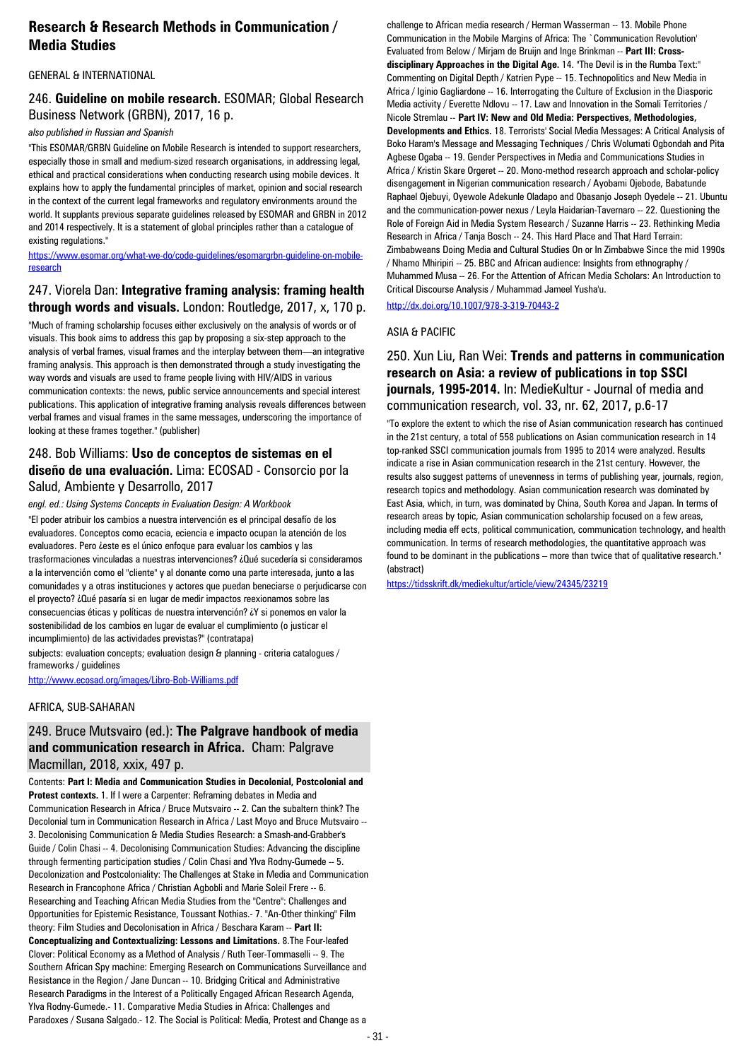# **Research & Research Methods in Communication / Media Studies**

#### GENERAL & INTERNATIONAL

#### 246. **Guideline on mobile research.** ESOMAR; Global Research Business Network (GRBN), 2017, 16 p.

#### *also published in Russian and Spanish*

"This ESOMAR/GRBN Guideline on Mobile Research is intended to support researchers, especially those in small and medium-sized research organisations, in addressing legal, ethical and practical considerations when conducting research using mobile devices. It explains how to apply the fundamental principles of market, opinion and social research in the context of the current legal frameworks and regulatory environments around the world. It supplants previous separate guidelines released by ESOMAR and GRBN in 2012 and 2014 respectively. It is a statement of global principles rather than a catalogue of existing regulations."

[https://www.esomar.org/what-we-do/code-guidelines/esomargrbn-guideline-on-mobile](https://www.esomar.org/what-we-do/code-guidelines/esomargrbn-guideline-on-mobile-research)[research](https://www.esomar.org/what-we-do/code-guidelines/esomargrbn-guideline-on-mobile-research)

#### 247. Viorela Dan: **Integrative framing analysis: framing health through words and visuals.** London: Routledge, 2017, x, 170 p.

"Much of framing scholarship focuses either exclusively on the analysis of words or of visuals. This book aims to address this gap by proposing a six-step approach to the analysis of verbal frames, visual frames and the interplay between them—an integrative framing analysis. This approach is then demonstrated through a study investigating the way words and visuals are used to frame people living with HIV/AIDS in various communication contexts: the news, public service announcements and special interest publications. This application of integrative framing analysis reveals differences between verbal frames and visual frames in the same messages, underscoring the importance of looking at these frames together." (publisher)

#### 248. Bob Williams: **Uso de conceptos de sistemas en el diseño de una evaluación.** Lima: ECOSAD - Consorcio por la Salud, Ambiente y Desarrollo, 2017

*engl. ed.: Using Systems Concepts in Evaluation Design: A Workbook*

"El poder atribuir los cambios a nuestra intervención es el principal desafío de los evaluadores. Conceptos como ecacia, eciencia e impacto ocupan la atención de los evaluadores. Pero *i*este es el único enfoque para evaluar los cambios y las trasformaciones vinculadas a nuestras intervenciones? ¿Qué sucedería si consideramos a la intervención como el "cliente" y al donante como una parte interesada, junto a las comunidades y a otras instituciones y actores que puedan beneciarse o perjudicarse con el proyecto? ¿Qué pasaría si en lugar de medir impactos reexionamos sobre las consecuencias éticas y políticas de nuestra intervención? ¿Y si ponemos en valor la sostenibilidad de los cambios en lugar de evaluar el cumplimiento (o justicar el incumplimiento) de las actividades previstas?" (contratapa)

subjects: evaluation concepts; evaluation design & planning - criteria catalogues / frameworks / guidelines

<http://www.ecosad.org/images/Libro-Bob-Williams.pdf>

#### AFRICA, SUB-SAHARAN

#### 249. Bruce Mutsvairo (ed.): **The Palgrave handbook of media and communication research in Africa.** Cham: Palgrave Macmillan, 2018, xxix, 497 p.

Contents: **Part I: Media and Communication Studies in Decolonial, Postcolonial and Protest contexts.** 1. If I were a Carpenter: Reframing debates in Media and Communication Research in Africa / Bruce Mutsvairo -- 2. Can the subaltern think? The Decolonial turn in Communication Research in Africa / Last Moyo and Bruce Mutsvairo -- 3. Decolonising Communication & Media Studies Research: a Smash-and-Grabber's Guide / Colin Chasi -- 4. Decolonising Communication Studies: Advancing the discipline through fermenting participation studies / Colin Chasi and Ylva Rodny-Gumede -- 5. Decolonization and Postcoloniality: The Challenges at Stake in Media and Communication Research in Francophone Africa / Christian Agbobli and Marie Soleil Frere -- 6. Researching and Teaching African Media Studies from the "Centre": Challenges and Opportunities for Epistemic Resistance, Toussant Nothias.- 7. "An-Other thinking" Film theory: Film Studies and Decolonisation in Africa / Beschara Karam -- **Part II: Conceptualizing and Contextualizing: Lessons and Limitations.** 8.The Four-leafed Clover: Political Economy as a Method of Analysis / Ruth Teer-Tommaselli -- 9. The Southern African Spy machine: Emerging Research on Communications Surveillance and Resistance in the Region / Jane Duncan -- 10. Bridging Critical and Administrative Research Paradigms in the Interest of a Politically Engaged African Research Agenda, Ylva Rodny-Gumede.- 11. Comparative Media Studies in Africa: Challenges and Paradoxes / Susana Salgado.- 12. The Social is Political: Media, Protest and Change as a

challenge to African media research / Herman Wasserman -- 13. Mobile Phone Communication in the Mobile Margins of Africa: The `Communication Revolution' Evaluated from Below / Mirjam de Bruijn and Inge Brinkman -- **Part III: Crossdisciplinary Approaches in the Digital Age.** 14. "The Devil is in the Rumba Text:" Commenting on Digital Depth / Katrien Pype -- 15. Technopolitics and New Media in Africa / Iginio Gagliardone -- 16. Interrogating the Culture of Exclusion in the Diasporic Media activity / Everette Ndlovu -- 17. Law and Innovation in the Somali Territories / Nicole Stremlau -- **Part IV: New and Old Media: Perspectives, Methodologies, Developments and Ethics.** 18. Terrorists' Social Media Messages: A Critical Analysis of Boko Haram's Message and Messaging Techniques / Chris Wolumati Ogbondah and Pita Agbese Ogaba -- 19. Gender Perspectives in Media and Communications Studies in Africa / Kristin Skare Orgeret -- 20. Mono-method research approach and scholar-policy disengagement in Nigerian communication research / Ayobami Ojebode, Babatunde Raphael Ojebuyi, Oyewole Adekunle Oladapo and Obasanjo Joseph Oyedele -- 21. Ubuntu and the communication-power nexus / Leyla Haidarian-Tavernaro -- 22. Questioning the Role of Foreign Aid in Media System Research / Suzanne Harris -- 23. Rethinking Media Research in Africa / Tanja Bosch -- 24. This Hard Place and That Hard Terrain: Zimbabweans Doing Media and Cultural Studies On or In Zimbabwe Since the mid 1990s / Nhamo Mhiripiri -- 25. BBC and African audience: Insights from ethnography / Muhammed Musa -- 26. For the Attention of African Media Scholars: An Introduction to Critical Discourse Analysis / Muhammad Jameel Yusha'u.

<http://dx.doi.org/10.1007/978-3-319-70443-2>

#### ASIA & PACIFIC

250. Xun Liu, Ran Wei: **Trends and patterns in communication research on Asia: a review of publications in top SSCI journals, 1995-2014.** In: MedieKultur - Journal of media and communication research, vol. 33, nr. 62, 2017, p.6-17

"To explore the extent to which the rise of Asian communication research has continued in the 21st century, a total of 558 publications on Asian communication research in 14 top-ranked SSCI communication journals from 1995 to 2014 were analyzed. Results indicate a rise in Asian communication research in the 21st century. However, the results also suggest patterns of unevenness in terms of publishing year, journals, region, research topics and methodology. Asian communication research was dominated by East Asia, which, in turn, was dominated by China, South Korea and Japan. In terms of research areas by topic, Asian communication scholarship focused on a few areas, including media eff ects, political communication, communication technology, and health communication. In terms of research methodologies, the quantitative approach was found to be dominant in the publications – more than twice that of qualitative research." (abstract)

<https://tidsskrift.dk/mediekultur/article/view/24345/23219>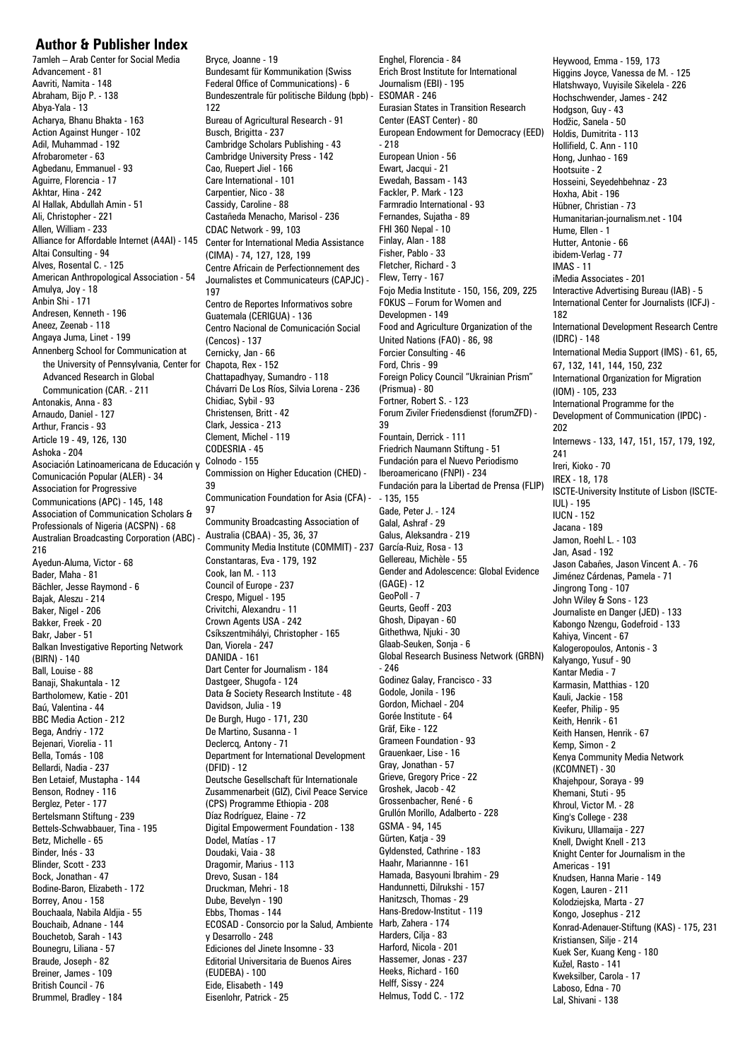#### **Author & Publisher Index**

7amleh – Arab Center for Social Media Advancement - 81 Aavriti, Namita - 148 Abraham, Bijo P. - 138 Abya-Yala - 13 Acharya, Bhanu Bhakta - 163 Action Against Hunger - 102 Adil, Muhammad - 192 Afrobarometer - 63 Agbedanu, Emmanuel - 93 Aguirre, Florencia - 17 Akhtar, Hina - 242 Al Hallak, Abdullah Amin - 51 Ali, Christopher - 221 Allen, William - 233 Alliance for Affordable Internet (A4AI) - 145 Center for International Media Assistance Altai Consulting - 94 Alves, Rosental C. - 125 American Anthropological Association - 54 Amulya, Joy - 18 Anbin Shi - 171 Andresen, Kenneth - 196 Aneez, Zeenab - 118 Angaya Juma, Linet - 199 Annenberg School for Communication at the University of Pennsylvania, Center for Advanced Research in Global Communication (CAR. - 211 Antonakis, Anna - 83 Arnaudo, Daniel - 127 Arthur, Francis - 93 Article 19 - 49, 126, 130 Ashoka - 204 Asociación Latinoamericana de Educación y Comunicación Popular (ALER) - 34 Association for Progressive Communications (APC) - 145, 148 Association of Communication Scholars & Professionals of Nigeria (ACSPN) - 68 Australian Broadcasting Corporation (ABC) - 216 Ayedun-Aluma, Victor - 68 Bader, Maha - 81 Bächler, Jesse Raymond - 6 Bajak, Aleszu - 214 Baker, Nigel - 206 Bakker, Freek - 20 Bakr, Jaber - 51 Balkan Investigative Reporting Network (BIRN) - 140 Ball, Louise - 88 Banaji, Shakuntala - 12 Bartholomew, Katie - 201 Baú, Valentina - 44 BBC Media Action - 212 Bega, Andriy - 172 Bejenari, Viorelia - 11 Bella, Tomás - 108 Bellardi, Nadia - 237 Ben Letaief, Mustapha - 144 Benson, Rodney - 116 Berglez, Peter - 177 Bertelsmann Stiftung - 239 Bettels-Schwabbauer, Tina - 195 Betz, Michelle - 65 Binder, Inés - 33 Blinder, Scott - 233 Bock, Jonathan - 47 Bodine-Baron, Elizabeth - 172 Borrey, Anou - 158 Bouchaala, Nabila Aldjia - 55 Bouchaib, Adnane - 144 Bouchetob, Sarah - 143 Bounegru, Liliana - 57 Braude, Joseph - 82 Breiner, James - 109 British Council - 76 Brummel, Bradley - 184

Bryce, Joanne - 19 Bundesamt für Kommunikation (Swiss Federal Office of Communications) - 6 Bundeszentrale für politische Bildung (bpb) - 122 Bureau of Agricultural Research - 91 Busch, Brigitta - 237 Cambridge Scholars Publishing - 43 Cambridge University Press - 142 Cao, Ruepert Jiel - 166 Care International - 101 Carpentier, Nico - 38 Cassidy, Caroline - 88 Castañeda Menacho, Marisol - 236 CDAC Network - 99, 103 (CIMA) - 74, 127, 128, 199 Centre Africain de Perfectionnement des Journalistes et Communicateurs (CAPJC) - 197 Centro de Reportes Informativos sobre Guatemala (CERIGUA) - 136 Centro Nacional de Comunicación Social (Cencos) - 137 Cernicky, Jan - 66 Chapota, Rex - 152 Chattapadhyay, Sumandro - 118 Chávarri De Los Ríos, Silvia Lorena - 236 Chidiac, Sybil - 93 Christensen, Britt - 42 Clark, Jessica - 213 Clement, Michel - 119 CODESRIA - 45 Colnodo - 155 Commission on Higher Education (CHED) - 39 Communication Foundation for Asia (CFA) - 97 Community Broadcasting Association of Australia (CBAA) - 35, 36, 37 Community Media Institute (COMMIT) - 237 Constantaras, Eva - 179, 192 Cook, Ian M. - 113 Council of Europe - 237 Crespo, Miguel - 195 Crivitchi, Alexandru - 11 Crown Agents USA - 242 Csíkszentmihályi, Christopher - 165 Dan, Viorela - 247 DANIDA - 161 Dart Center for Journalism - 184 Dastgeer, Shugofa - 124 Data & Society Research Institute - 48 Davidson, Julia - 19 De Burgh, Hugo - 171, 230 De Martino, Susanna - 1 Declercq, Antony - 71 Department for International Development  $(DFID) - 12$ Deutsche Gesellschaft für Internationale Zusammenarbeit (GIZ), Civil Peace Service (CPS) Programme Ethiopia - 208 Díaz Rodríguez, Elaine - 72 Digital Empowerment Foundation - 138 Dodel, Matías - 17 Doudaki, Vaia - 38 Dragomir, Marius - 113 Drevo, Susan - 184 Druckman, Mehri - 18 Dube, Bevelyn - 190 Ebbs, Thomas - 144 ECOSAD - Consorcio por la Salud, Ambiente y Desarrollo - 248 Ediciones del Jinete Insomne - 33 Editorial Universitaria de Buenos Aires (EUDEBA) - 100 Eide, Elisabeth - 149 Eisenlohr, Patrick - 25

Enghel, Florencia - 84 Erich Brost Institute for International Journalism (EBI) - 195 ESOMAR - 246 Eurasian States in Transition Research Center (EAST Center) - 80 European Endowment for Democracy (EED) - 218 European Union - 56 Ewart, Jacqui - 21 Ewedah, Bassam - 143 Fackler, P. Mark - 123 Farmradio International - 93 Fernandes, Sujatha - 89 FHI 360 Nepal - 10 Finlay, Alan - 188 Fisher, Pablo - 33 Fletcher, Richard - 3 Flew, Terry - 167 Fojo Media Institute - 150, 156, 209, 225 FOKUS – Forum for Women and Developmen - 149 Food and Agriculture Organization of the United Nations (FAO) - 86, 98 Forcier Consulting - 46 Ford, Chris - 99 Foreign Policy Council "Ukrainian Prism" (Prismua) - 80 Fortner, Robert S. - 123 Forum Ziviler Friedensdienst (forumZFD) - 39 Fountain, Derrick - 111 Friedrich Naumann Stiftung - 51 Fundación para el Nuevo Periodismo Iberoamericano (FNPI) - 234 Fundación para la Libertad de Prensa (FLIP) - 135, 155 Gade, Peter J. - 124 Galal, Ashraf - 29 Galus, Aleksandra - 219 García-Ruiz, Rosa - 13 Gellereau, Michèle - 55 Gender and Adolescence: Global Evidence (GAGE) - 12 GeoPoll - 7 Geurts, Geoff - 203 Ghosh, Dipayan - 60 Githethwa, Njuki - 30 Glaab-Seuken, Sonja - 6 Global Research Business Network (GRBN) - 246 Godinez Galay, Francisco - 33 Godole, Jonila - 196 Gordon, Michael - 204 Gorée Institute - 64 Gräf, Eike - 122 Grameen Foundation - 93 Grauenkaer, Lise - 16 Gray, Jonathan - 57 Grieve, Gregory Price - 22 Groshek, Jacob - 42 Grossenbacher, René - 6 Grullón Morillo, Adalberto - 228 GSMA - 94, 145 Gürten, Katja - 39 Gyldensted, Cathrine - 183 Haahr, Mariannne - 161 Hamada, Basyouni Ibrahim - 29 Handunnetti, Dilrukshi - 157 Hanitzsch, Thomas - 29 Hans-Bredow-Institut - 119 Harb, Zahera - 174 Harders, Cilja - 83 Harford, Nicola - 201 Hassemer, Jonas - 237 Heeks, Richard - 160 Helff, Sissy - 224 Helmus, Todd C. - 172

Heywood, Emma - 159, 173 Higgins Joyce, Vanessa de M. - 125 Hlatshwayo, Vuyisile Sikelela - 226 Hochschwender, James - 242 Hodgson, Guy - 43 Hodžic, Sanela - 50 Holdis, Dumitrita - 113 Hollifield, C. Ann - 110 Hong, Junhao - 169 Hootsuite - 2 Hosseini, Seyedehbehnaz - 23 Hoxha, Abit - 196 Hübner, Christian - 73 Humanitarian-journalism.net - 104 Hume, Ellen - 1 Hutter, Antonie - 66 ibidem-Verlag - 77 IMAS - 11 iMedia Associates - 201 Interactive Advertising Bureau (IAB) - 5 International Center for Journalists (ICFJ) - 182 International Development Research Centre (IDRC) - 148 International Media Support (IMS) - 61, 65, 67, 132, 141, 144, 150, 232 International Organization for Migration (IOM) - 105, 233 International Programme for the Development of Communication (IPDC) - 202 Internews - 133, 147, 151, 157, 179, 192, 241 Ireri, Kioko - 70 IREX - 18, 178 ISCTE-University Institute of Lisbon (ISCTE-IUL) - 195 IUCN - 152 Jacana - 189 Jamon, Roehl L. - 103 Jan, Asad - 192 Jason Cabañes, Jason Vincent A. - 76 Jiménez Cárdenas, Pamela - 71 Jingrong Tong - 107 John Wiley & Sons - 123 Journaliste en Danger (JED) - 133 Kabongo Nzengu, Godefroid - 133 Kahiya, Vincent - 67 Kalogeropoulos, Antonis - 3 Kalyango, Yusuf - 90 Kantar Media - 7 Karmasin, Matthias - 120 Kauli, Jackie - 158 Keefer, Philip - 95 Keith, Henrik - 61 Keith Hansen, Henrik - 67 Kemp, Simon - 2 Kenya Community Media Network (KCOMNET) - 30 Khajehpour, Soraya - 99 Khemani, Stuti - 95 Khroul, Victor M. - 28 King's College - 238 Kivikuru, Ullamaija - 227 Knell, Dwight Knell - 213 Knight Center for Journalism in the Americas - 191 Knudsen, Hanna Marie - 149 Kogen, Lauren - 211 Kolodziejska, Marta - 27 Kongo, Josephus - 212 Konrad-Adenauer-Stiftung (KAS) - 175, 231 Kristiansen, Silje - 214 Kuek Ser, Kuang Keng - 180 Kužel, Rasto - 141 Kweksilber, Carola - 17 Laboso, Edna - 70 Lal, Shivani - 138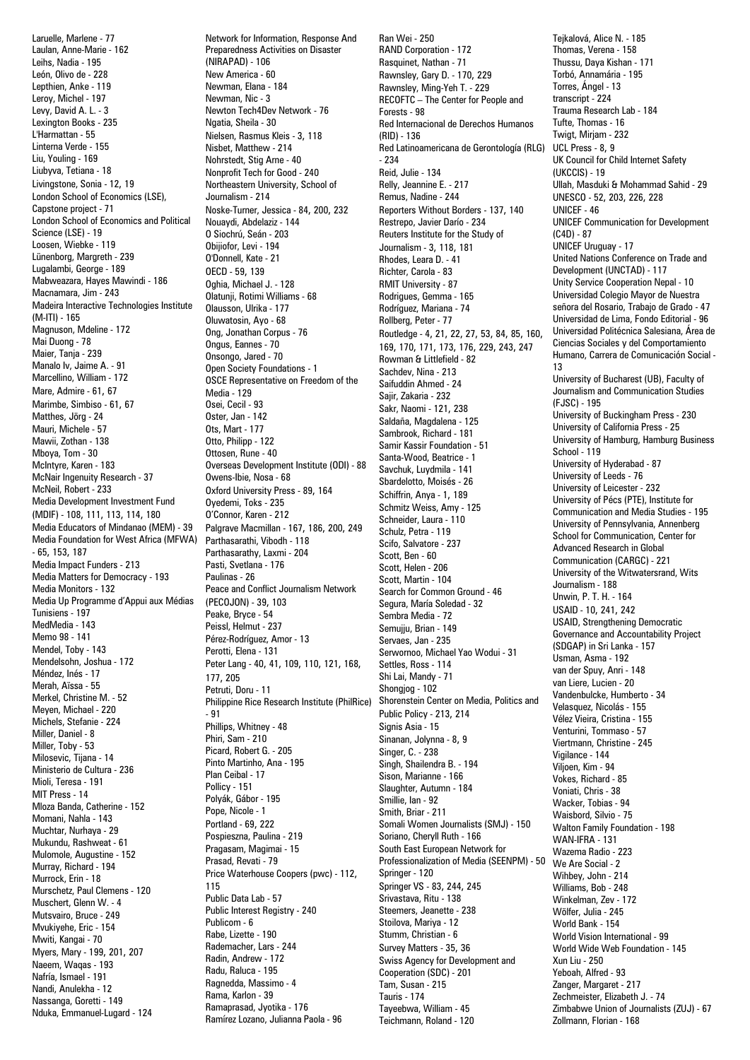Laruelle, Marlene - 77 Laulan, Anne-Marie - 162 Leihs, Nadia - 195 León, Olivo de - 228 Lepthien, Anke - 119 Leroy, Michel - 197 Levy, David A. L. - 3 Lexington Books - 235 L'Harmattan - 55 Linterna Verde - 155 Liu, Youling - 169 Liubyva, Tetiana - 18 Livingstone, Sonia - 12, 19 London School of Economics (LSE), Capstone project - 71 London School of Economics and Political Science (LSE) - 19 Loosen, Wiebke - 119 Lünenborg, Margreth - 239 Lugalambi, George - 189 Mabweazara, Hayes Mawindi - 186 Macnamara, Jim - 243 Madeira Interactive Technologies Institute (M-ITI) - 165 Magnuson, Mdeline - 172 Mai Duong - 78 Maier, Tanja - 239 Manalo Iv, Jaime A. - 91 Marcellino, William - 172 Mare, Admire - 61, 67 Marimbe, Simbiso - 61, 67 Matthes, Jörg - 24 Mauri, Michele - 57 Mawii, Zothan - 138 Mboya, Tom - 30 McIntyre, Karen - 183 McNair Ingenuity Research - 37 McNeil, Robert - 233 Media Development Investment Fund (MDIF) - 108, 111, 113, 114, 180 Media Educators of Mindanao (MEM) - 39 Media Foundation for West Africa (MFWA) - 65, 153, 187 Media Impact Funders - 213 Media Matters for Democracy - 193 Media Monitors - 132 Media Up Programme d'Appui aux Médias Tunisiens - 197 MedMedia - 143 Memo 98 - 141 Mendel, Toby - 143 Mendelsohn, Joshua - 172 Méndez, Inés - 17 Merah, Aïssa - 55 Merkel, Christine M. - 52 Meyen, Michael - 220 Michels, Stefanie - 224 Miller, Daniel - 8 Miller, Toby - 53 Milosevic, Tijana - 14 Ministerio de Cultura - 236 Mioli, Teresa - 191 MIT Press - 14 Mloza Banda, Catherine - 152 Momani, Nahla - 143 Muchtar, Nurhaya - 29 Mukundu, Rashweat - 61 Mulomole, Augustine - 152 Murray, Richard - 194 Murrock, Erin - 18 Murschetz, Paul Clemens - 120 Muschert, Glenn W. - 4 Mutsvairo, Bruce - 249 Mvukiyehe, Eric - 154 Mwiti, Kangai - 70 Myers, Mary - 199, 201, 207 Naeem, Waqas - 193 Nafría, Ismael - 191 Nandi, Anulekha - 12 Nassanga, Goretti - 149 Nduka, Emmanuel-Lugard - 124 Ramírez Lozano, Julianna Paola - 96

Network for Information, Response And Preparedness Activities on Disaster (NIRAPAD) - 106 New America - 60 Newman, Elana - 184 Newman, Nic - 3 Newton Tech4Dev Network - 76 Ngatia, Sheila - 30 Nielsen, Rasmus Kleis - 3, 118 Nisbet, Matthew - 214 Nohrstedt, Stig Arne - 40 Nonprofit Tech for Good - 240 Northeastern University, School of Journalism - 214 Noske-Turner, Jessica - 84, 200, 232 Nouaydi, Abdelaziz - 144 O Siochrú, Seán - 203 Obijiofor, Levi - 194 O'Donnell, Kate - 21 OECD - 59, 139 Oghia, Michael J. - 128 Olatunji, Rotimi Williams - 68 Olausson, Ulrika - 177 Oluwatosin, Ayo - 68 Ong, Jonathan Corpus - 76 Ongus, Eannes - 70 Onsongo, Jared - 70 Open Society Foundations - 1 OSCE Representative on Freedom of the Media - 129 Osei, Cecil - 93 Oster, Jan - 142 Ots, Mart - 177 Otto, Philipp - 122 Ottosen, Rune - 40 Overseas Development Institute (ODI) - 88 Owens-Ibie, Nosa - 68 Oxford University Press - 89, 164 Oyedemi, Toks - 235 O'Connor, Karen - 212 Palgrave Macmillan - 167, 186, 200, 249 Parthasarathi, Vibodh - 118 Parthasarathy, Laxmi - 204 Pasti, Svetlana - 176 Paulinas - 26 Peace and Conflict Journalism Network (PECOJON) - 39, 103 Peake, Bryce - 54 Peissl, Helmut - 237 Pérez-Rodríguez, Amor - 13 Perotti, Elena - 131 Peter Lang - 40, 41, 109, 110, 121, 168, 177, 205 Petruti, Doru - 11 Philippine Rice Research Institute (PhilRice) - 91 Phillips, Whitney - 48 Phiri, Sam - 210 Picard, Robert G. - 205 Pinto Martinho, Ana - 195 Plan Ceibal - 17 Pollicy - 151 Polyák, Gábor - 195 Pope, Nicole - 1 Portland - 69, 222 Pospieszna, Paulina - 219 Pragasam, Magimai - 15 Prasad, Revati - 79 Price Waterhouse Coopers (pwc) - 112, 115 Public Data Lab - 57 Public Interest Registry - 240 Publicom - 6 Rabe, Lizette - 190 Rademacher, Lars - 244 Radin, Andrew - 172 Radu, Raluca - 195 Ragnedda, Massimo - 4 Rama, Karlon - 39 Ramaprasad, Jyotika - 176

Ran Wei - 250 RAND Corporation - 172 Rasquinet, Nathan - 71 Rawnsley, Gary D. - 170, 229 Rawnsley, Ming-Yeh T. - 229 RECOFTC – The Center for People and Forests - 98 Red Internacional de Derechos Humanos (RID) - 136 Red Latinoamericana de Gerontología (RLG) - 234 Reid, Julie - 134 Relly, Jeannine E. - 217 Remus, Nadine - 244 Reporters Without Borders - 137, 140 Restrepo, Javier Darío - 234 Reuters Institute for the Study of Journalism - 3, 118, 181 Rhodes, Leara D. - 41 Richter, Carola - 83 RMIT University - 87 Rodrigues, Gemma - 165 Rodríguez, Mariana - 74 Rollberg, Peter - 77 Routledge - 4, 21, 22, 27, 53, 84, 85, 160, 169, 170, 171, 173, 176, 229, 243, 247 Rowman & Littlefield - 82 Sachdev, Nina - 213 Saifuddin Ahmed - 24 Sajir, Zakaria - 232 Sakr, Naomi - 121, 238 Saldaña, Magdalena - 125 Sambrook, Richard - 181 Samir Kassir Foundation - 51 Santa-Wood, Beatrice - 1 Savchuk, Luydmila - 141 Sbardelotto, Moisés - 26 Schiffrin, Anya - 1, 189 Schmitz Weiss, Amy - 125 Schneider, Laura - 110 Schulz, Petra - 119 Scifo, Salvatore - 237 Scott, Ben - 60 Scott, Helen - 206 Scott, Martin - 104 Search for Common Ground - 46 Segura, María Soledad - 32 Sembra Media - 72 Semujju, Brian - 149 Servaes, Jan - 235 Serwornoo, Michael Yao Wodui - 31 Settles, Ross - 114 Shi Lai, Mandy - 71 Shongjog - 102 Shorenstein Center on Media, Politics and Public Policy - 213, 214 Signis Asia - 15 Sinanan, Jolynna - 8, 9 Singer, C. - 238 Singh, Shailendra B. - 194 Sison, Marianne - 166 Slaughter, Autumn - 184 Smillie, Ian - 92 Smith, Briar - 211 Somali Women Journalists (SMJ) - 150 Soriano, Cheryll Ruth - 166 South East European Network for Professionalization of Media (SEENPM) - 50 Springer - 120 Springer VS - 83, 244, 245 Srivastava, Ritu - 138 Steemers, Jeanette - 238 Stoilova, Mariya - 12 Stumm, Christian - 6 Survey Matters - 35, 36 Swiss Agency for Development and Cooperation (SDC) - 201 Tam, Susan - 215 Tauris - 174 Tayeebwa, William - 45 Teichmann, Roland - 120

Tejkalová, Alice N. - 185 Thomas, Verena - 158 Thussu, Daya Kishan - 171 Torbó, Annamária - 195 Torres, Ángel - 13 transcript - 224 Trauma Research Lab - 184 Tufte, Thomas - 16 Twigt, Mirjam - 232 UCL Press - 8, 9 UK Council for Child Internet Safety (UKCCIS) - 19 Ullah, Masduki & Mohammad Sahid - 29 UNESCO - 52, 203, 226, 228 UNICEF - 46 UNICEF Communication for Development  $(C.4D) - 87$ UNICEF Uruguay - 17 United Nations Conference on Trade and Development (UNCTAD) - 117 Unity Service Cooperation Nepal - 10 Universidad Colegio Mayor de Nuestra señora del Rosario, Trabajo de Grado - 47 Universidad de Lima, Fondo Editorial - 96 Universidad Politécnica Salesiana, Área de Ciencias Sociales y del Comportamiento Humano, Carrera de Comunicación Social - 13 University of Bucharest (UB), Faculty of Journalism and Communication Studies  $(F, ISC) - 195$ University of Buckingham Press - 230 University of California Press - 25 University of Hamburg, Hamburg Business School - 119 University of Hyderabad - 87 University of Leeds - 76 University of Leicester - 232 University of Pécs (PTE), Institute for Communication and Media Studies - 195 University of Pennsylvania, Annenberg School for Communication, Center for Advanced Research in Global Communication (CARGC) - 221 University of the Witwatersrand, Wits Journalism - 188 Unwin, P. T. H. - 164 USAID - 10, 241, 242 USAID, Strengthening Democratic Governance and Accountability Project (SDGAP) in Sri Lanka - 157 Usman, Asma - 192 van der Spuy, Anri - 148 van Liere, Lucien - 20 Vandenbulcke, Humberto - 34 Velasquez, Nicolás - 155 Vélez Vieira, Cristina - 155 Venturini, Tommaso - 57 Viertmann, Christine - 245 Vigilance - 144 Viljoen, Kim - 94 Vokes, Richard - 85 Voniati, Chris - 38 Wacker, Tobias - 94 Waisbord, Silvio - 75 Walton Family Foundation - 198 WAN-IFRA - 131 Wazema Radio - 223 We Are Social - 2 Wihbey, John - 214 Williams, Bob - 248 Winkelman, Zev - 172 Wölfer, Julia - 245 World Bank - 154 World Vision International - 99 World Wide Web Foundation - 145 Xun Liu - 250 Yeboah, Alfred - 93 Zanger, Margaret - 217 Zechmeister, Elizabeth J. - 74 Zimbabwe Union of Journalists (ZUJ) - 67 Zollmann, Florian - 168